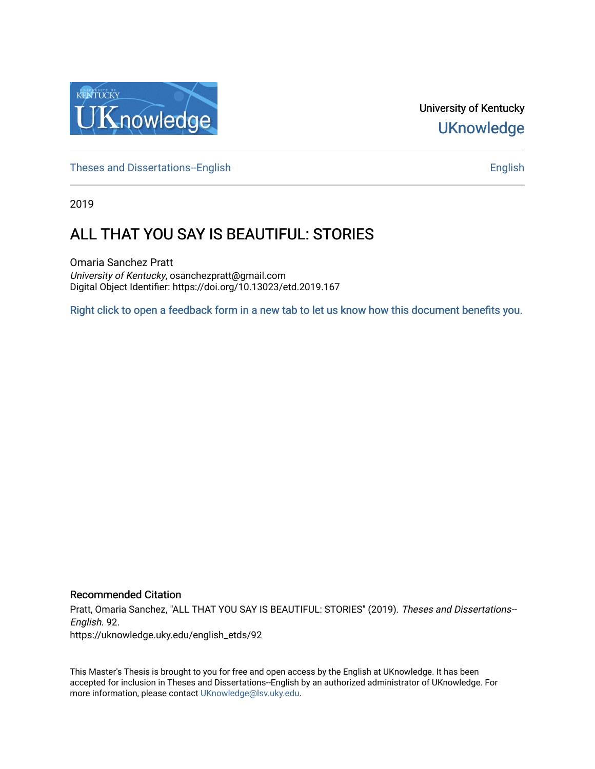

University of Kentucky **UKnowledge** 

[Theses and Dissertations--English](https://uknowledge.uky.edu/english_etds) [English](https://uknowledge.uky.edu/english) English English English

2019

# ALL THAT YOU SAY IS BEAUTIFUL: STORIES

Omaria Sanchez Pratt University of Kentucky, osanchezpratt@gmail.com Digital Object Identifier: https://doi.org/10.13023/etd.2019.167

[Right click to open a feedback form in a new tab to let us know how this document benefits you.](https://uky.az1.qualtrics.com/jfe/form/SV_9mq8fx2GnONRfz7)

#### Recommended Citation

Pratt, Omaria Sanchez, "ALL THAT YOU SAY IS BEAUTIFUL: STORIES" (2019). Theses and Dissertations--English. 92.

https://uknowledge.uky.edu/english\_etds/92

This Master's Thesis is brought to you for free and open access by the English at UKnowledge. It has been accepted for inclusion in Theses and Dissertations--English by an authorized administrator of UKnowledge. For more information, please contact [UKnowledge@lsv.uky.edu](mailto:UKnowledge@lsv.uky.edu).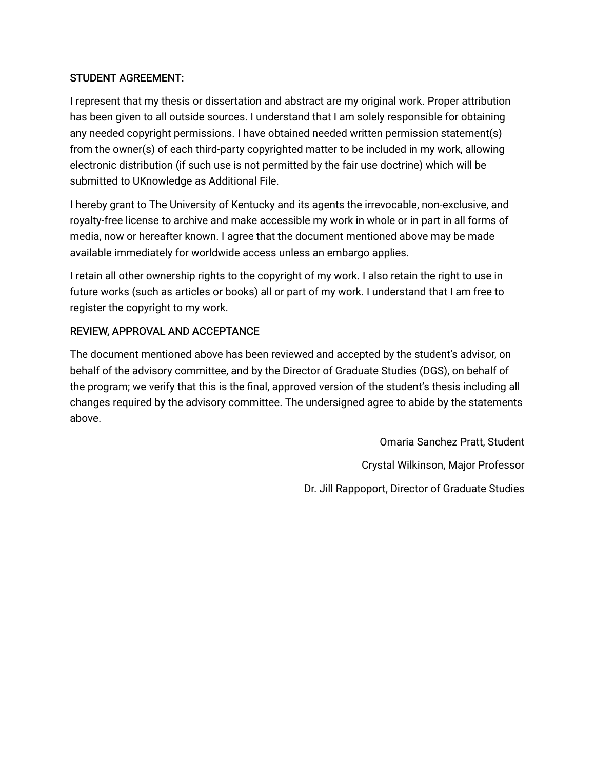## STUDENT AGREEMENT:

I represent that my thesis or dissertation and abstract are my original work. Proper attribution has been given to all outside sources. I understand that I am solely responsible for obtaining any needed copyright permissions. I have obtained needed written permission statement(s) from the owner(s) of each third-party copyrighted matter to be included in my work, allowing electronic distribution (if such use is not permitted by the fair use doctrine) which will be submitted to UKnowledge as Additional File.

I hereby grant to The University of Kentucky and its agents the irrevocable, non-exclusive, and royalty-free license to archive and make accessible my work in whole or in part in all forms of media, now or hereafter known. I agree that the document mentioned above may be made available immediately for worldwide access unless an embargo applies.

I retain all other ownership rights to the copyright of my work. I also retain the right to use in future works (such as articles or books) all or part of my work. I understand that I am free to register the copyright to my work.

## REVIEW, APPROVAL AND ACCEPTANCE

The document mentioned above has been reviewed and accepted by the student's advisor, on behalf of the advisory committee, and by the Director of Graduate Studies (DGS), on behalf of the program; we verify that this is the final, approved version of the student's thesis including all changes required by the advisory committee. The undersigned agree to abide by the statements above.

> Omaria Sanchez Pratt, Student Crystal Wilkinson, Major Professor Dr. Jill Rappoport, Director of Graduate Studies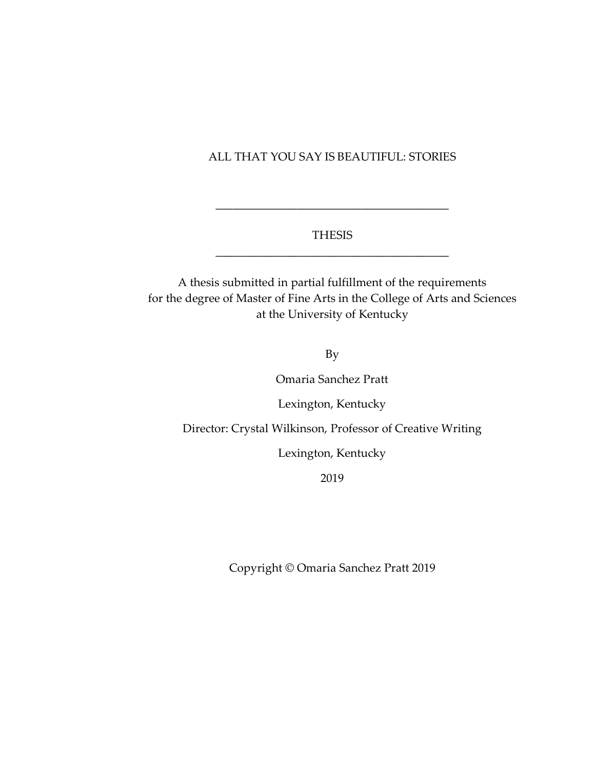#### ALL THAT YOU SAY IS BEAUTIFUL: STORIES

## THESIS \_\_\_\_\_\_\_\_\_\_\_\_\_\_\_\_\_\_\_\_\_\_\_\_\_\_\_\_\_\_\_\_\_\_\_\_\_\_\_\_

\_\_\_\_\_\_\_\_\_\_\_\_\_\_\_\_\_\_\_\_\_\_\_\_\_\_\_\_\_\_\_\_\_\_\_\_\_\_\_\_

A thesis submitted in partial fulfillment of the requirements for the degree of Master of Fine Arts in the College of Arts and Sciences at the University of Kentucky

By

Omaria Sanchez Pratt

Lexington, Kentucky

Director: Crystal Wilkinson, Professor of Creative Writing

Lexington, Kentucky

2019

Copyright © Omaria Sanchez Pratt 2019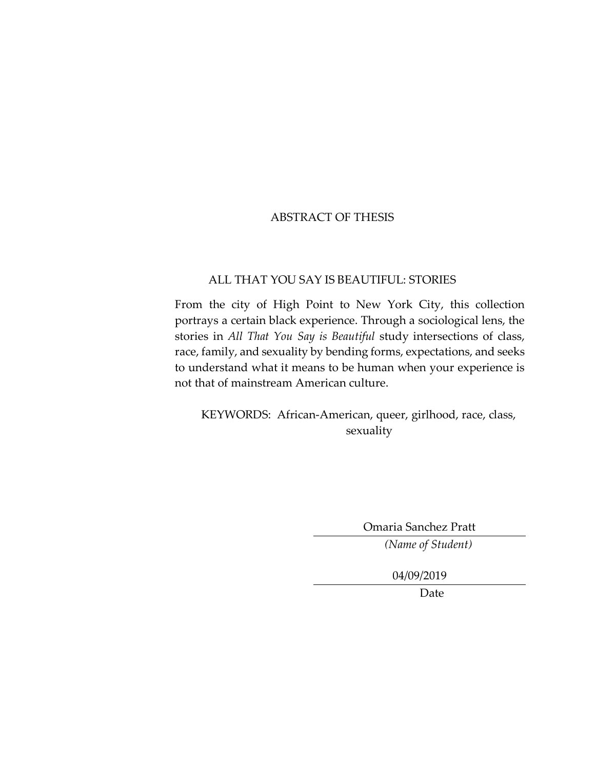## ABSTRACT OF THESIS

## ALL THAT YOU SAY IS BEAUTIFUL: STORIES

From the city of High Point to New York City, this collection portrays a certain black experience. Through a sociological lens, the stories in *All That You Say is Beautiful* study intersections of class, race, family, and sexuality by bending forms, expectations, and seeks to understand what it means to be human when your experience is not that of mainstream American culture.

 KEYWORDS: African-American, queer, girlhood, race, class, sexuality

Omaria Sanchez Pratt

*(Name of Student)*

04/09/2019

Date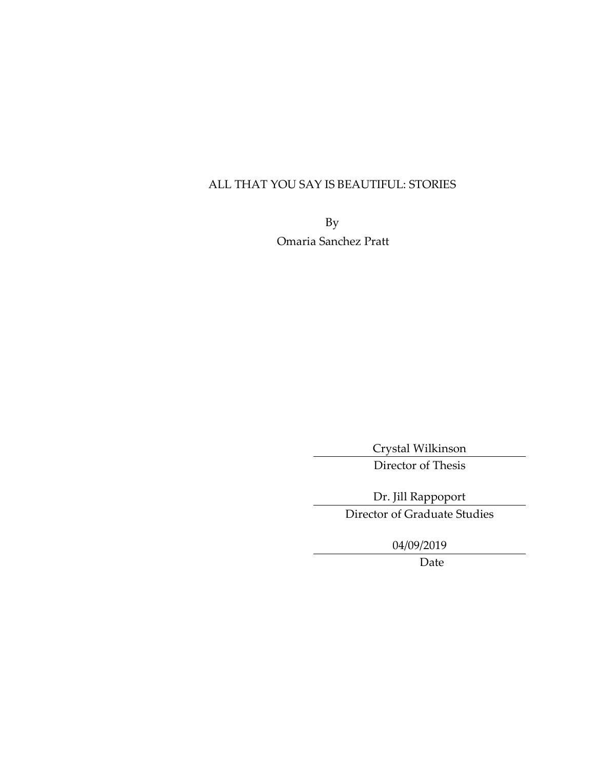# ALL THAT YOU SAY IS BEAUTIFUL: STORIES

By Omaria Sanchez Pratt

> Crystal Wilkinson Director of Thesis

Dr. Jill Rappoport Director of Graduate Studies

04/09/2019

Date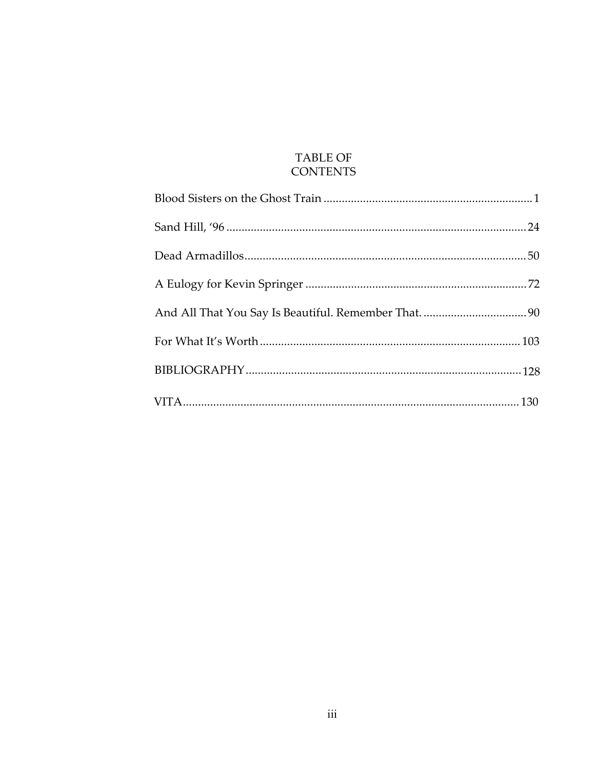# **TABLE OF CONTENTS**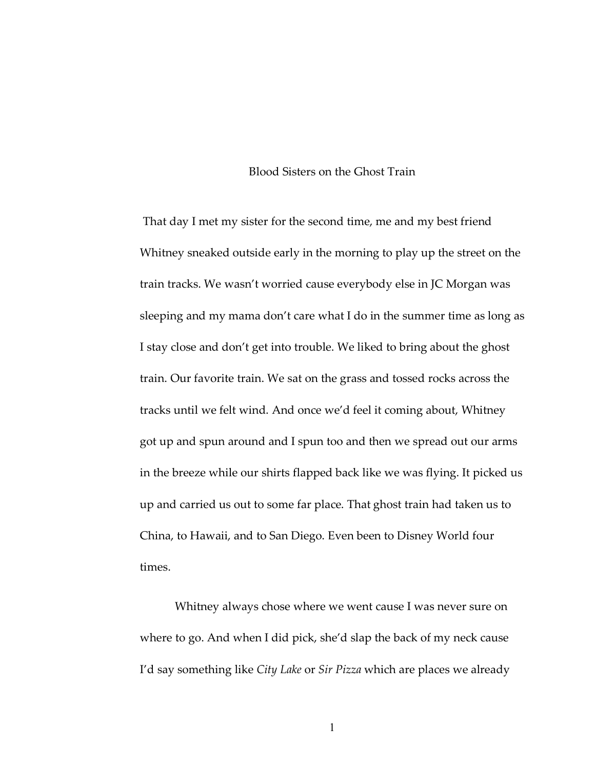#### Blood Sisters on the Ghost Train

That day I met my sister for the second time, me and my best friend Whitney sneaked outside early in the morning to play up the street on the train tracks. We wasn't worried cause everybody else in JC Morgan was sleeping and my mama don't care what I do in the summer time as long as I stay close and don't get into trouble. We liked to bring about the ghost train. Our favorite train. We sat on the grass and tossed rocks across the tracks until we felt wind. And once we'd feel it coming about, Whitney got up and spun around and I spun too and then we spread out our arms in the breeze while our shirts flapped back like we was flying. It picked us up and carried us out to some far place. That ghost train had taken us to China, to Hawaii, and to San Diego. Even been to Disney World four times.

Whitney always chose where we went cause I was never sure on where to go. And when I did pick, she'd slap the back of my neck cause I'd say something like *City Lake* or *Sir Pizza* which are places we already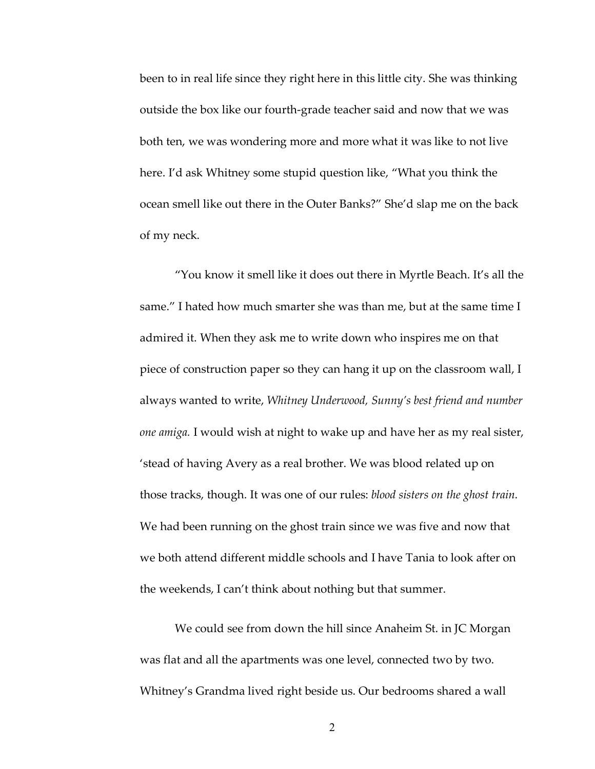been to in real life since they right here in this little city. She was thinking outside the box like our fourth-grade teacher said and now that we was both ten, we was wondering more and more what it was like to not live here. I'd ask Whitney some stupid question like, "What you think the ocean smell like out there in the Outer Banks?" She'd slap me on the back of my neck.

"You know it smell like it does out there in Myrtle Beach. It's all the same." I hated how much smarter she was than me, but at the same time I admired it. When they ask me to write down who inspires me on that piece of construction paper so they can hang it up on the classroom wall, I always wanted to write, *Whitney Underwood, Sunny's best friend and number one amiga.* I would wish at night to wake up and have her as my real sister, 'stead of having Avery as a real brother. We was blood related up on those tracks, though. It was one of our rules: *blood sisters on the ghost train*. We had been running on the ghost train since we was five and now that we both attend different middle schools and I have Tania to look after on the weekends, I can't think about nothing but that summer.

We could see from down the hill since Anaheim St. in JC Morgan was flat and all the apartments was one level, connected two by two. Whitney's Grandma lived right beside us. Our bedrooms shared a wall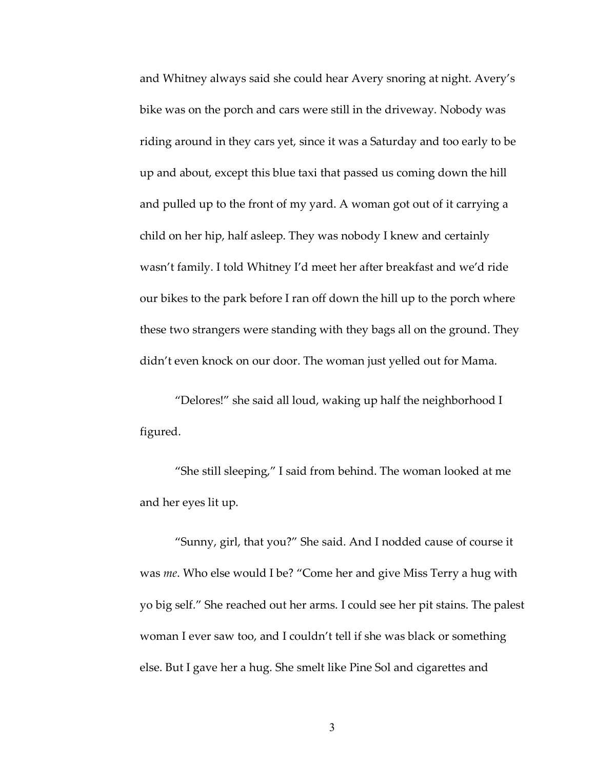and Whitney always said she could hear Avery snoring at night. Avery's bike was on the porch and cars were still in the driveway. Nobody was riding around in they cars yet, since it was a Saturday and too early to be up and about, except this blue taxi that passed us coming down the hill and pulled up to the front of my yard. A woman got out of it carrying a child on her hip, half asleep. They was nobody I knew and certainly wasn't family. I told Whitney I'd meet her after breakfast and we'd ride our bikes to the park before I ran off down the hill up to the porch where these two strangers were standing with they bags all on the ground. They didn't even knock on our door. The woman just yelled out for Mama.

"Delores!" she said all loud, waking up half the neighborhood I figured.

"She still sleeping," I said from behind. The woman looked at me and her eyes lit up.

"Sunny, girl, that you?" She said. And I nodded cause of course it was *me*. Who else would I be? "Come her and give Miss Terry a hug with yo big self." She reached out her arms. I could see her pit stains. The palest woman I ever saw too, and I couldn't tell if she was black or something else. But I gave her a hug. She smelt like Pine Sol and cigarettes and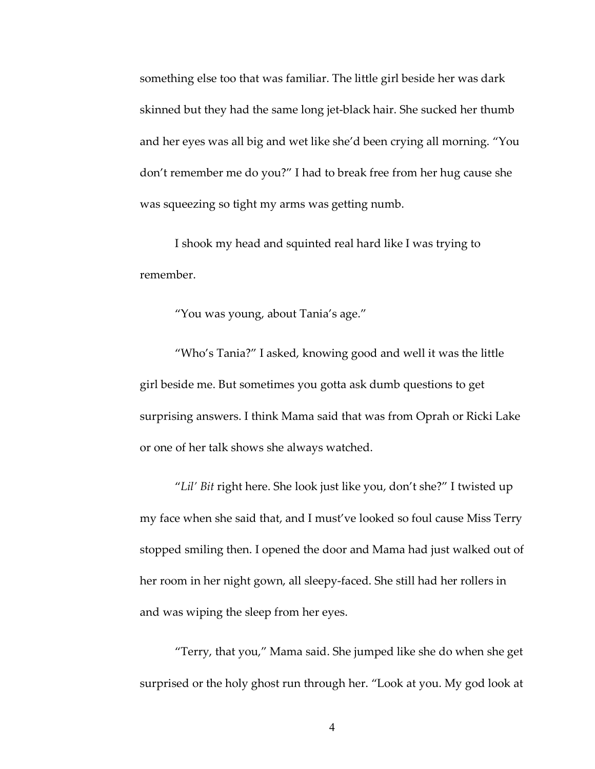something else too that was familiar. The little girl beside her was dark skinned but they had the same long jet-black hair. She sucked her thumb and her eyes was all big and wet like she'd been crying all morning. "You don't remember me do you?" I had to break free from her hug cause she was squeezing so tight my arms was getting numb.

I shook my head and squinted real hard like I was trying to remember.

"You was young, about Tania's age."

"Who's Tania?" I asked, knowing good and well it was the little girl beside me. But sometimes you gotta ask dumb questions to get surprising answers. I think Mama said that was from Oprah or Ricki Lake or one of her talk shows she always watched.

"*Lil' Bit* right here. She look just like you, don't she?" I twisted up my face when she said that, and I must've looked so foul cause Miss Terry stopped smiling then. I opened the door and Mama had just walked out of her room in her night gown, all sleepy-faced. She still had her rollers in and was wiping the sleep from her eyes.

"Terry, that you," Mama said. She jumped like she do when she get surprised or the holy ghost run through her. "Look at you. My god look at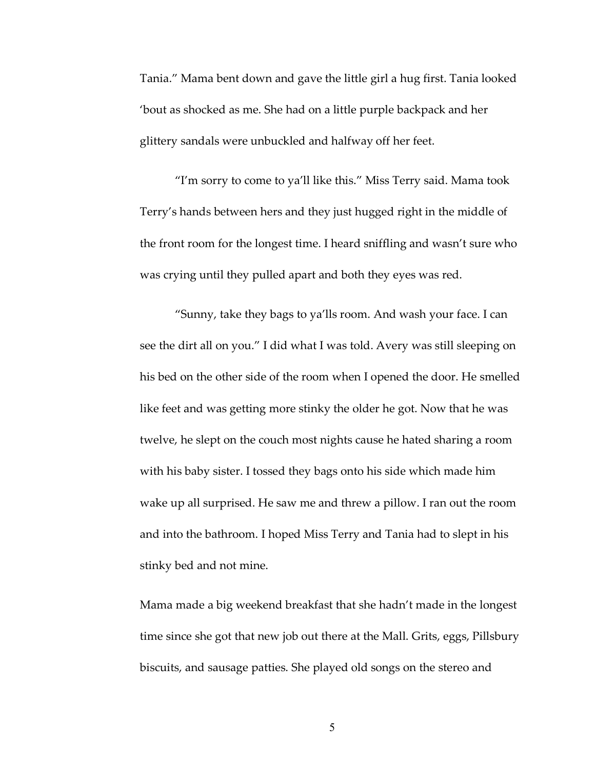Tania." Mama bent down and gave the little girl a hug first. Tania looked 'bout as shocked as me. She had on a little purple backpack and her glittery sandals were unbuckled and halfway off her feet.

"I'm sorry to come to ya'll like this." Miss Terry said. Mama took Terry's hands between hers and they just hugged right in the middle of the front room for the longest time. I heard sniffling and wasn't sure who was crying until they pulled apart and both they eyes was red.

"Sunny, take they bags to ya'lls room. And wash your face. I can see the dirt all on you." I did what I was told. Avery was still sleeping on his bed on the other side of the room when I opened the door. He smelled like feet and was getting more stinky the older he got. Now that he was twelve, he slept on the couch most nights cause he hated sharing a room with his baby sister. I tossed they bags onto his side which made him wake up all surprised. He saw me and threw a pillow. I ran out the room and into the bathroom. I hoped Miss Terry and Tania had to slept in his stinky bed and not mine.

Mama made a big weekend breakfast that she hadn't made in the longest time since she got that new job out there at the Mall. Grits, eggs, Pillsbury biscuits, and sausage patties. She played old songs on the stereo and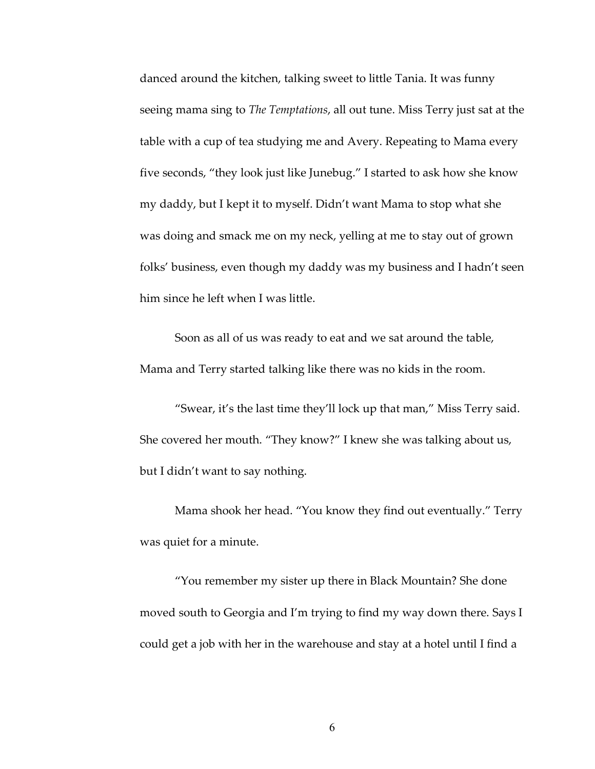danced around the kitchen, talking sweet to little Tania. It was funny seeing mama sing to *The Temptations*, all out tune. Miss Terry just sat at the table with a cup of tea studying me and Avery. Repeating to Mama every five seconds, "they look just like Junebug." I started to ask how she know my daddy, but I kept it to myself. Didn't want Mama to stop what she was doing and smack me on my neck, yelling at me to stay out of grown folks' business, even though my daddy was my business and I hadn't seen him since he left when I was little.

Soon as all of us was ready to eat and we sat around the table, Mama and Terry started talking like there was no kids in the room.

"Swear, it's the last time they'll lock up that man," Miss Terry said. She covered her mouth. "They know?" I knew she was talking about us, but I didn't want to say nothing.

Mama shook her head. "You know they find out eventually." Terry was quiet for a minute.

"You remember my sister up there in Black Mountain? She done moved south to Georgia and I'm trying to find my way down there. Says I could get a job with her in the warehouse and stay at a hotel until I find a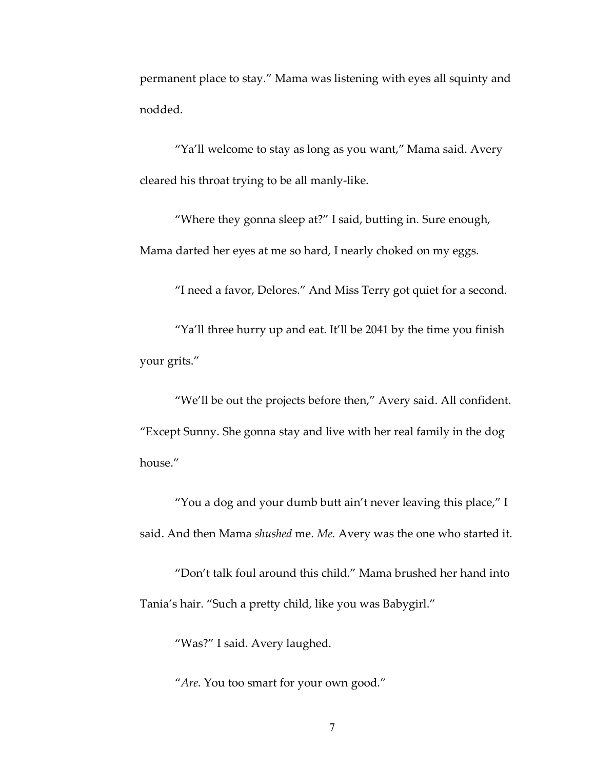permanent place to stay." Mama was listening with eyes all squinty and nodded.

"Ya'll welcome to stay as long as you want," Mama said. Avery cleared his throat trying to be all manly-like.

"Where they gonna sleep at?" I said, butting in. Sure enough, Mama darted her eyes at me so hard, I nearly choked on my eggs.

"I need a favor, Delores." And Miss Terry got quiet for a second.

"Ya'll three hurry up and eat. It'll be 2041 by the time you finish your grits."

"We'll be out the projects before then," Avery said. All confident. "Except Sunny. She gonna stay and live with her real family in the dog house."

"You a dog and your dumb butt ain't never leaving this place," I said. And then Mama *shushed* me. *Me.* Avery was the one who started it.

"Don't talk foul around this child." Mama brushed her hand into Tania's hair. "Such a pretty child, like you was Babygirl."

"Was?" I said. Avery laughed.

"*Are*. You too smart for your own good."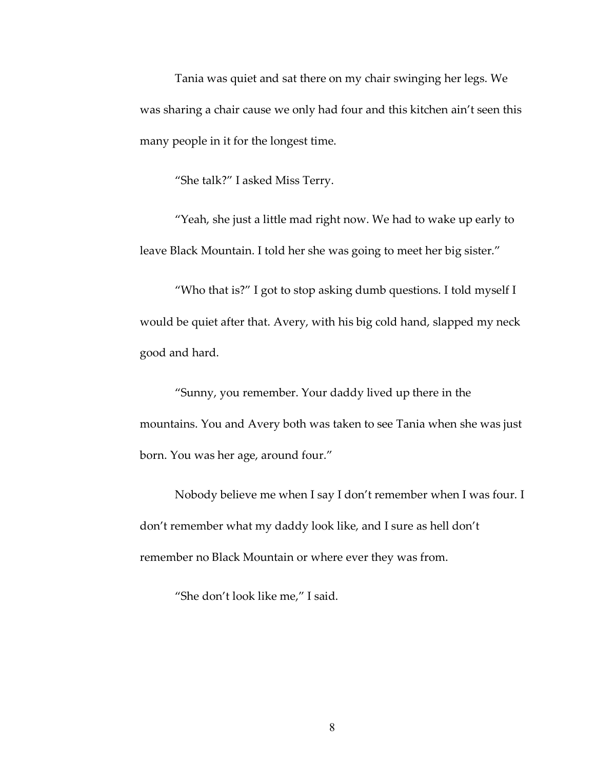Tania was quiet and sat there on my chair swinging her legs. We was sharing a chair cause we only had four and this kitchen ain't seen this many people in it for the longest time.

"She talk?" I asked Miss Terry.

"Yeah, she just a little mad right now. We had to wake up early to leave Black Mountain. I told her she was going to meet her big sister."

"Who that is?" I got to stop asking dumb questions. I told myself I would be quiet after that. Avery, with his big cold hand, slapped my neck good and hard.

"Sunny, you remember. Your daddy lived up there in the mountains. You and Avery both was taken to see Tania when she was just born. You was her age, around four."

Nobody believe me when I say I don't remember when I was four. I don't remember what my daddy look like, and I sure as hell don't remember no Black Mountain or where ever they was from.

"She don't look like me," I said.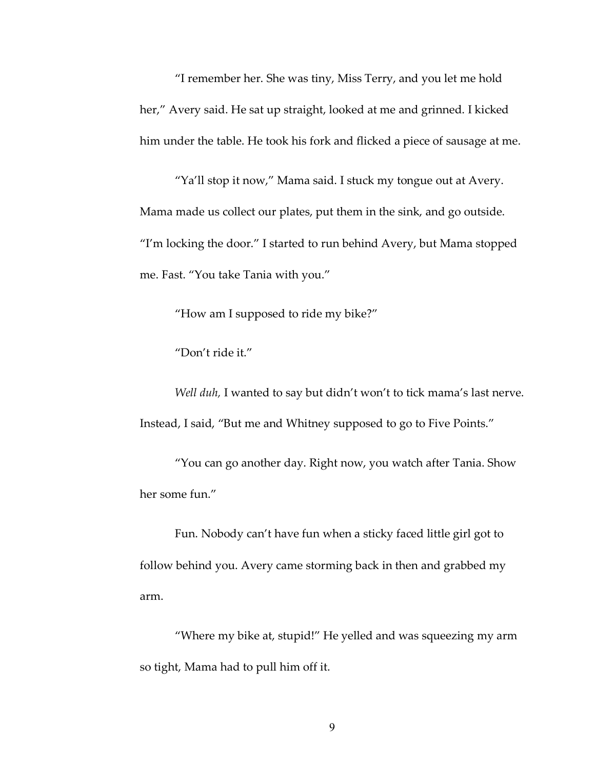"I remember her. She was tiny, Miss Terry, and you let me hold her," Avery said. He sat up straight, looked at me and grinned. I kicked him under the table. He took his fork and flicked a piece of sausage at me.

"Ya'll stop it now," Mama said. I stuck my tongue out at Avery. Mama made us collect our plates, put them in the sink, and go outside. "I'm locking the door." I started to run behind Avery, but Mama stopped me. Fast. "You take Tania with you."

"How am I supposed to ride my bike?"

"Don't ride it."

*Well duh,* I wanted to say but didn't won't to tick mama's last nerve. Instead, I said, "But me and Whitney supposed to go to Five Points."

"You can go another day. Right now, you watch after Tania. Show her some fun."

Fun. Nobody can't have fun when a sticky faced little girl got to follow behind you. Avery came storming back in then and grabbed my arm.

"Where my bike at, stupid!" He yelled and was squeezing my arm so tight, Mama had to pull him off it.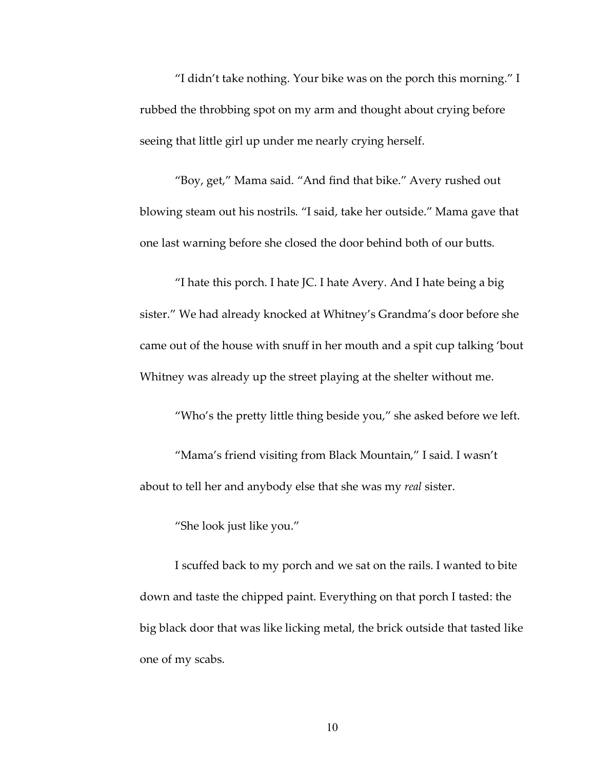"I didn't take nothing. Your bike was on the porch this morning." I rubbed the throbbing spot on my arm and thought about crying before seeing that little girl up under me nearly crying herself.

"Boy, get," Mama said. "And find that bike." Avery rushed out blowing steam out his nostrils. "I said, take her outside." Mama gave that one last warning before she closed the door behind both of our butts.

"I hate this porch. I hate JC. I hate Avery. And I hate being a big sister." We had already knocked at Whitney's Grandma's door before she came out of the house with snuff in her mouth and a spit cup talking 'bout Whitney was already up the street playing at the shelter without me.

"Who's the pretty little thing beside you," she asked before we left.

"Mama's friend visiting from Black Mountain," I said. I wasn't about to tell her and anybody else that she was my *real* sister.

"She look just like you."

I scuffed back to my porch and we sat on the rails. I wanted to bite down and taste the chipped paint. Everything on that porch I tasted: the big black door that was like licking metal, the brick outside that tasted like one of my scabs.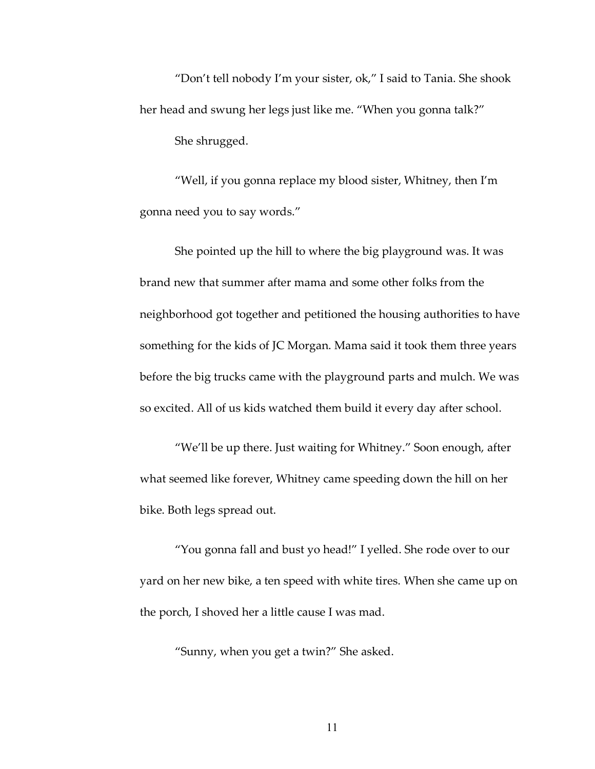"Don't tell nobody I'm your sister, ok," I said to Tania. She shook her head and swung her legs just like me. "When you gonna talk?" She shrugged.

"Well, if you gonna replace my blood sister, Whitney, then I'm gonna need you to say words."

She pointed up the hill to where the big playground was. It was brand new that summer after mama and some other folks from the neighborhood got together and petitioned the housing authorities to have something for the kids of JC Morgan. Mama said it took them three years before the big trucks came with the playground parts and mulch. We was so excited. All of us kids watched them build it every day after school.

"We'll be up there. Just waiting for Whitney." Soon enough, after what seemed like forever, Whitney came speeding down the hill on her bike. Both legs spread out.

"You gonna fall and bust yo head!" I yelled. She rode over to our yard on her new bike, a ten speed with white tires. When she came up on the porch, I shoved her a little cause I was mad.

"Sunny, when you get a twin?" She asked.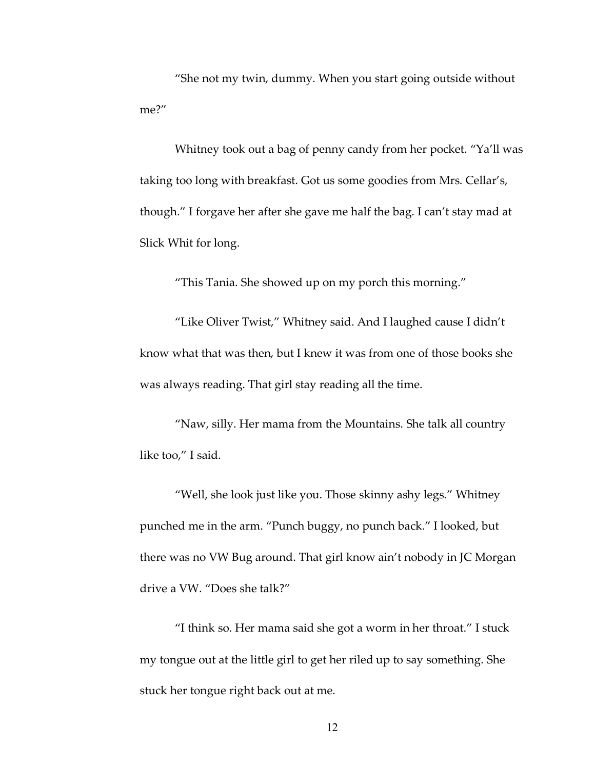"She not my twin, dummy. When you start going outside without me?"

Whitney took out a bag of penny candy from her pocket. "Ya'll was taking too long with breakfast. Got us some goodies from Mrs. Cellar's, though." I forgave her after she gave me half the bag. I can't stay mad at Slick Whit for long.

"This Tania. She showed up on my porch this morning."

"Like Oliver Twist," Whitney said. And I laughed cause I didn't know what that was then, but I knew it was from one of those books she was always reading. That girl stay reading all the time.

"Naw, silly. Her mama from the Mountains. She talk all country like too," I said.

"Well, she look just like you. Those skinny ashy legs." Whitney punched me in the arm. "Punch buggy, no punch back." I looked, but there was no VW Bug around. That girl know ain't nobody in JC Morgan drive a VW. "Does she talk?"

"I think so. Her mama said she got a worm in her throat." I stuck my tongue out at the little girl to get her riled up to say something. She stuck her tongue right back out at me.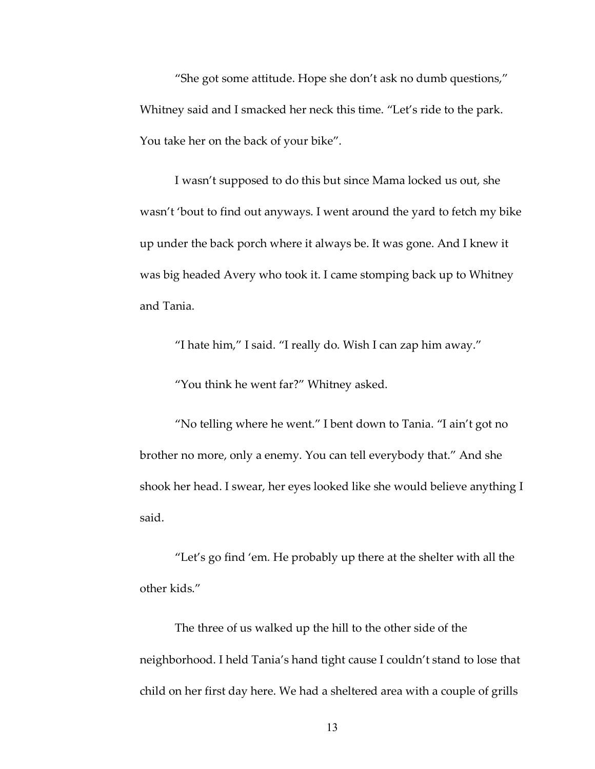"She got some attitude. Hope she don't ask no dumb questions," Whitney said and I smacked her neck this time. "Let's ride to the park. You take her on the back of your bike".

I wasn't supposed to do this but since Mama locked us out, she wasn't 'bout to find out anyways. I went around the yard to fetch my bike up under the back porch where it always be. It was gone. And I knew it was big headed Avery who took it. I came stomping back up to Whitney and Tania.

"I hate him," I said. "I really do. Wish I can zap him away."

"You think he went far?" Whitney asked.

"No telling where he went." I bent down to Tania. "I ain't got no brother no more, only a enemy. You can tell everybody that." And she shook her head. I swear, her eyes looked like she would believe anything I said.

"Let's go find 'em*.* He probably up there at the shelter with all the other kids."

The three of us walked up the hill to the other side of the neighborhood. I held Tania's hand tight cause I couldn't stand to lose that child on her first day here. We had a sheltered area with a couple of grills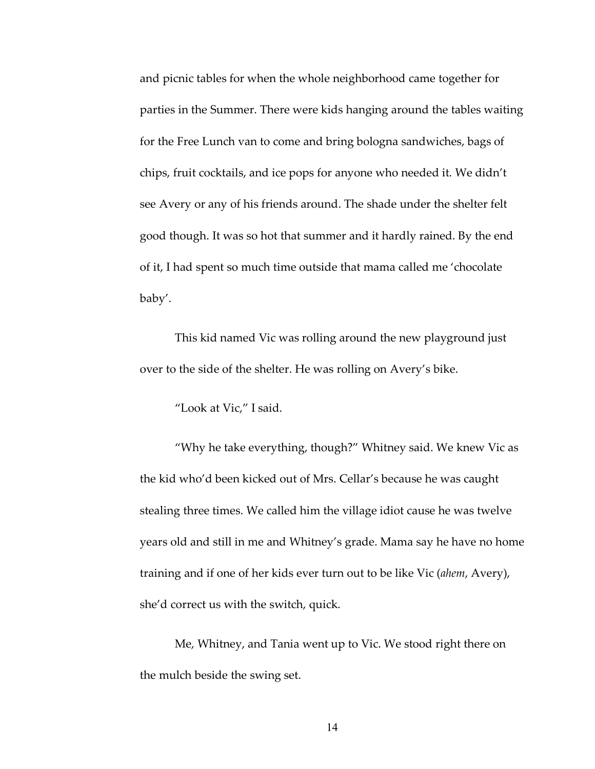and picnic tables for when the whole neighborhood came together for parties in the Summer. There were kids hanging around the tables waiting for the Free Lunch van to come and bring bologna sandwiches, bags of chips, fruit cocktails, and ice pops for anyone who needed it. We didn't see Avery or any of his friends around. The shade under the shelter felt good though. It was so hot that summer and it hardly rained. By the end of it, I had spent so much time outside that mama called me 'chocolate baby'.

This kid named Vic was rolling around the new playground just over to the side of the shelter. He was rolling on Avery's bike.

"Look at Vic," I said.

"Why he take everything, though?" Whitney said. We knew Vic as the kid who'd been kicked out of Mrs. Cellar's because he was caught stealing three times. We called him the village idiot cause he was twelve years old and still in me and Whitney's grade. Mama say he have no home training and if one of her kids ever turn out to be like Vic (*ahem*, Avery), she'd correct us with the switch, quick.

Me, Whitney, and Tania went up to Vic. We stood right there on the mulch beside the swing set.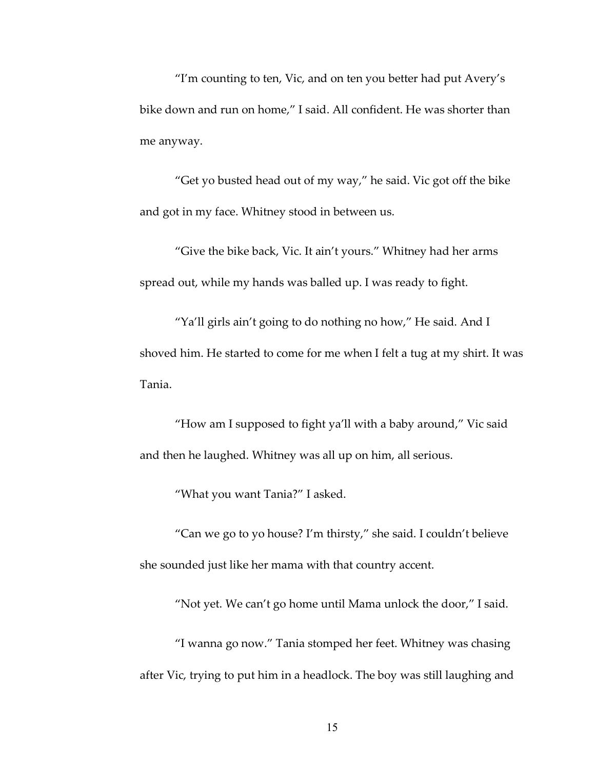"I'm counting to ten, Vic, and on ten you better had put Avery's bike down and run on home," I said. All confident. He was shorter than me anyway.

"Get yo busted head out of my way," he said. Vic got off the bike and got in my face. Whitney stood in between us.

"Give the bike back, Vic. It ain't yours." Whitney had her arms spread out, while my hands was balled up. I was ready to fight.

"Ya'll girls ain't going to do nothing no how," He said. And I shoved him. He started to come for me when I felt a tug at my shirt. It was Tania.

"How am I supposed to fight ya'll with a baby around," Vic said and then he laughed. Whitney was all up on him, all serious.

"What you want Tania?" I asked.

"Can we go to yo house? I'm thirsty," she said. I couldn't believe she sounded just like her mama with that country accent.

"Not yet. We can't go home until Mama unlock the door," I said.

"I wanna go now." Tania stomped her feet. Whitney was chasing after Vic, trying to put him in a headlock. The boy was still laughing and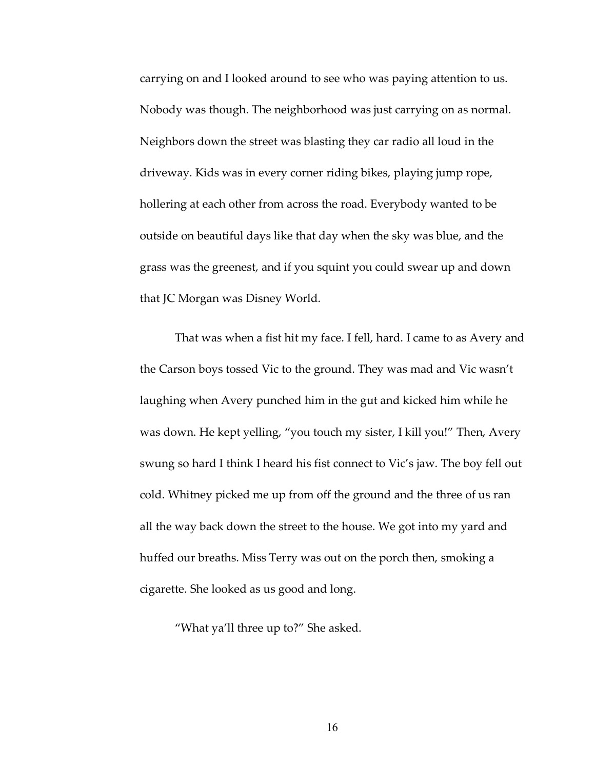carrying on and I looked around to see who was paying attention to us. Nobody was though. The neighborhood was just carrying on as normal. Neighbors down the street was blasting they car radio all loud in the driveway. Kids was in every corner riding bikes, playing jump rope, hollering at each other from across the road. Everybody wanted to be outside on beautiful days like that day when the sky was blue, and the grass was the greenest, and if you squint you could swear up and down that JC Morgan was Disney World.

That was when a fist hit my face. I fell, hard. I came to as Avery and the Carson boys tossed Vic to the ground. They was mad and Vic wasn't laughing when Avery punched him in the gut and kicked him while he was down. He kept yelling, "you touch my sister, I kill you!" Then, Avery swung so hard I think I heard his fist connect to Vic's jaw. The boy fell out cold. Whitney picked me up from off the ground and the three of us ran all the way back down the street to the house. We got into my yard and huffed our breaths. Miss Terry was out on the porch then, smoking a cigarette. She looked as us good and long.

"What ya'll three up to?" She asked.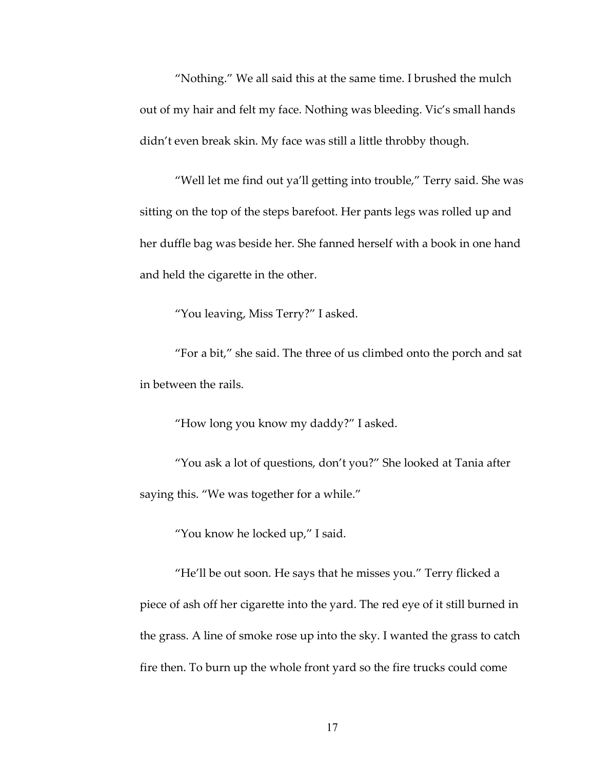"Nothing." We all said this at the same time. I brushed the mulch out of my hair and felt my face. Nothing was bleeding. Vic's small hands didn't even break skin. My face was still a little throbby though.

"Well let me find out ya'll getting into trouble," Terry said. She was sitting on the top of the steps barefoot. Her pants legs was rolled up and her duffle bag was beside her. She fanned herself with a book in one hand and held the cigarette in the other.

"You leaving, Miss Terry?" I asked.

"For a bit," she said. The three of us climbed onto the porch and sat in between the rails.

"How long you know my daddy?" I asked.

"You ask a lot of questions, don't you?" She looked at Tania after saying this. "We was together for a while."

"You know he locked up," I said.

"He'll be out soon. He says that he misses you." Terry flicked a piece of ash off her cigarette into the yard. The red eye of it still burned in the grass. A line of smoke rose up into the sky. I wanted the grass to catch fire then. To burn up the whole front yard so the fire trucks could come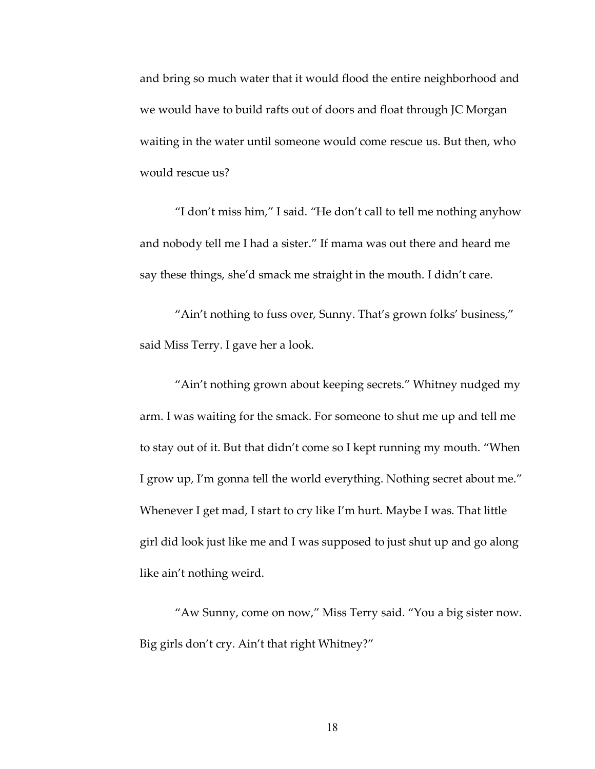and bring so much water that it would flood the entire neighborhood and we would have to build rafts out of doors and float through JC Morgan waiting in the water until someone would come rescue us. But then, who would rescue us?

"I don't miss him," I said. "He don't call to tell me nothing anyhow and nobody tell me I had a sister." If mama was out there and heard me say these things, she'd smack me straight in the mouth. I didn't care.

"Ain't nothing to fuss over, Sunny. That's grown folks' business," said Miss Terry. I gave her a look.

"Ain't nothing grown about keeping secrets." Whitney nudged my arm. I was waiting for the smack. For someone to shut me up and tell me to stay out of it. But that didn't come so I kept running my mouth. "When I grow up, I'm gonna tell the world everything. Nothing secret about me." Whenever I get mad, I start to cry like I'm hurt. Maybe I was. That little girl did look just like me and I was supposed to just shut up and go along like ain't nothing weird.

"Aw Sunny, come on now," Miss Terry said. "You a big sister now. Big girls don't cry. Ain't that right Whitney?"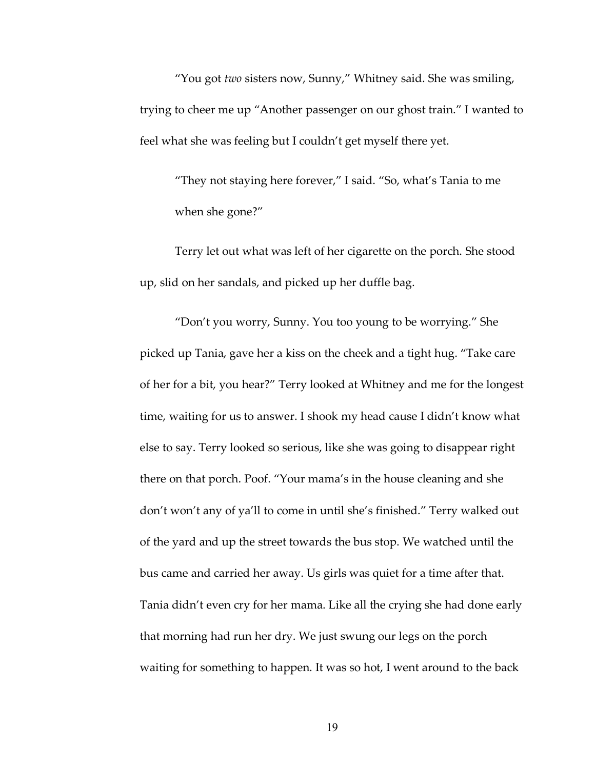"You got *two* sisters now, Sunny," Whitney said. She was smiling, trying to cheer me up "Another passenger on our ghost train." I wanted to feel what she was feeling but I couldn't get myself there yet.

"They not staying here forever," I said. "So, what's Tania to me when she gone?"

Terry let out what was left of her cigarette on the porch. She stood up, slid on her sandals, and picked up her duffle bag.

"Don't you worry, Sunny. You too young to be worrying." She picked up Tania, gave her a kiss on the cheek and a tight hug. "Take care of her for a bit, you hear?" Terry looked at Whitney and me for the longest time, waiting for us to answer. I shook my head cause I didn't know what else to say. Terry looked so serious, like she was going to disappear right there on that porch. Poof. "Your mama's in the house cleaning and she don't won't any of ya'll to come in until she's finished." Terry walked out of the yard and up the street towards the bus stop. We watched until the bus came and carried her away. Us girls was quiet for a time after that. Tania didn't even cry for her mama. Like all the crying she had done early that morning had run her dry. We just swung our legs on the porch waiting for something to happen. It was so hot, I went around to the back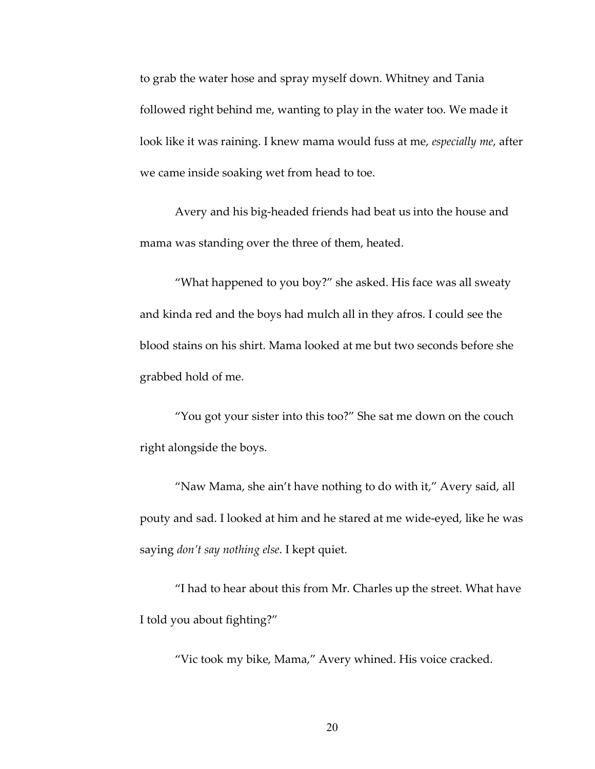to grab the water hose and spray myself down. Whitney and Tania followed right behind me, wanting to play in the water too. We made it look like it was raining. I knew mama would fuss at me, *especially me*, after we came inside soaking wet from head to toe.

Avery and his big-headed friends had beat us into the house and mama was standing over the three of them, heated.

"What happened to you boy?" she asked. His face was all sweaty and kinda red and the boys had mulch all in they afros. I could see the blood stains on his shirt. Mama looked at me but two seconds before she grabbed hold of me.

"You got your sister into this too?" She sat me down on the couch right alongside the boys.

"Naw Mama, she ain't have nothing to do with it," Avery said, all pouty and sad. I looked at him and he stared at me wide-eyed, like he was saying *don't say nothing else*. I kept quiet.

"I had to hear about this from Mr. Charles up the street. What have I told you about fighting?"

"Vic took my bike, Mama," Avery whined. His voice cracked.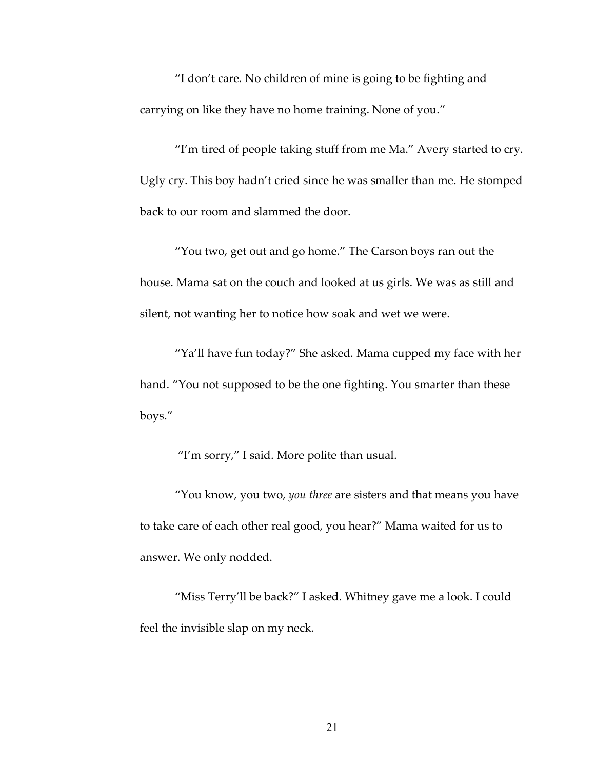"I don't care. No children of mine is going to be fighting and carrying on like they have no home training. None of you."

"I'm tired of people taking stuff from me Ma." Avery started to cry. Ugly cry. This boy hadn't cried since he was smaller than me. He stomped back to our room and slammed the door.

"You two, get out and go home." The Carson boys ran out the house. Mama sat on the couch and looked at us girls. We was as still and silent, not wanting her to notice how soak and wet we were.

"Ya'll have fun today?" She asked. Mama cupped my face with her hand. "You not supposed to be the one fighting. You smarter than these boys."

"I'm sorry," I said. More polite than usual.

"You know, you two, *you three* are sisters and that means you have to take care of each other real good, you hear?" Mama waited for us to answer. We only nodded.

"Miss Terry'll be back?" I asked. Whitney gave me a look. I could feel the invisible slap on my neck.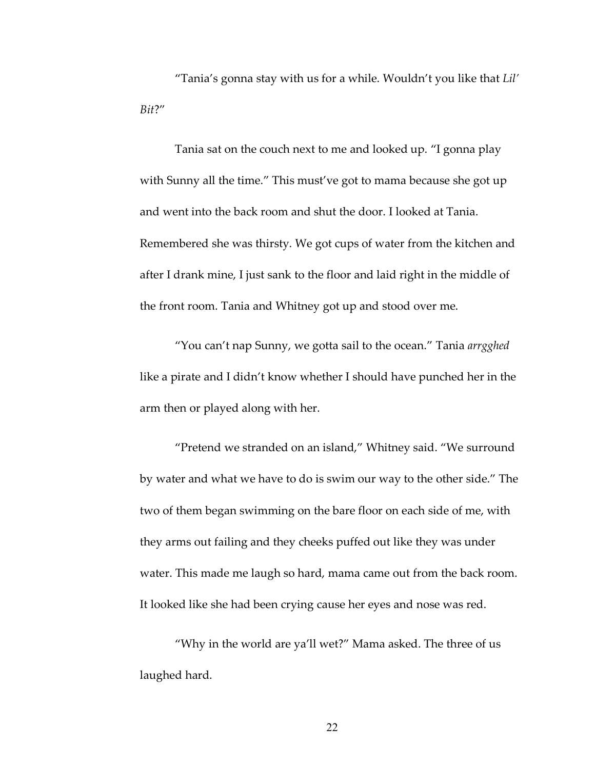"Tania's gonna stay with us for a while. Wouldn't you like that *Lil' Bit*?"

Tania sat on the couch next to me and looked up. "I gonna play with Sunny all the time." This must've got to mama because she got up and went into the back room and shut the door. I looked at Tania. Remembered she was thirsty. We got cups of water from the kitchen and after I drank mine, I just sank to the floor and laid right in the middle of the front room. Tania and Whitney got up and stood over me.

"You can't nap Sunny, we gotta sail to the ocean." Tania *arrgghed* like a pirate and I didn't know whether I should have punched her in the arm then or played along with her.

"Pretend we stranded on an island," Whitney said. "We surround by water and what we have to do is swim our way to the other side." The two of them began swimming on the bare floor on each side of me, with they arms out failing and they cheeks puffed out like they was under water. This made me laugh so hard, mama came out from the back room. It looked like she had been crying cause her eyes and nose was red.

"Why in the world are ya'll wet?" Mama asked. The three of us laughed hard.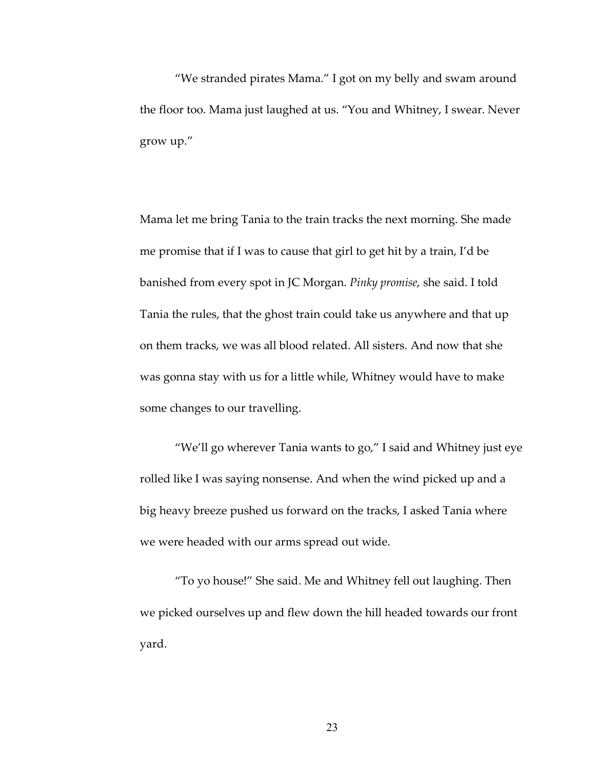"We stranded pirates Mama." I got on my belly and swam around the floor too. Mama just laughed at us. "You and Whitney, I swear. Never grow up."

Mama let me bring Tania to the train tracks the next morning. She made me promise that if I was to cause that girl to get hit by a train, I'd be banished from every spot in JC Morgan. *Pinky promise*, she said. I told Tania the rules, that the ghost train could take us anywhere and that up on them tracks, we was all blood related. All sisters. And now that she was gonna stay with us for a little while, Whitney would have to make some changes to our travelling.

"We'll go wherever Tania wants to go," I said and Whitney just eye rolled like I was saying nonsense. And when the wind picked up and a big heavy breeze pushed us forward on the tracks, I asked Tania where we were headed with our arms spread out wide.

"To yo house!" She said. Me and Whitney fell out laughing. Then we picked ourselves up and flew down the hill headed towards our front yard.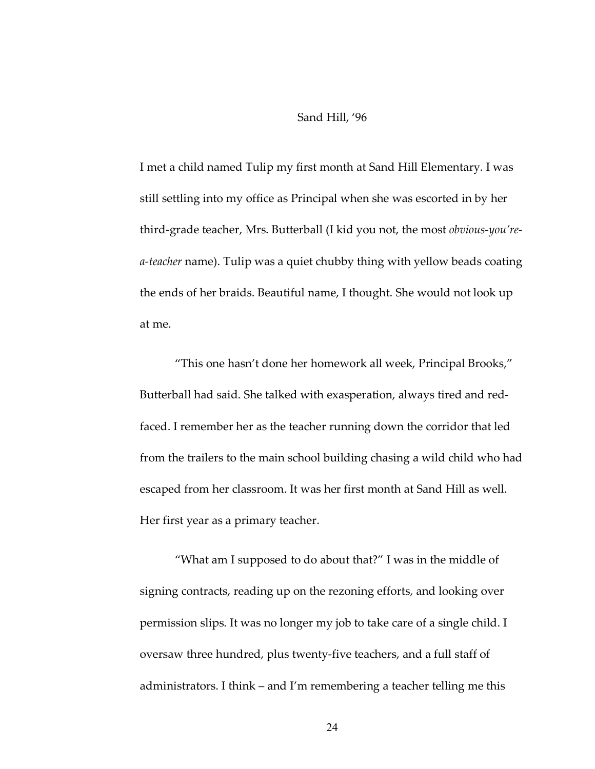#### Sand Hill, '96

I met a child named Tulip my first month at Sand Hill Elementary. I was still settling into my office as Principal when she was escorted in by her third-grade teacher, Mrs. Butterball (I kid you not, the most *obvious-you'rea-teacher* name). Tulip was a quiet chubby thing with yellow beads coating the ends of her braids. Beautiful name, I thought. She would not look up at me.

"This one hasn't done her homework all week, Principal Brooks," Butterball had said. She talked with exasperation, always tired and redfaced. I remember her as the teacher running down the corridor that led from the trailers to the main school building chasing a wild child who had escaped from her classroom. It was her first month at Sand Hill as well. Her first year as a primary teacher.

"What am I supposed to do about that?" I was in the middle of signing contracts, reading up on the rezoning efforts, and looking over permission slips. It was no longer my job to take care of a single child. I oversaw three hundred, plus twenty-five teachers, and a full staff of administrators. I think – and I'm remembering a teacher telling me this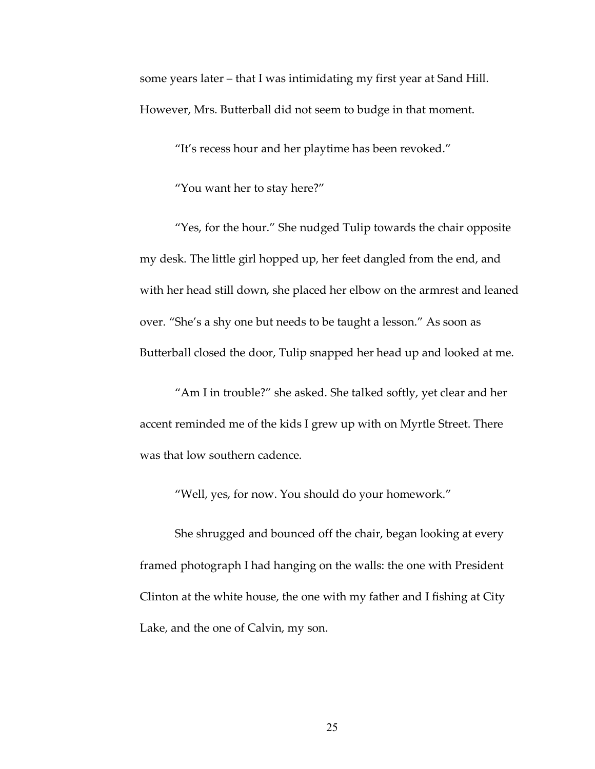some years later – that I was intimidating my first year at Sand Hill. However, Mrs. Butterball did not seem to budge in that moment.

"It's recess hour and her playtime has been revoked."

"You want her to stay here?"

"Yes, for the hour." She nudged Tulip towards the chair opposite my desk. The little girl hopped up, her feet dangled from the end, and with her head still down, she placed her elbow on the armrest and leaned over. "She's a shy one but needs to be taught a lesson." As soon as Butterball closed the door, Tulip snapped her head up and looked at me.

"Am I in trouble?" she asked. She talked softly, yet clear and her accent reminded me of the kids I grew up with on Myrtle Street. There was that low southern cadence.

"Well, yes, for now. You should do your homework."

She shrugged and bounced off the chair, began looking at every framed photograph I had hanging on the walls: the one with President Clinton at the white house, the one with my father and I fishing at City Lake, and the one of Calvin, my son.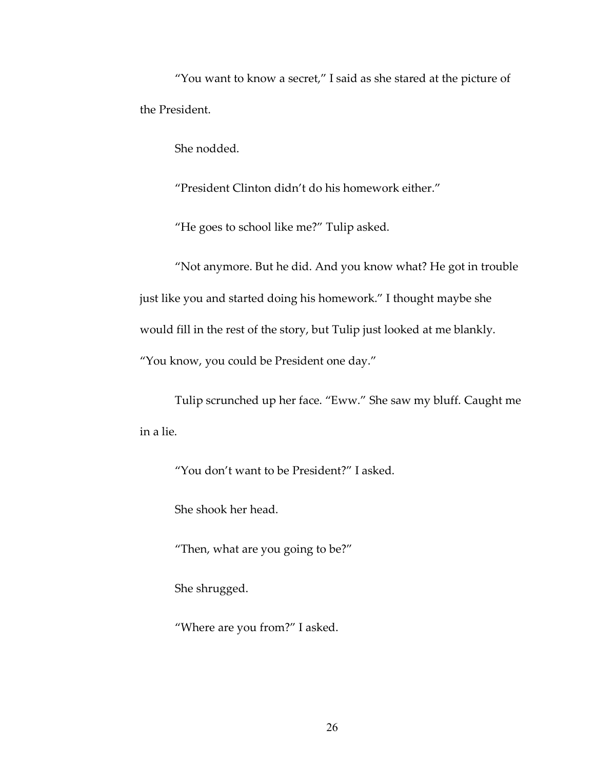"You want to know a secret," I said as she stared at the picture of the President.

She nodded.

"President Clinton didn't do his homework either."

"He goes to school like me?" Tulip asked.

"Not anymore. But he did. And you know what? He got in trouble just like you and started doing his homework." I thought maybe she would fill in the rest of the story, but Tulip just looked at me blankly. "You know, you could be President one day."

Tulip scrunched up her face. "Eww." She saw my bluff. Caught me in a lie.

"You don't want to be President?" I asked.

She shook her head.

"Then, what are you going to be?"

She shrugged.

"Where are you from?" I asked.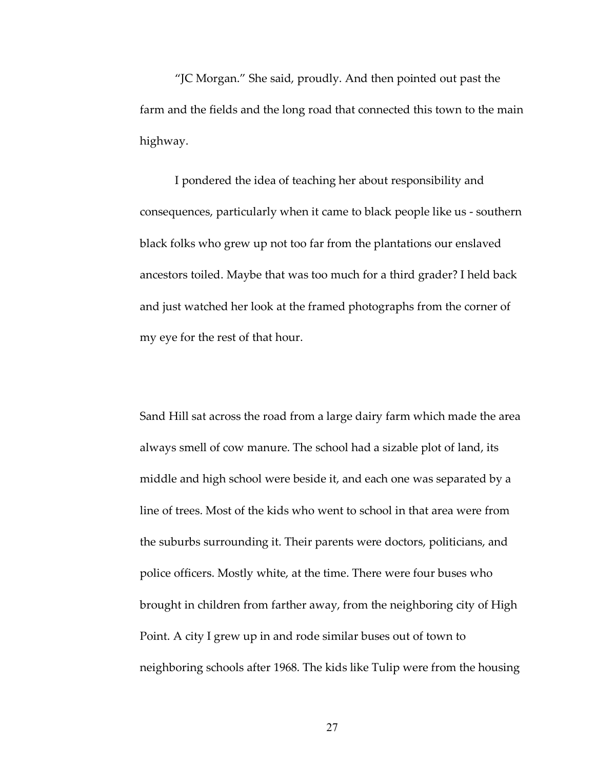"JC Morgan." She said, proudly. And then pointed out past the farm and the fields and the long road that connected this town to the main highway.

I pondered the idea of teaching her about responsibility and consequences, particularly when it came to black people like us - southern black folks who grew up not too far from the plantations our enslaved ancestors toiled. Maybe that was too much for a third grader? I held back and just watched her look at the framed photographs from the corner of my eye for the rest of that hour.

Sand Hill sat across the road from a large dairy farm which made the area always smell of cow manure. The school had a sizable plot of land, its middle and high school were beside it, and each one was separated by a line of trees. Most of the kids who went to school in that area were from the suburbs surrounding it. Their parents were doctors, politicians, and police officers. Mostly white, at the time. There were four buses who brought in children from farther away, from the neighboring city of High Point. A city I grew up in and rode similar buses out of town to neighboring schools after 1968. The kids like Tulip were from the housing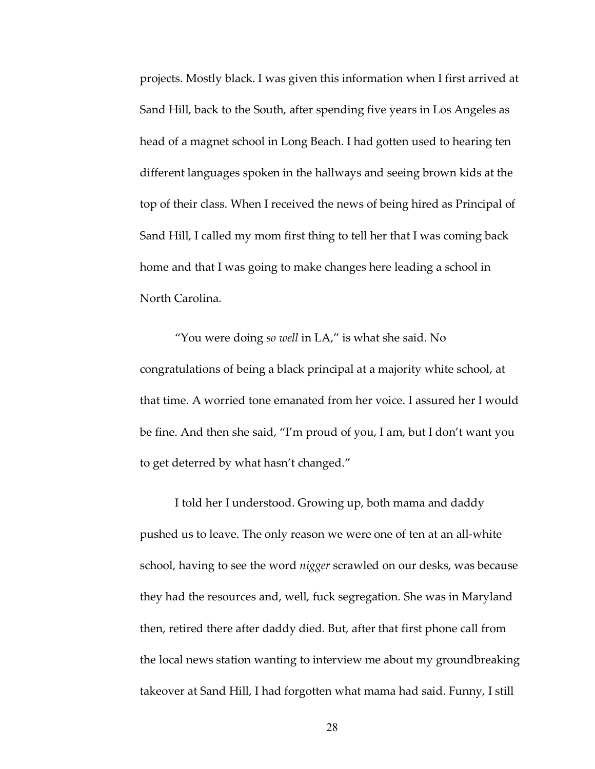projects. Mostly black. I was given this information when I first arrived at Sand Hill, back to the South, after spending five years in Los Angeles as head of a magnet school in Long Beach. I had gotten used to hearing ten different languages spoken in the hallways and seeing brown kids at the top of their class. When I received the news of being hired as Principal of Sand Hill, I called my mom first thing to tell her that I was coming back home and that I was going to make changes here leading a school in North Carolina.

"You were doing *so well* in LA," is what she said. No congratulations of being a black principal at a majority white school, at that time. A worried tone emanated from her voice. I assured her I would be fine. And then she said, "I'm proud of you, I am, but I don't want you to get deterred by what hasn't changed."

I told her I understood. Growing up, both mama and daddy pushed us to leave. The only reason we were one of ten at an all-white school, having to see the word *nigger* scrawled on our desks, was because they had the resources and, well, fuck segregation. She was in Maryland then, retired there after daddy died. But, after that first phone call from the local news station wanting to interview me about my groundbreaking takeover at Sand Hill, I had forgotten what mama had said. Funny, I still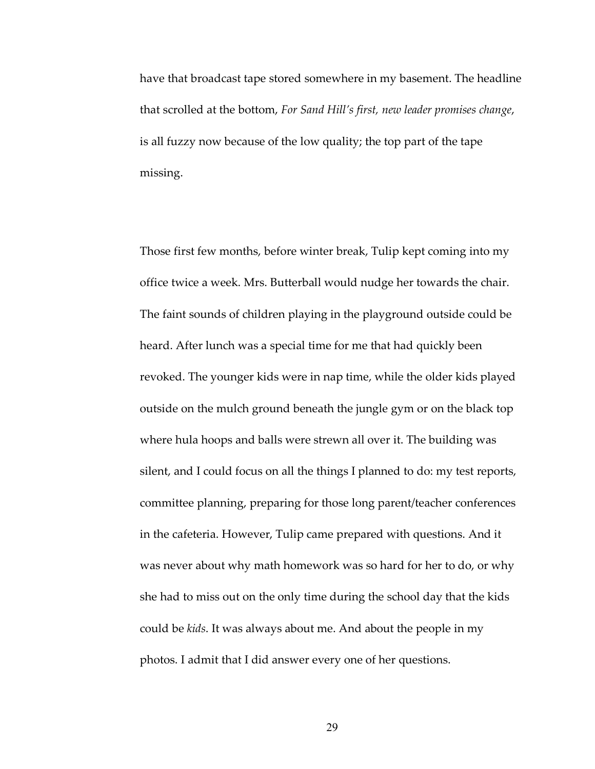have that broadcast tape stored somewhere in my basement. The headline that scrolled at the bottom, *For Sand Hill's first, new leader promises change*, is all fuzzy now because of the low quality; the top part of the tape missing.

Those first few months, before winter break, Tulip kept coming into my office twice a week. Mrs. Butterball would nudge her towards the chair. The faint sounds of children playing in the playground outside could be heard. After lunch was a special time for me that had quickly been revoked. The younger kids were in nap time, while the older kids played outside on the mulch ground beneath the jungle gym or on the black top where hula hoops and balls were strewn all over it. The building was silent, and I could focus on all the things I planned to do: my test reports, committee planning, preparing for those long parent/teacher conferences in the cafeteria. However, Tulip came prepared with questions. And it was never about why math homework was so hard for her to do, or why she had to miss out on the only time during the school day that the kids could be *kids*. It was always about me. And about the people in my photos. I admit that I did answer every one of her questions.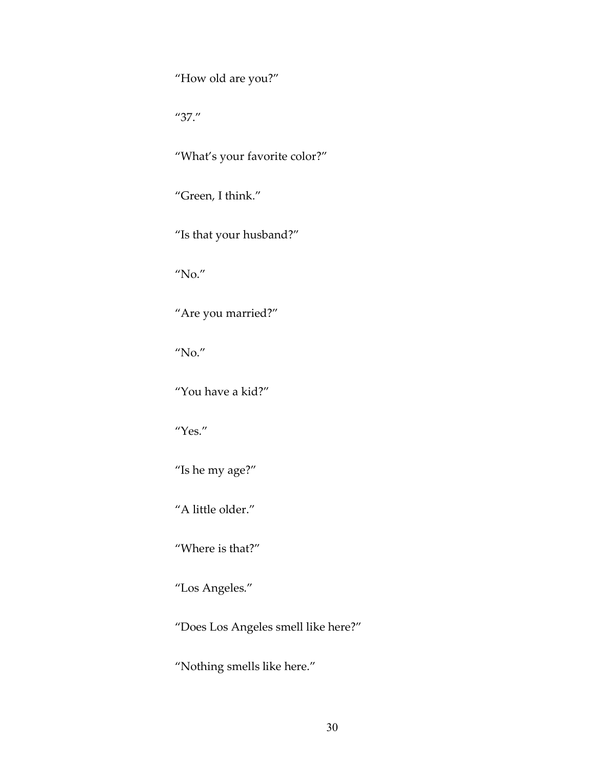"How old are you?"

"37."

"What's your favorite color?"

"Green, I think."

"Is that your husband?"

"No."

"Are you married?"

"No."

"You have a kid?"

"Yes."

"Is he my age?"

"A little older."

"Where is that?"

"Los Angeles."

"Does Los Angeles smell like here?"

"Nothing smells like here."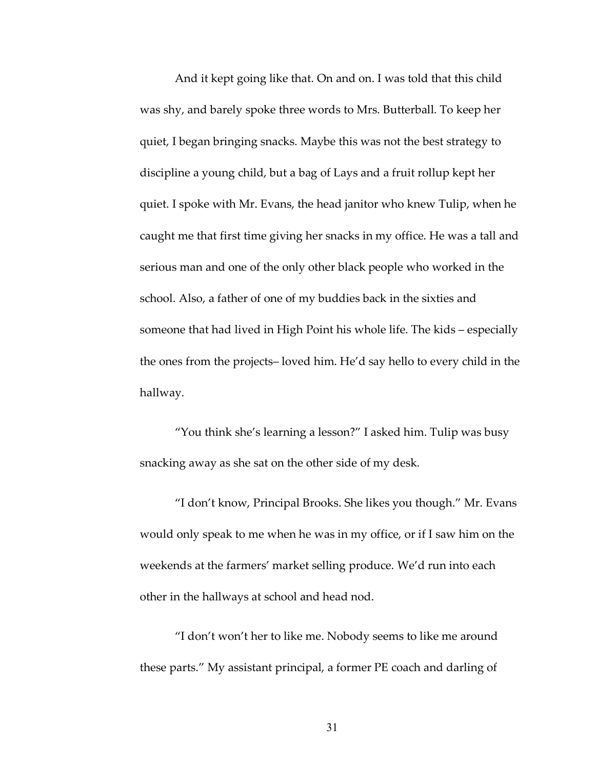And it kept going like that. On and on. I was told that this child was shy, and barely spoke three words to Mrs. Butterball. To keep her quiet, I began bringing snacks. Maybe this was not the best strategy to discipline a young child, but a bag of Lays and a fruit rollup kept her quiet. I spoke with Mr. Evans, the head janitor who knew Tulip, when he caught me that first time giving her snacks in my office. He was a tall and serious man and one of the only other black people who worked in the school. Also, a father of one of my buddies back in the sixties and someone that had lived in High Point his whole life. The kids – especially the ones from the projects– loved him. He'd say hello to every child in the hallway.

"You think she's learning a lesson?" I asked him. Tulip was busy snacking away as she sat on the other side of my desk.

"I don't know, Principal Brooks. She likes you though." Mr. Evans would only speak to me when he was in my office, or if I saw him on the weekends at the farmers' market selling produce. We'd run into each other in the hallways at school and head nod.

"I don't won't her to like me. Nobody seems to like me around these parts." My assistant principal, a former PE coach and darling of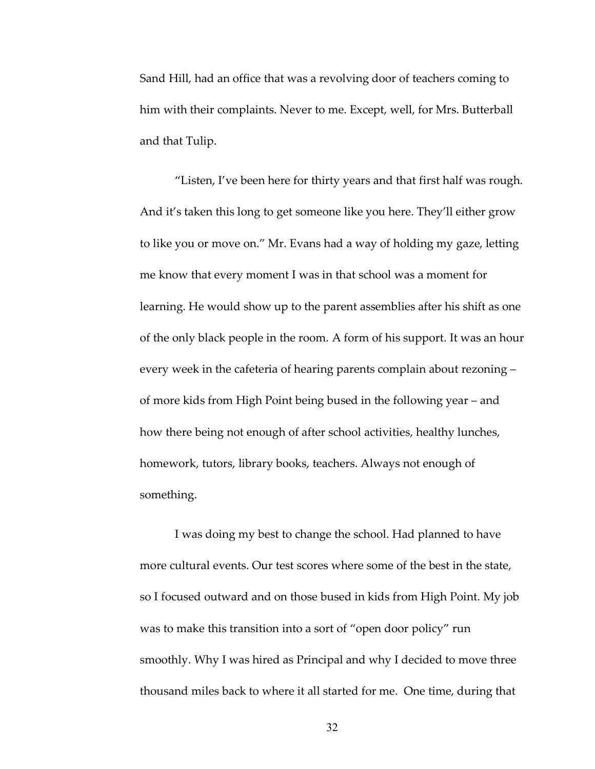Sand Hill, had an office that was a revolving door of teachers coming to him with their complaints. Never to me. Except, well, for Mrs. Butterball and that Tulip.

"Listen, I've been here for thirty years and that first half was rough. And it's taken this long to get someone like you here. They'll either grow to like you or move on." Mr. Evans had a way of holding my gaze, letting me know that every moment I was in that school was a moment for learning. He would show up to the parent assemblies after his shift as one of the only black people in the room. A form of his support. It was an hour every week in the cafeteria of hearing parents complain about rezoning – of more kids from High Point being bused in the following year – and how there being not enough of after school activities, healthy lunches, homework, tutors, library books, teachers. Always not enough of something.

I was doing my best to change the school. Had planned to have more cultural events. Our test scores where some of the best in the state, so I focused outward and on those bused in kids from High Point. My job was to make this transition into a sort of "open door policy" run smoothly. Why I was hired as Principal and why I decided to move three thousand miles back to where it all started for me. One time, during that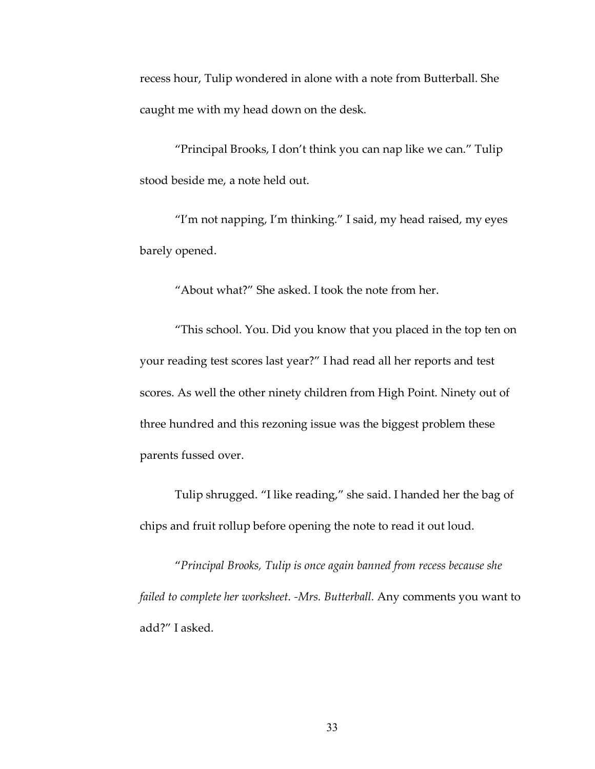recess hour, Tulip wondered in alone with a note from Butterball. She caught me with my head down on the desk.

"Principal Brooks, I don't think you can nap like we can." Tulip stood beside me, a note held out.

"I'm not napping, I'm thinking." I said, my head raised, my eyes barely opened.

"About what?" She asked. I took the note from her.

"This school. You. Did you know that you placed in the top ten on your reading test scores last year?" I had read all her reports and test scores. As well the other ninety children from High Point. Ninety out of three hundred and this rezoning issue was the biggest problem these parents fussed over.

Tulip shrugged. "I like reading," she said. I handed her the bag of chips and fruit rollup before opening the note to read it out loud.

"*Principal Brooks, Tulip is once again banned from recess because she failed to complete her worksheet. -Mrs. Butterball.* Any comments you want to add?" I asked.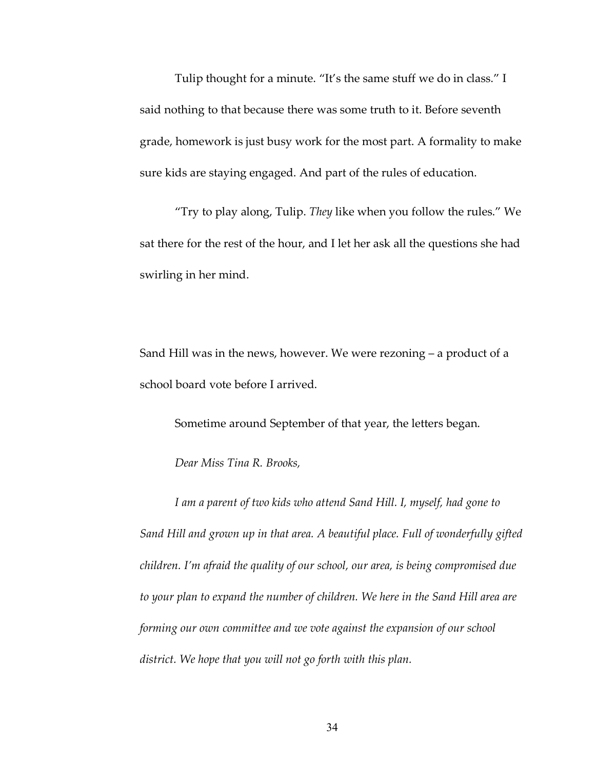Tulip thought for a minute. "It's the same stuff we do in class." I said nothing to that because there was some truth to it. Before seventh grade, homework is just busy work for the most part. A formality to make sure kids are staying engaged. And part of the rules of education.

"Try to play along, Tulip. *They* like when you follow the rules." We sat there for the rest of the hour, and I let her ask all the questions she had swirling in her mind.

Sand Hill was in the news, however. We were rezoning – a product of a school board vote before I arrived.

Sometime around September of that year, the letters began.

*Dear Miss Tina R. Brooks,*

*I am a parent of two kids who attend Sand Hill. I, myself, had gone to Sand Hill and grown up in that area. A beautiful place. Full of wonderfully gifted children. I'm afraid the quality of our school, our area, is being compromised due to your plan to expand the number of children. We here in the Sand Hill area are forming our own committee and we vote against the expansion of our school district. We hope that you will not go forth with this plan.*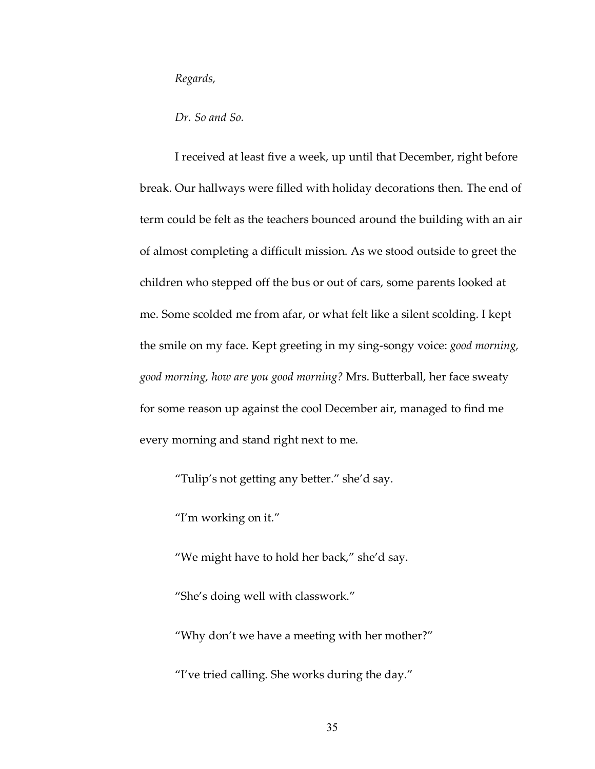*Regards,*

*Dr. So and So.* 

I received at least five a week, up until that December, right before break. Our hallways were filled with holiday decorations then. The end of term could be felt as the teachers bounced around the building with an air of almost completing a difficult mission. As we stood outside to greet the children who stepped off the bus or out of cars, some parents looked at me. Some scolded me from afar, or what felt like a silent scolding. I kept the smile on my face. Kept greeting in my sing-songy voice: *good morning, good morning, how are you good morning?* Mrs. Butterball, her face sweaty for some reason up against the cool December air, managed to find me every morning and stand right next to me.

"Tulip's not getting any better." she'd say.

"I'm working on it."

"We might have to hold her back," she'd say.

"She's doing well with classwork."

"Why don't we have a meeting with her mother?"

"I've tried calling. She works during the day."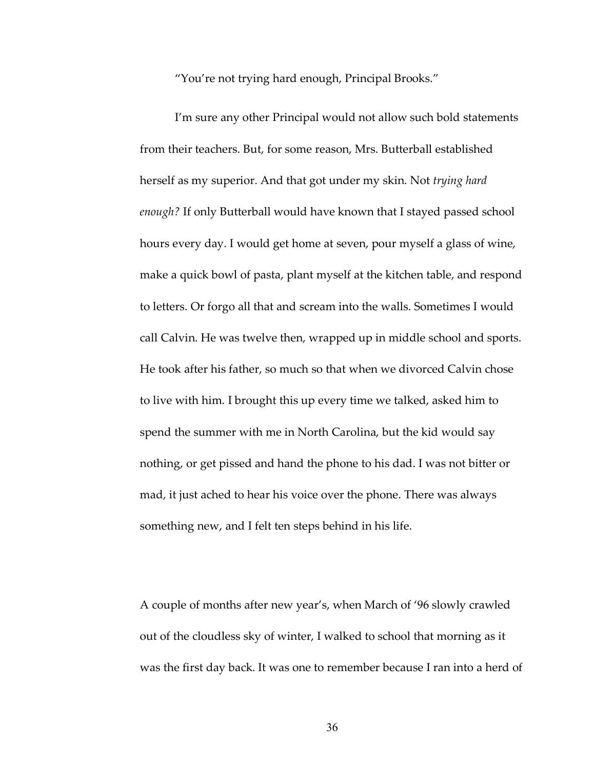"You're not trying hard enough, Principal Brooks."

I'm sure any other Principal would not allow such bold statements from their teachers. But, for some reason, Mrs. Butterball established herself as my superior. And that got under my skin. Not *trying hard enough?* If only Butterball would have known that I stayed passed school hours every day. I would get home at seven, pour myself a glass of wine, make a quick bowl of pasta, plant myself at the kitchen table, and respond to letters. Or forgo all that and scream into the walls. Sometimes I would call Calvin. He was twelve then, wrapped up in middle school and sports. He took after his father, so much so that when we divorced Calvin chose to live with him. I brought this up every time we talked, asked him to spend the summer with me in North Carolina, but the kid would say nothing, or get pissed and hand the phone to his dad. I was not bitter or mad, it just ached to hear his voice over the phone. There was always something new, and I felt ten steps behind in his life.

A couple of months after new year's, when March of '96 slowly crawled out of the cloudless sky of winter, I walked to school that morning as it was the first day back. It was one to remember because I ran into a herd of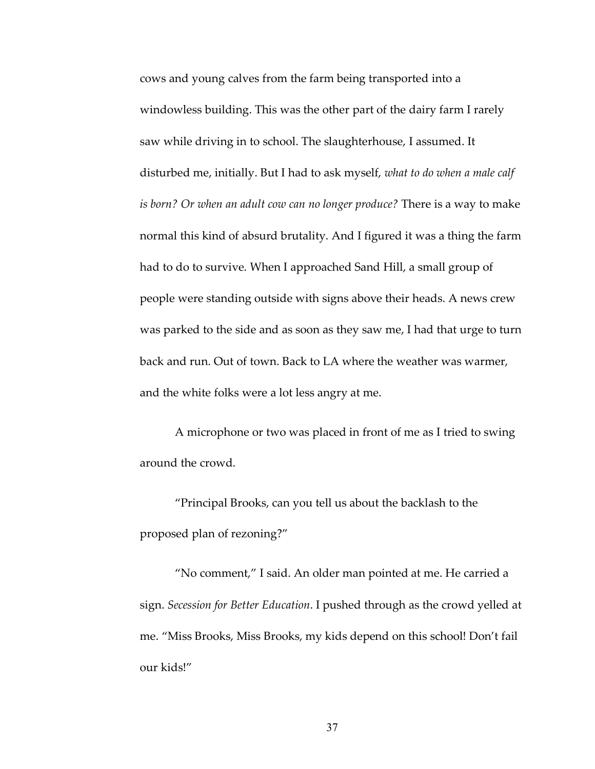cows and young calves from the farm being transported into a windowless building. This was the other part of the dairy farm I rarely saw while driving in to school. The slaughterhouse, I assumed. It disturbed me, initially. But I had to ask myself, *what to do when a male calf is born? Or when an adult cow can no longer produce?* There is a way to make normal this kind of absurd brutality. And I figured it was a thing the farm had to do to survive. When I approached Sand Hill, a small group of people were standing outside with signs above their heads. A news crew was parked to the side and as soon as they saw me, I had that urge to turn back and run. Out of town. Back to LA where the weather was warmer, and the white folks were a lot less angry at me.

A microphone or two was placed in front of me as I tried to swing around the crowd.

"Principal Brooks, can you tell us about the backlash to the proposed plan of rezoning?"

"No comment," I said. An older man pointed at me. He carried a sign. *Secession for Better Education*. I pushed through as the crowd yelled at me. "Miss Brooks, Miss Brooks, my kids depend on this school! Don't fail our kids!"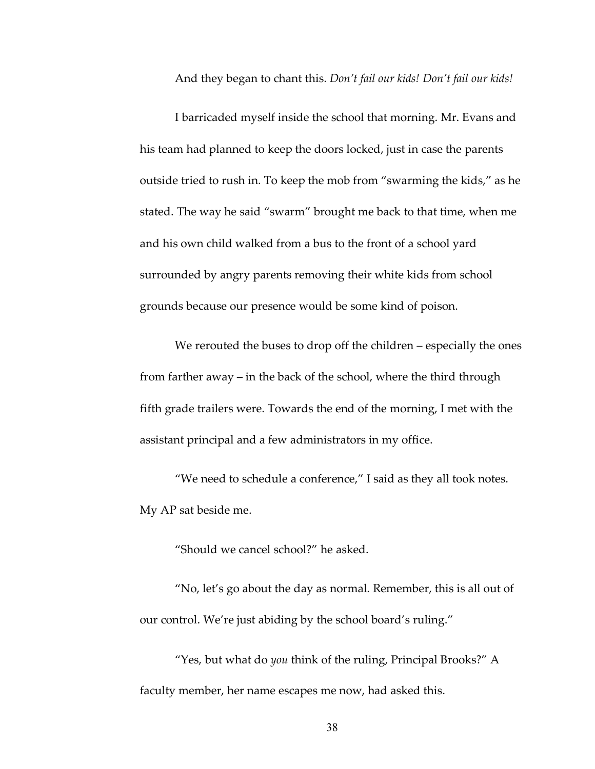And they began to chant this. *Don't fail our kids! Don't fail our kids!*

I barricaded myself inside the school that morning. Mr. Evans and his team had planned to keep the doors locked, just in case the parents outside tried to rush in. To keep the mob from "swarming the kids," as he stated. The way he said "swarm" brought me back to that time, when me and his own child walked from a bus to the front of a school yard surrounded by angry parents removing their white kids from school grounds because our presence would be some kind of poison.

We rerouted the buses to drop off the children – especially the ones from farther away – in the back of the school, where the third through fifth grade trailers were. Towards the end of the morning, I met with the assistant principal and a few administrators in my office.

"We need to schedule a conference," I said as they all took notes. My AP sat beside me.

"Should we cancel school?" he asked.

"No, let's go about the day as normal. Remember, this is all out of our control. We're just abiding by the school board's ruling."

"Yes, but what do *you* think of the ruling, Principal Brooks?" A faculty member, her name escapes me now, had asked this.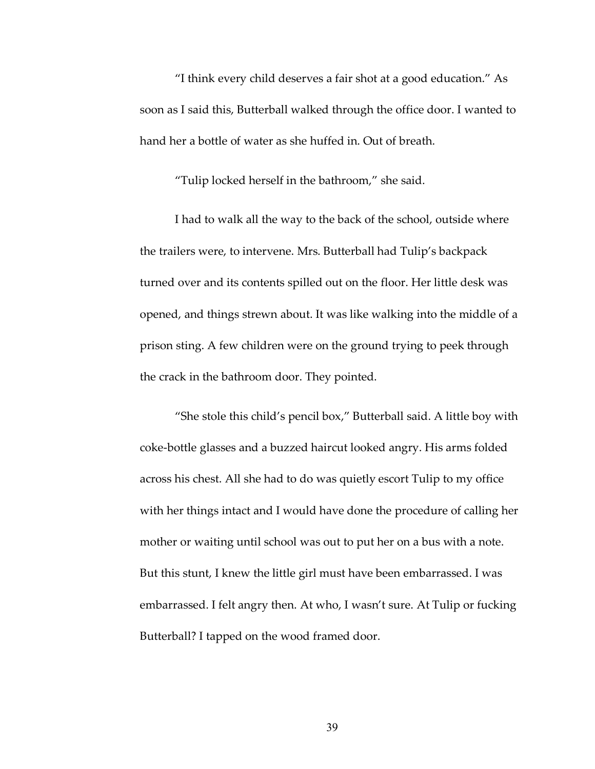"I think every child deserves a fair shot at a good education." As soon as I said this, Butterball walked through the office door. I wanted to hand her a bottle of water as she huffed in. Out of breath.

"Tulip locked herself in the bathroom," she said.

I had to walk all the way to the back of the school, outside where the trailers were, to intervene. Mrs. Butterball had Tulip's backpack turned over and its contents spilled out on the floor. Her little desk was opened, and things strewn about. It was like walking into the middle of a prison sting. A few children were on the ground trying to peek through the crack in the bathroom door. They pointed.

"She stole this child's pencil box," Butterball said. A little boy with coke-bottle glasses and a buzzed haircut looked angry. His arms folded across his chest. All she had to do was quietly escort Tulip to my office with her things intact and I would have done the procedure of calling her mother or waiting until school was out to put her on a bus with a note. But this stunt, I knew the little girl must have been embarrassed. I was embarrassed. I felt angry then. At who, I wasn't sure. At Tulip or fucking Butterball? I tapped on the wood framed door.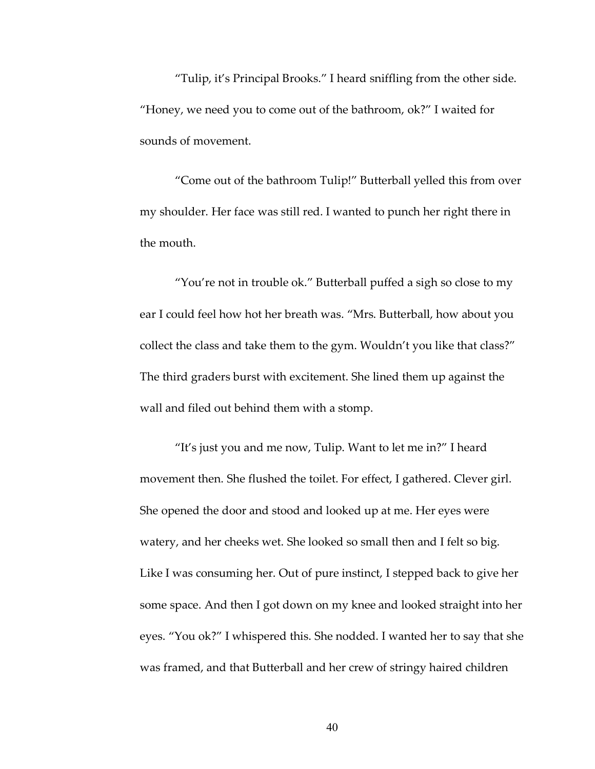"Tulip, it's Principal Brooks." I heard sniffling from the other side. "Honey, we need you to come out of the bathroom, ok?" I waited for sounds of movement.

"Come out of the bathroom Tulip!" Butterball yelled this from over my shoulder. Her face was still red. I wanted to punch her right there in the mouth.

"You're not in trouble ok." Butterball puffed a sigh so close to my ear I could feel how hot her breath was. "Mrs. Butterball, how about you collect the class and take them to the gym. Wouldn't you like that class?" The third graders burst with excitement. She lined them up against the wall and filed out behind them with a stomp.

"It's just you and me now, Tulip. Want to let me in?" I heard movement then. She flushed the toilet. For effect, I gathered. Clever girl. She opened the door and stood and looked up at me. Her eyes were watery, and her cheeks wet. She looked so small then and I felt so big. Like I was consuming her. Out of pure instinct, I stepped back to give her some space. And then I got down on my knee and looked straight into her eyes. "You ok?" I whispered this. She nodded. I wanted her to say that she was framed, and that Butterball and her crew of stringy haired children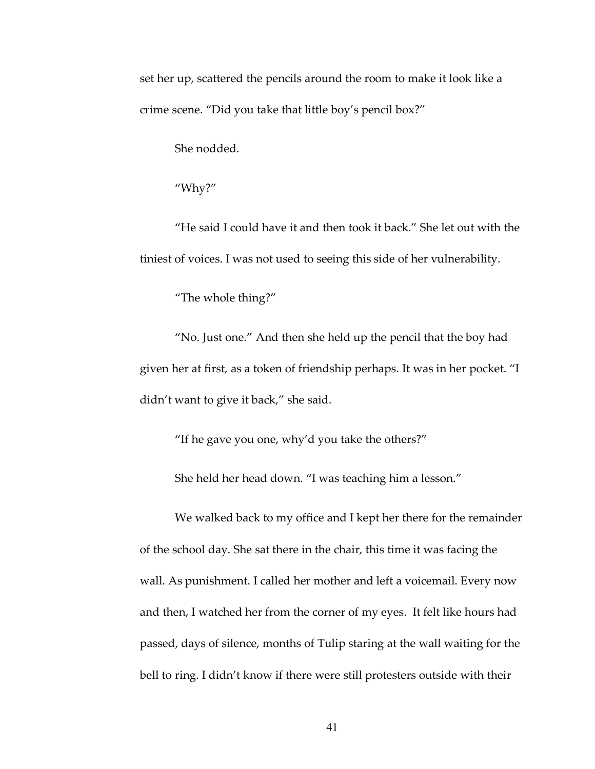set her up, scattered the pencils around the room to make it look like a crime scene. "Did you take that little boy's pencil box?"

She nodded.

"Why?"

"He said I could have it and then took it back." She let out with the tiniest of voices. I was not used to seeing this side of her vulnerability.

"The whole thing?"

"No. Just one." And then she held up the pencil that the boy had given her at first, as a token of friendship perhaps. It was in her pocket. "I didn't want to give it back," she said.

"If he gave you one, why'd you take the others?"

She held her head down. "I was teaching him a lesson."

We walked back to my office and I kept her there for the remainder of the school day. She sat there in the chair, this time it was facing the wall. As punishment. I called her mother and left a voicemail. Every now and then, I watched her from the corner of my eyes. It felt like hours had passed, days of silence, months of Tulip staring at the wall waiting for the bell to ring. I didn't know if there were still protesters outside with their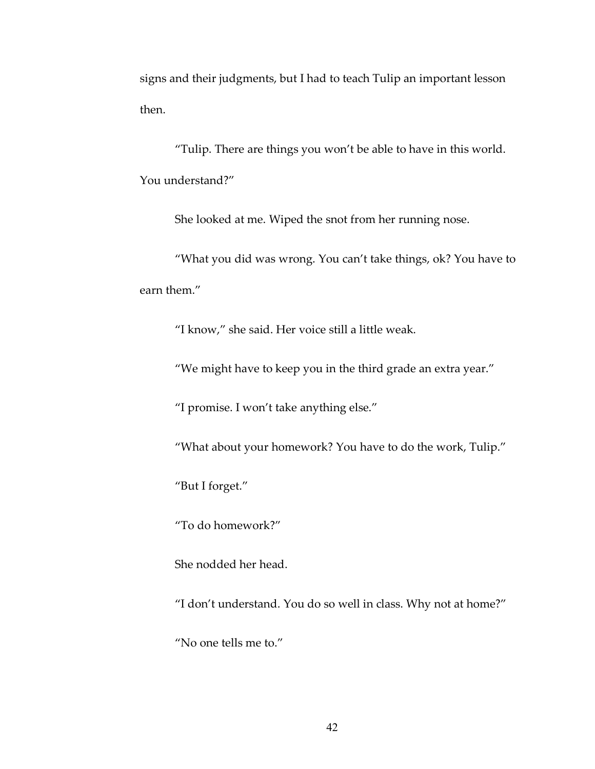signs and their judgments, but I had to teach Tulip an important lesson then.

"Tulip. There are things you won't be able to have in this world. You understand?"

She looked at me. Wiped the snot from her running nose.

"What you did was wrong. You can't take things, ok? You have to earn them."

"I know," she said. Her voice still a little weak.

"We might have to keep you in the third grade an extra year."

"I promise. I won't take anything else."

"What about your homework? You have to do the work, Tulip."

"But I forget."

"To do homework?"

She nodded her head.

"I don't understand. You do so well in class. Why not at home?"

"No one tells me to."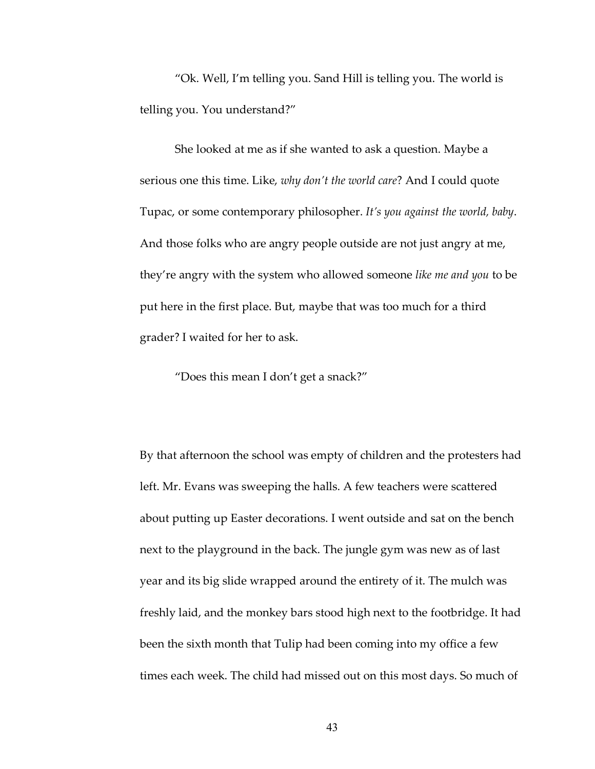"Ok. Well, I'm telling you. Sand Hill is telling you. The world is telling you. You understand?"

She looked at me as if she wanted to ask a question. Maybe a serious one this time. Like, *why don't the world care*? And I could quote Tupac, or some contemporary philosopher. *It's you against the world, baby*. And those folks who are angry people outside are not just angry at me, they're angry with the system who allowed someone *like me and you* to be put here in the first place. But, maybe that was too much for a third grader? I waited for her to ask.

"Does this mean I don't get a snack?"

By that afternoon the school was empty of children and the protesters had left. Mr. Evans was sweeping the halls. A few teachers were scattered about putting up Easter decorations. I went outside and sat on the bench next to the playground in the back. The jungle gym was new as of last year and its big slide wrapped around the entirety of it. The mulch was freshly laid, and the monkey bars stood high next to the footbridge. It had been the sixth month that Tulip had been coming into my office a few times each week. The child had missed out on this most days. So much of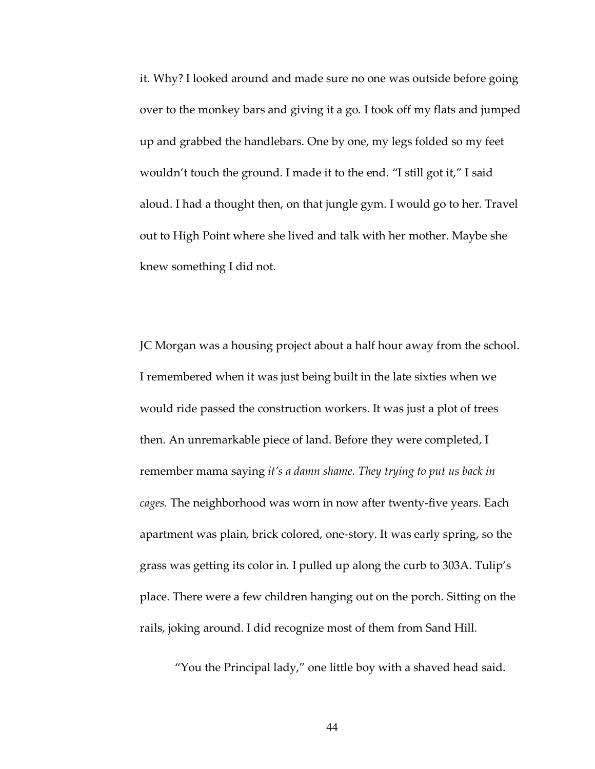it. Why? I looked around and made sure no one was outside before going over to the monkey bars and giving it a go. I took off my flats and jumped up and grabbed the handlebars. One by one, my legs folded so my feet wouldn't touch the ground. I made it to the end. "I still got it," I said aloud. I had a thought then, on that jungle gym. I would go to her. Travel out to High Point where she lived and talk with her mother. Maybe she knew something I did not.

JC Morgan was a housing project about a half hour away from the school. I remembered when it was just being built in the late sixties when we would ride passed the construction workers. It was just a plot of trees then. An unremarkable piece of land. Before they were completed, I remember mama saying *it's a damn shame. They trying to put us back in cages.* The neighborhood was worn in now after twenty-five years. Each apartment was plain, brick colored, one-story. It was early spring, so the grass was getting its color in. I pulled up along the curb to 303A. Tulip's place. There were a few children hanging out on the porch. Sitting on the rails, joking around. I did recognize most of them from Sand Hill.

"You the Principal lady," one little boy with a shaved head said.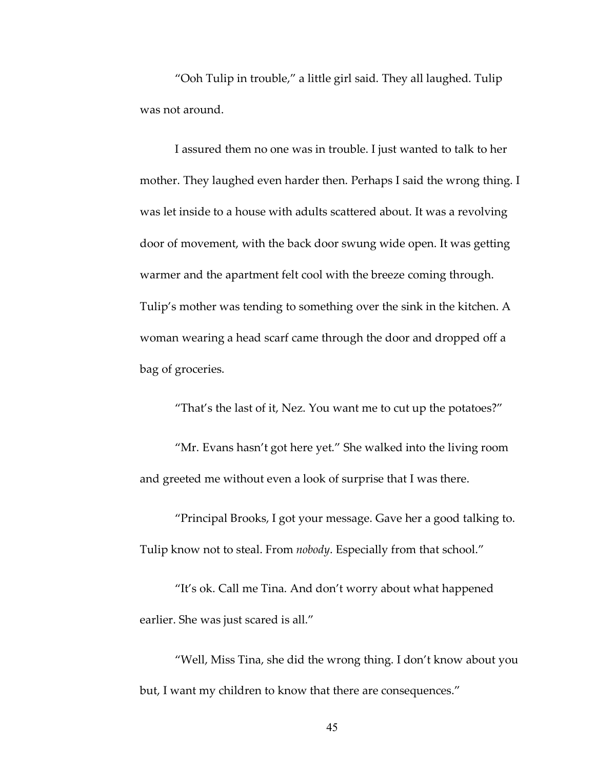"Ooh Tulip in trouble," a little girl said. They all laughed. Tulip was not around.

I assured them no one was in trouble. I just wanted to talk to her mother. They laughed even harder then. Perhaps I said the wrong thing. I was let inside to a house with adults scattered about. It was a revolving door of movement, with the back door swung wide open. It was getting warmer and the apartment felt cool with the breeze coming through. Tulip's mother was tending to something over the sink in the kitchen. A woman wearing a head scarf came through the door and dropped off a bag of groceries.

"That's the last of it, Nez. You want me to cut up the potatoes?"

"Mr. Evans hasn't got here yet." She walked into the living room and greeted me without even a look of surprise that I was there.

"Principal Brooks, I got your message. Gave her a good talking to. Tulip know not to steal. From *nobody*. Especially from that school."

"It's ok. Call me Tina. And don't worry about what happened earlier. She was just scared is all."

"Well, Miss Tina, she did the wrong thing. I don't know about you but, I want my children to know that there are consequences."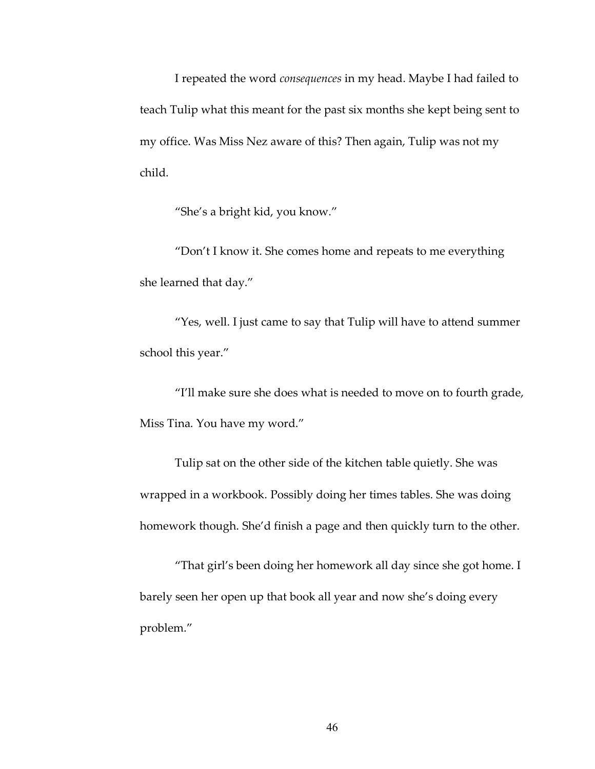I repeated the word *consequences* in my head. Maybe I had failed to teach Tulip what this meant for the past six months she kept being sent to my office. Was Miss Nez aware of this? Then again, Tulip was not my child.

"She's a bright kid, you know."

"Don't I know it. She comes home and repeats to me everything she learned that day."

"Yes, well. I just came to say that Tulip will have to attend summer school this year."

"I'll make sure she does what is needed to move on to fourth grade, Miss Tina. You have my word."

Tulip sat on the other side of the kitchen table quietly. She was wrapped in a workbook. Possibly doing her times tables. She was doing homework though. She'd finish a page and then quickly turn to the other.

"That girl's been doing her homework all day since she got home. I barely seen her open up that book all year and now she's doing every problem."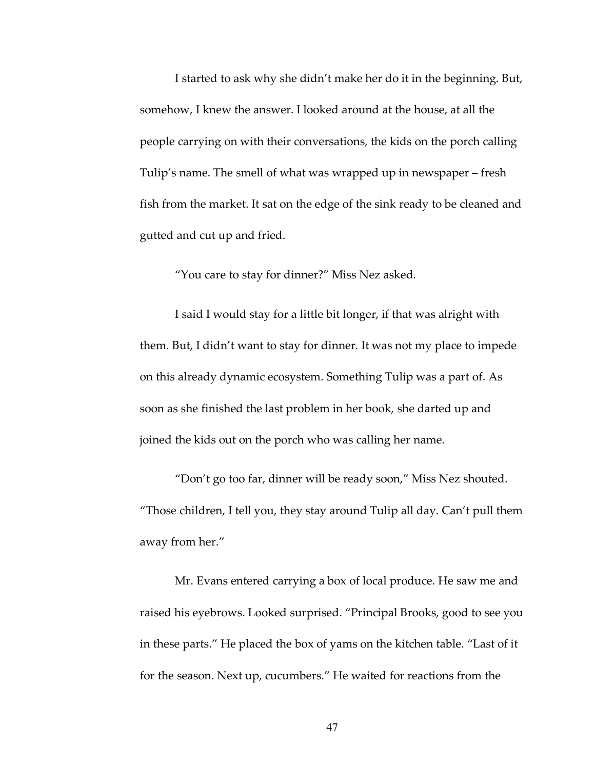I started to ask why she didn't make her do it in the beginning. But, somehow, I knew the answer. I looked around at the house, at all the people carrying on with their conversations, the kids on the porch calling Tulip's name. The smell of what was wrapped up in newspaper – fresh fish from the market. It sat on the edge of the sink ready to be cleaned and gutted and cut up and fried.

"You care to stay for dinner?" Miss Nez asked.

I said I would stay for a little bit longer, if that was alright with them. But, I didn't want to stay for dinner. It was not my place to impede on this already dynamic ecosystem. Something Tulip was a part of. As soon as she finished the last problem in her book, she darted up and joined the kids out on the porch who was calling her name.

"Don't go too far, dinner will be ready soon," Miss Nez shouted. "Those children, I tell you, they stay around Tulip all day. Can't pull them away from her."

Mr. Evans entered carrying a box of local produce. He saw me and raised his eyebrows. Looked surprised. "Principal Brooks, good to see you in these parts." He placed the box of yams on the kitchen table. "Last of it for the season. Next up, cucumbers." He waited for reactions from the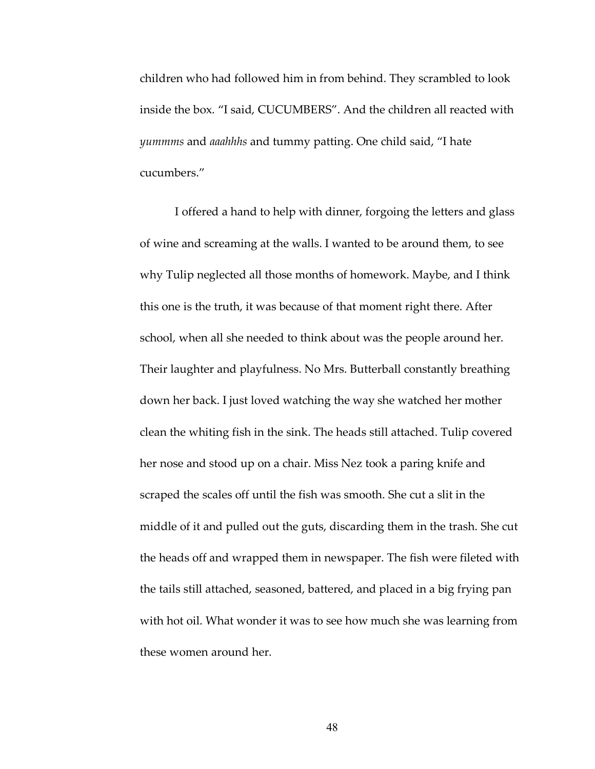children who had followed him in from behind. They scrambled to look inside the box. "I said, CUCUMBERS". And the children all reacted with *yummms* and *aaahhhs* and tummy patting. One child said, "I hate cucumbers."

I offered a hand to help with dinner, forgoing the letters and glass of wine and screaming at the walls. I wanted to be around them, to see why Tulip neglected all those months of homework. Maybe, and I think this one is the truth, it was because of that moment right there. After school, when all she needed to think about was the people around her. Their laughter and playfulness. No Mrs. Butterball constantly breathing down her back. I just loved watching the way she watched her mother clean the whiting fish in the sink. The heads still attached. Tulip covered her nose and stood up on a chair. Miss Nez took a paring knife and scraped the scales off until the fish was smooth. She cut a slit in the middle of it and pulled out the guts, discarding them in the trash. She cut the heads off and wrapped them in newspaper. The fish were fileted with the tails still attached, seasoned, battered, and placed in a big frying pan with hot oil. What wonder it was to see how much she was learning from these women around her.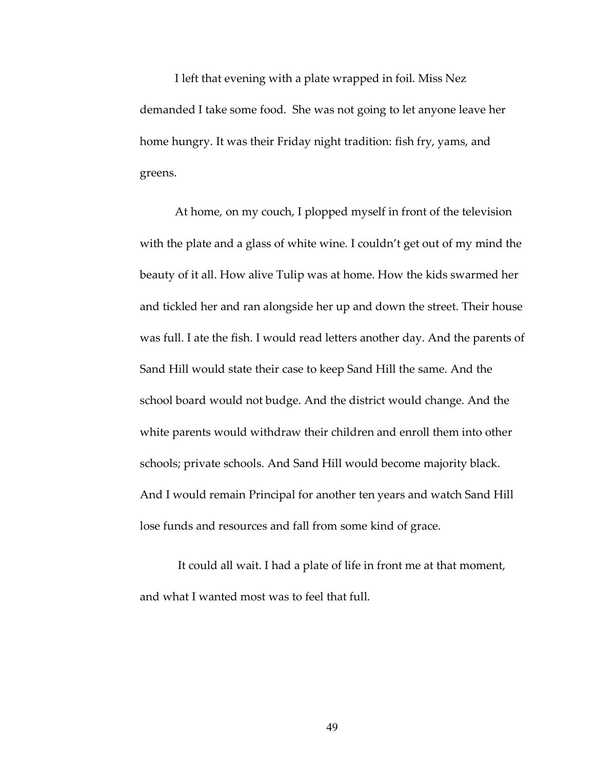I left that evening with a plate wrapped in foil. Miss Nez demanded I take some food. She was not going to let anyone leave her home hungry. It was their Friday night tradition: fish fry, yams, and greens.

At home, on my couch, I plopped myself in front of the television with the plate and a glass of white wine. I couldn't get out of my mind the beauty of it all. How alive Tulip was at home. How the kids swarmed her and tickled her and ran alongside her up and down the street. Their house was full. I ate the fish. I would read letters another day. And the parents of Sand Hill would state their case to keep Sand Hill the same. And the school board would not budge. And the district would change. And the white parents would withdraw their children and enroll them into other schools; private schools. And Sand Hill would become majority black. And I would remain Principal for another ten years and watch Sand Hill lose funds and resources and fall from some kind of grace.

It could all wait. I had a plate of life in front me at that moment, and what I wanted most was to feel that full.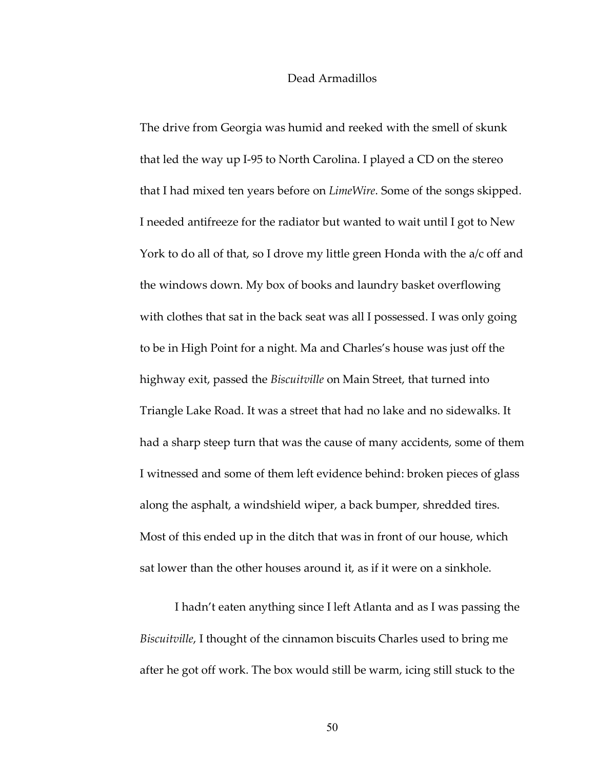## Dead Armadillos

The drive from Georgia was humid and reeked with the smell of skunk that led the way up I-95 to North Carolina. I played a CD on the stereo that I had mixed ten years before on *LimeWire*. Some of the songs skipped. I needed antifreeze for the radiator but wanted to wait until I got to New York to do all of that, so I drove my little green Honda with the a/c off and the windows down. My box of books and laundry basket overflowing with clothes that sat in the back seat was all I possessed. I was only going to be in High Point for a night. Ma and Charles's house was just off the highway exit, passed the *Biscuitville* on Main Street, that turned into Triangle Lake Road. It was a street that had no lake and no sidewalks. It had a sharp steep turn that was the cause of many accidents, some of them I witnessed and some of them left evidence behind: broken pieces of glass along the asphalt, a windshield wiper, a back bumper, shredded tires. Most of this ended up in the ditch that was in front of our house, which sat lower than the other houses around it, as if it were on a sinkhole.

I hadn't eaten anything since I left Atlanta and as I was passing the *Biscuitville*, I thought of the cinnamon biscuits Charles used to bring me after he got off work. The box would still be warm, icing still stuck to the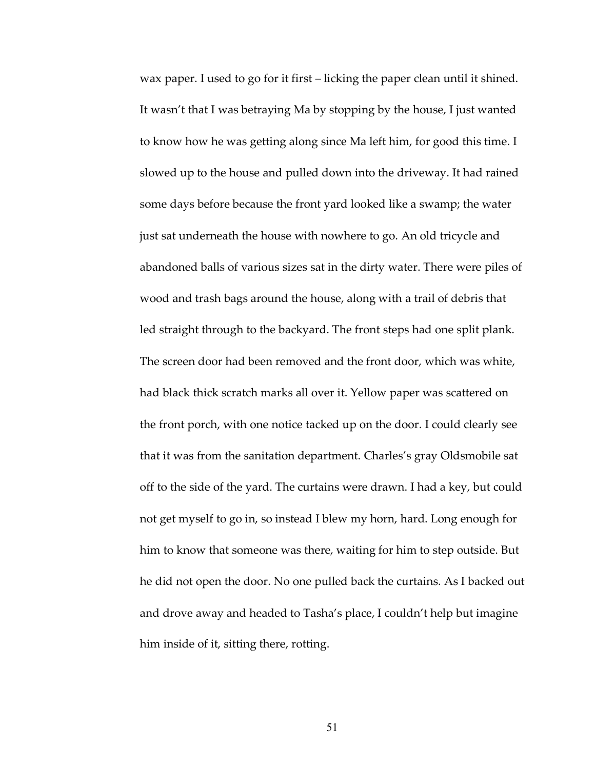wax paper. I used to go for it first – licking the paper clean until it shined. It wasn't that I was betraying Ma by stopping by the house, I just wanted to know how he was getting along since Ma left him, for good this time. I slowed up to the house and pulled down into the driveway. It had rained some days before because the front yard looked like a swamp; the water just sat underneath the house with nowhere to go. An old tricycle and abandoned balls of various sizes sat in the dirty water. There were piles of wood and trash bags around the house, along with a trail of debris that led straight through to the backyard. The front steps had one split plank. The screen door had been removed and the front door, which was white, had black thick scratch marks all over it. Yellow paper was scattered on the front porch, with one notice tacked up on the door. I could clearly see that it was from the sanitation department. Charles's gray Oldsmobile sat off to the side of the yard. The curtains were drawn. I had a key, but could not get myself to go in, so instead I blew my horn, hard. Long enough for him to know that someone was there, waiting for him to step outside. But he did not open the door. No one pulled back the curtains. As I backed out and drove away and headed to Tasha's place, I couldn't help but imagine him inside of it, sitting there, rotting.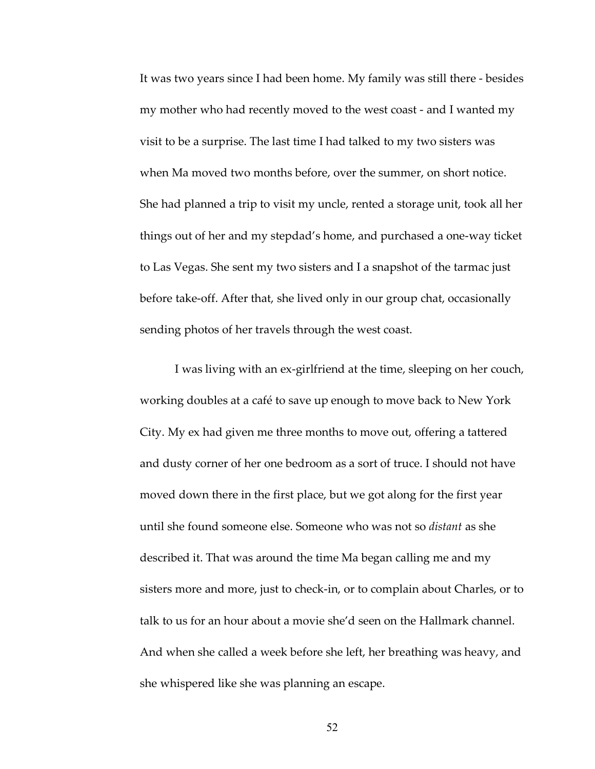It was two years since I had been home. My family was still there - besides my mother who had recently moved to the west coast - and I wanted my visit to be a surprise. The last time I had talked to my two sisters was when Ma moved two months before, over the summer, on short notice. She had planned a trip to visit my uncle, rented a storage unit, took all her things out of her and my stepdad's home, and purchased a one-way ticket to Las Vegas. She sent my two sisters and I a snapshot of the tarmac just before take-off. After that, she lived only in our group chat, occasionally sending photos of her travels through the west coast.

I was living with an ex-girlfriend at the time, sleeping on her couch, working doubles at a café to save up enough to move back to New York City. My ex had given me three months to move out, offering a tattered and dusty corner of her one bedroom as a sort of truce. I should not have moved down there in the first place, but we got along for the first year until she found someone else. Someone who was not so *distant* as she described it. That was around the time Ma began calling me and my sisters more and more, just to check-in, or to complain about Charles, or to talk to us for an hour about a movie she'd seen on the Hallmark channel. And when she called a week before she left, her breathing was heavy, and she whispered like she was planning an escape.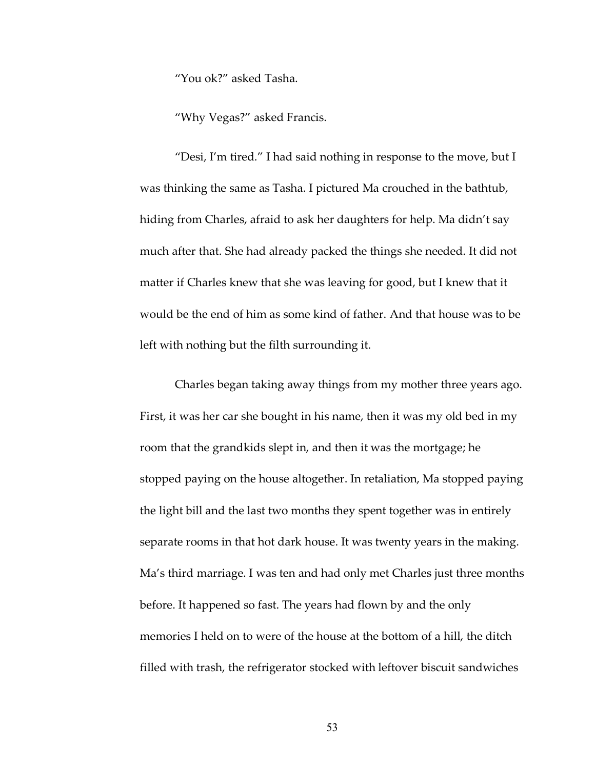"You ok?" asked Tasha.

"Why Vegas?" asked Francis.

"Desi, I'm tired." I had said nothing in response to the move, but I was thinking the same as Tasha. I pictured Ma crouched in the bathtub, hiding from Charles, afraid to ask her daughters for help. Ma didn't say much after that. She had already packed the things she needed. It did not matter if Charles knew that she was leaving for good, but I knew that it would be the end of him as some kind of father. And that house was to be left with nothing but the filth surrounding it.

Charles began taking away things from my mother three years ago. First, it was her car she bought in his name, then it was my old bed in my room that the grandkids slept in, and then it was the mortgage; he stopped paying on the house altogether. In retaliation, Ma stopped paying the light bill and the last two months they spent together was in entirely separate rooms in that hot dark house. It was twenty years in the making. Ma's third marriage. I was ten and had only met Charles just three months before. It happened so fast. The years had flown by and the only memories I held on to were of the house at the bottom of a hill, the ditch filled with trash, the refrigerator stocked with leftover biscuit sandwiches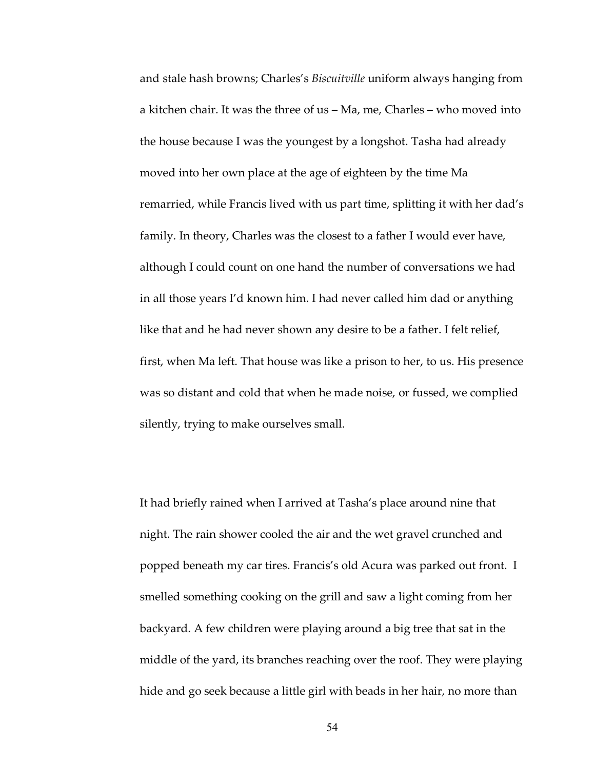and stale hash browns; Charles's *Biscuitville* uniform always hanging from a kitchen chair. It was the three of us – Ma, me, Charles – who moved into the house because I was the youngest by a longshot. Tasha had already moved into her own place at the age of eighteen by the time Ma remarried, while Francis lived with us part time, splitting it with her dad's family. In theory, Charles was the closest to a father I would ever have, although I could count on one hand the number of conversations we had in all those years I'd known him. I had never called him dad or anything like that and he had never shown any desire to be a father. I felt relief, first, when Ma left. That house was like a prison to her, to us. His presence was so distant and cold that when he made noise, or fussed, we complied silently, trying to make ourselves small.

It had briefly rained when I arrived at Tasha's place around nine that night. The rain shower cooled the air and the wet gravel crunched and popped beneath my car tires. Francis's old Acura was parked out front. I smelled something cooking on the grill and saw a light coming from her backyard. A few children were playing around a big tree that sat in the middle of the yard, its branches reaching over the roof. They were playing hide and go seek because a little girl with beads in her hair, no more than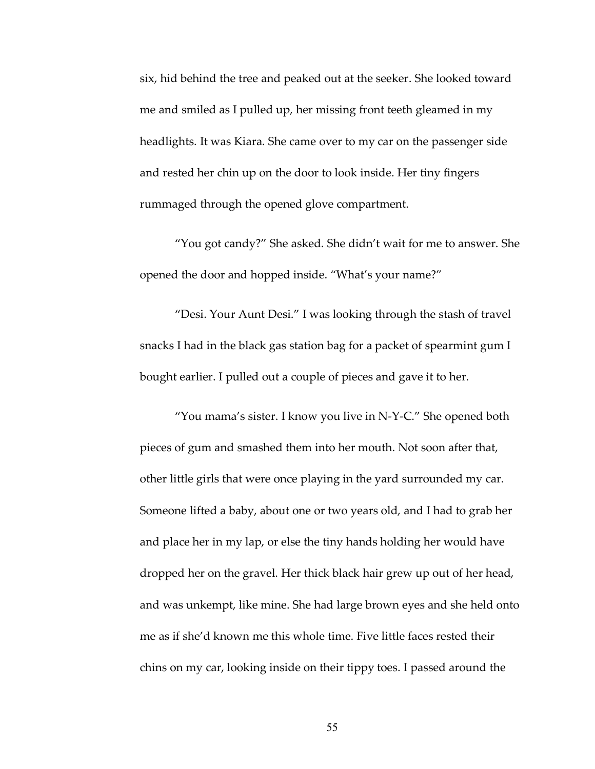six, hid behind the tree and peaked out at the seeker. She looked toward me and smiled as I pulled up, her missing front teeth gleamed in my headlights. It was Kiara. She came over to my car on the passenger side and rested her chin up on the door to look inside. Her tiny fingers rummaged through the opened glove compartment.

"You got candy?" She asked. She didn't wait for me to answer. She opened the door and hopped inside. "What's your name?"

"Desi. Your Aunt Desi." I was looking through the stash of travel snacks I had in the black gas station bag for a packet of spearmint gum I bought earlier. I pulled out a couple of pieces and gave it to her.

"You mama's sister. I know you live in N-Y-C." She opened both pieces of gum and smashed them into her mouth. Not soon after that, other little girls that were once playing in the yard surrounded my car. Someone lifted a baby, about one or two years old, and I had to grab her and place her in my lap, or else the tiny hands holding her would have dropped her on the gravel. Her thick black hair grew up out of her head, and was unkempt, like mine. She had large brown eyes and she held onto me as if she'd known me this whole time. Five little faces rested their chins on my car, looking inside on their tippy toes. I passed around the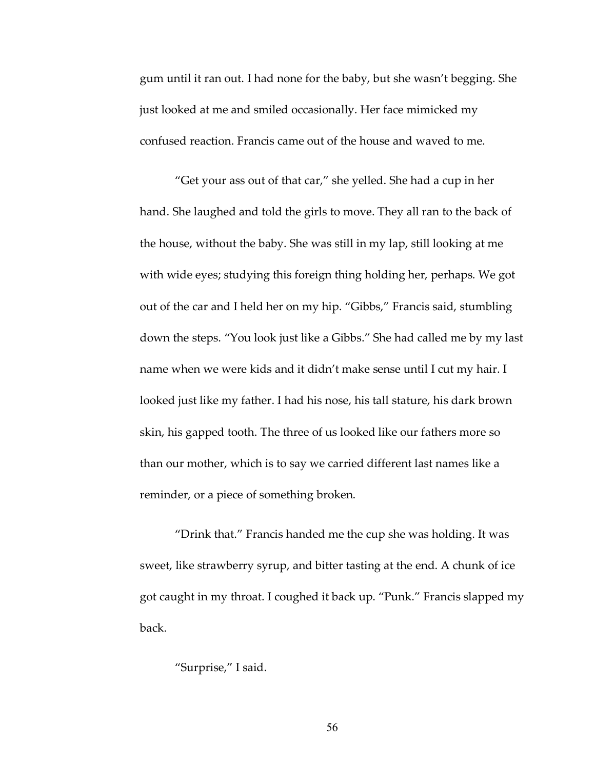gum until it ran out. I had none for the baby, but she wasn't begging. She just looked at me and smiled occasionally. Her face mimicked my confused reaction. Francis came out of the house and waved to me.

"Get your ass out of that car," she yelled. She had a cup in her hand. She laughed and told the girls to move. They all ran to the back of the house, without the baby. She was still in my lap, still looking at me with wide eyes; studying this foreign thing holding her, perhaps. We got out of the car and I held her on my hip. "Gibbs," Francis said, stumbling down the steps. "You look just like a Gibbs." She had called me by my last name when we were kids and it didn't make sense until I cut my hair. I looked just like my father. I had his nose, his tall stature, his dark brown skin, his gapped tooth. The three of us looked like our fathers more so than our mother, which is to say we carried different last names like a reminder, or a piece of something broken.

"Drink that." Francis handed me the cup she was holding. It was sweet, like strawberry syrup, and bitter tasting at the end. A chunk of ice got caught in my throat. I coughed it back up. "Punk." Francis slapped my back.

## "Surprise," I said.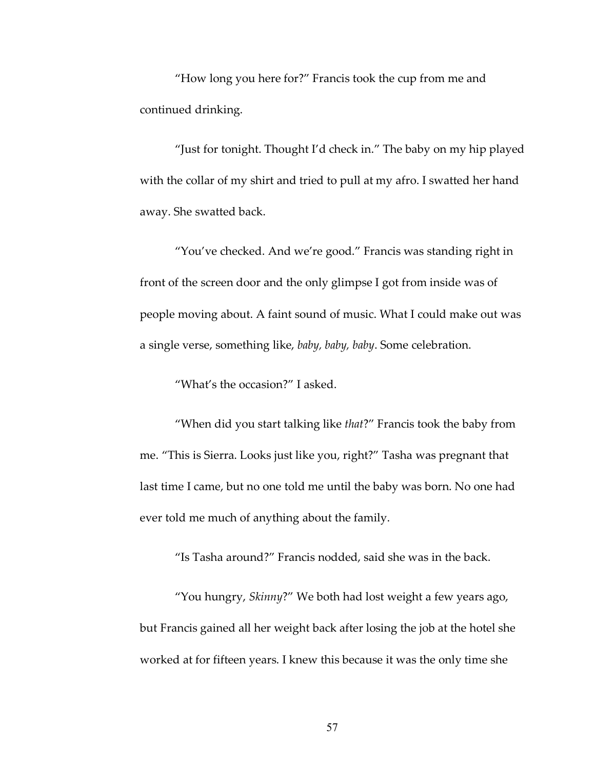"How long you here for?" Francis took the cup from me and continued drinking.

"Just for tonight. Thought I'd check in." The baby on my hip played with the collar of my shirt and tried to pull at my afro. I swatted her hand away. She swatted back.

"You've checked. And we're good." Francis was standing right in front of the screen door and the only glimpse I got from inside was of people moving about. A faint sound of music. What I could make out was a single verse, something like, *baby, baby, baby*. Some celebration.

"What's the occasion?" I asked.

"When did you start talking like *that*?" Francis took the baby from me. "This is Sierra. Looks just like you, right?" Tasha was pregnant that last time I came, but no one told me until the baby was born. No one had ever told me much of anything about the family.

"Is Tasha around?" Francis nodded, said she was in the back.

"You hungry, *Skinny*?" We both had lost weight a few years ago, but Francis gained all her weight back after losing the job at the hotel she worked at for fifteen years. I knew this because it was the only time she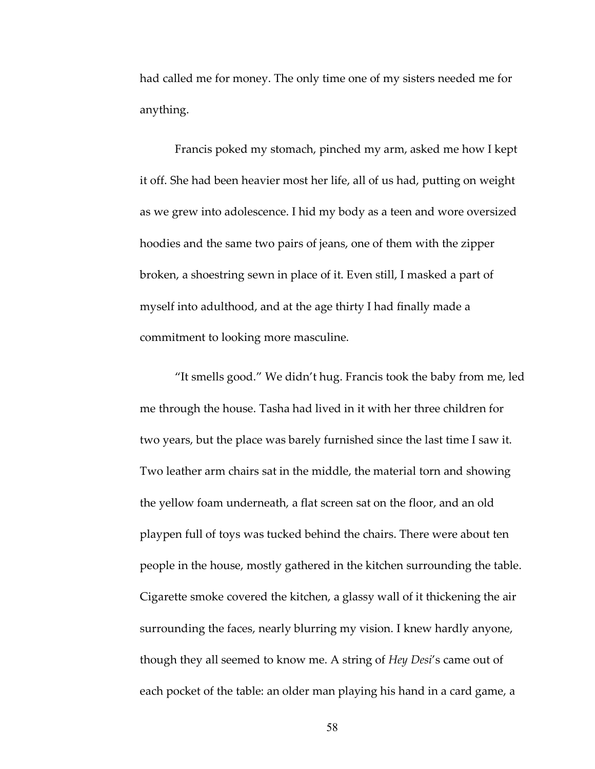had called me for money. The only time one of my sisters needed me for anything.

Francis poked my stomach, pinched my arm, asked me how I kept it off. She had been heavier most her life, all of us had, putting on weight as we grew into adolescence. I hid my body as a teen and wore oversized hoodies and the same two pairs of jeans, one of them with the zipper broken, a shoestring sewn in place of it. Even still, I masked a part of myself into adulthood, and at the age thirty I had finally made a commitment to looking more masculine.

"It smells good." We didn't hug. Francis took the baby from me, led me through the house. Tasha had lived in it with her three children for two years, but the place was barely furnished since the last time I saw it. Two leather arm chairs sat in the middle, the material torn and showing the yellow foam underneath, a flat screen sat on the floor, and an old playpen full of toys was tucked behind the chairs. There were about ten people in the house, mostly gathered in the kitchen surrounding the table. Cigarette smoke covered the kitchen, a glassy wall of it thickening the air surrounding the faces, nearly blurring my vision. I knew hardly anyone, though they all seemed to know me. A string of *Hey Desi*'s came out of each pocket of the table: an older man playing his hand in a card game, a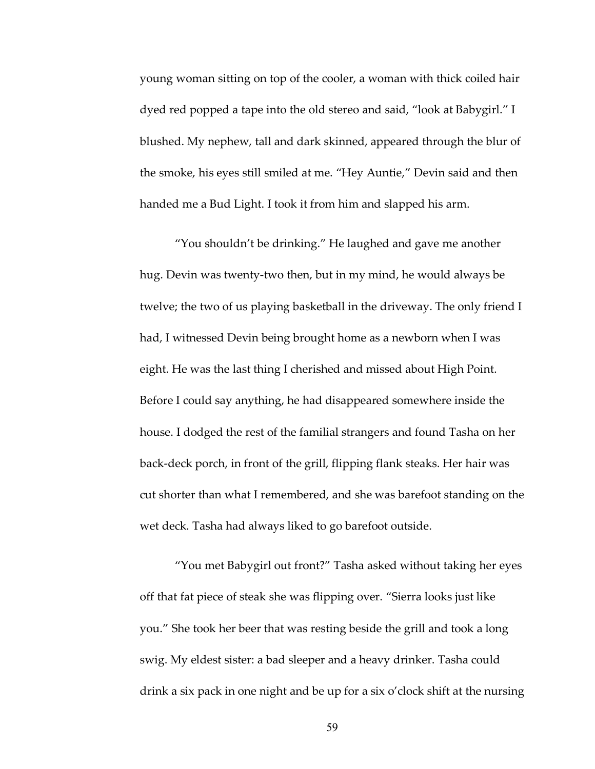young woman sitting on top of the cooler, a woman with thick coiled hair dyed red popped a tape into the old stereo and said, "look at Babygirl." I blushed. My nephew, tall and dark skinned, appeared through the blur of the smoke, his eyes still smiled at me. "Hey Auntie," Devin said and then handed me a Bud Light. I took it from him and slapped his arm.

"You shouldn't be drinking." He laughed and gave me another hug. Devin was twenty-two then, but in my mind, he would always be twelve; the two of us playing basketball in the driveway. The only friend I had, I witnessed Devin being brought home as a newborn when I was eight. He was the last thing I cherished and missed about High Point. Before I could say anything, he had disappeared somewhere inside the house. I dodged the rest of the familial strangers and found Tasha on her back-deck porch, in front of the grill, flipping flank steaks. Her hair was cut shorter than what I remembered, and she was barefoot standing on the wet deck. Tasha had always liked to go barefoot outside.

"You met Babygirl out front?" Tasha asked without taking her eyes off that fat piece of steak she was flipping over. "Sierra looks just like you." She took her beer that was resting beside the grill and took a long swig. My eldest sister: a bad sleeper and a heavy drinker. Tasha could drink a six pack in one night and be up for a six o'clock shift at the nursing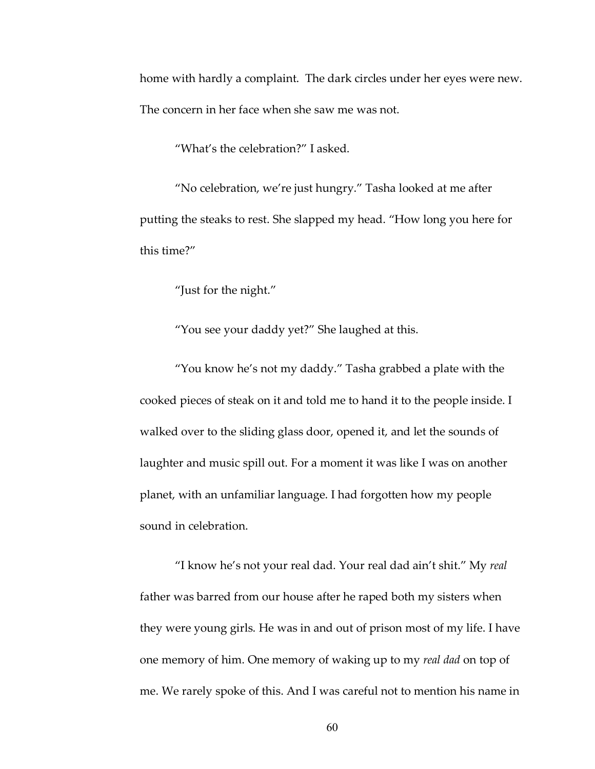home with hardly a complaint. The dark circles under her eyes were new. The concern in her face when she saw me was not.

"What's the celebration?" I asked.

"No celebration, we're just hungry." Tasha looked at me after putting the steaks to rest. She slapped my head. "How long you here for this time?"

"Just for the night."

"You see your daddy yet?" She laughed at this.

"You know he's not my daddy." Tasha grabbed a plate with the cooked pieces of steak on it and told me to hand it to the people inside. I walked over to the sliding glass door, opened it, and let the sounds of laughter and music spill out. For a moment it was like I was on another planet, with an unfamiliar language. I had forgotten how my people sound in celebration.

"I know he's not your real dad. Your real dad ain't shit." My *real*  father was barred from our house after he raped both my sisters when they were young girls. He was in and out of prison most of my life. I have one memory of him. One memory of waking up to my *real dad* on top of me. We rarely spoke of this. And I was careful not to mention his name in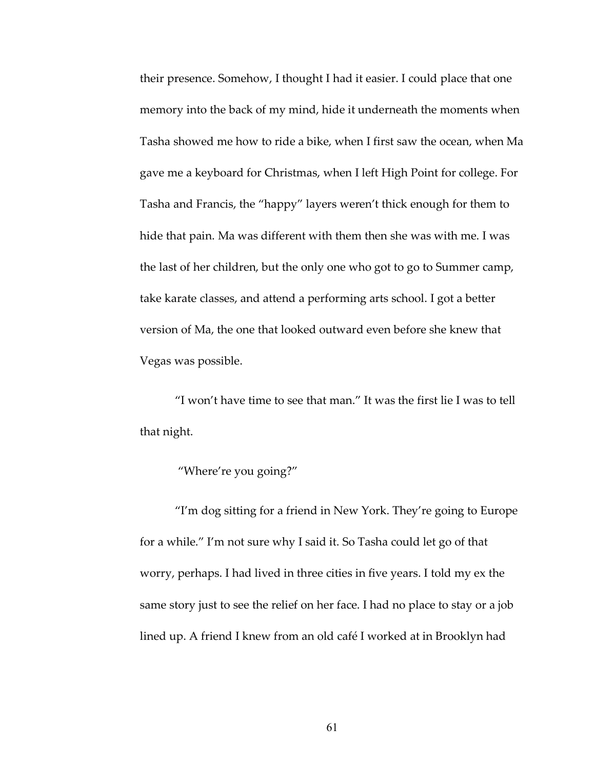their presence. Somehow, I thought I had it easier. I could place that one memory into the back of my mind, hide it underneath the moments when Tasha showed me how to ride a bike, when I first saw the ocean, when Ma gave me a keyboard for Christmas, when I left High Point for college. For Tasha and Francis, the "happy" layers weren't thick enough for them to hide that pain. Ma was different with them then she was with me. I was the last of her children, but the only one who got to go to Summer camp, take karate classes, and attend a performing arts school. I got a better version of Ma, the one that looked outward even before she knew that Vegas was possible.

"I won't have time to see that man." It was the first lie I was to tell that night.

## "Where're you going?"

"I'm dog sitting for a friend in New York. They're going to Europe for a while." I'm not sure why I said it. So Tasha could let go of that worry, perhaps. I had lived in three cities in five years. I told my ex the same story just to see the relief on her face. I had no place to stay or a job lined up. A friend I knew from an old café I worked at in Brooklyn had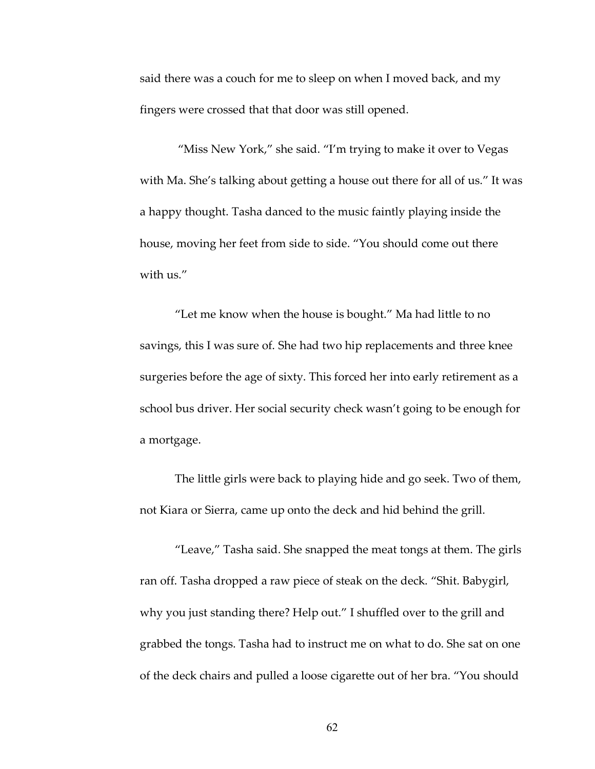said there was a couch for me to sleep on when I moved back, and my fingers were crossed that that door was still opened.

"Miss New York," she said. "I'm trying to make it over to Vegas with Ma. She's talking about getting a house out there for all of us." It was a happy thought. Tasha danced to the music faintly playing inside the house, moving her feet from side to side. "You should come out there with us."

"Let me know when the house is bought." Ma had little to no savings, this I was sure of. She had two hip replacements and three knee surgeries before the age of sixty. This forced her into early retirement as a school bus driver. Her social security check wasn't going to be enough for a mortgage.

The little girls were back to playing hide and go seek. Two of them, not Kiara or Sierra, came up onto the deck and hid behind the grill.

"Leave," Tasha said. She snapped the meat tongs at them. The girls ran off. Tasha dropped a raw piece of steak on the deck. "Shit. Babygirl, why you just standing there? Help out." I shuffled over to the grill and grabbed the tongs. Tasha had to instruct me on what to do. She sat on one of the deck chairs and pulled a loose cigarette out of her bra. "You should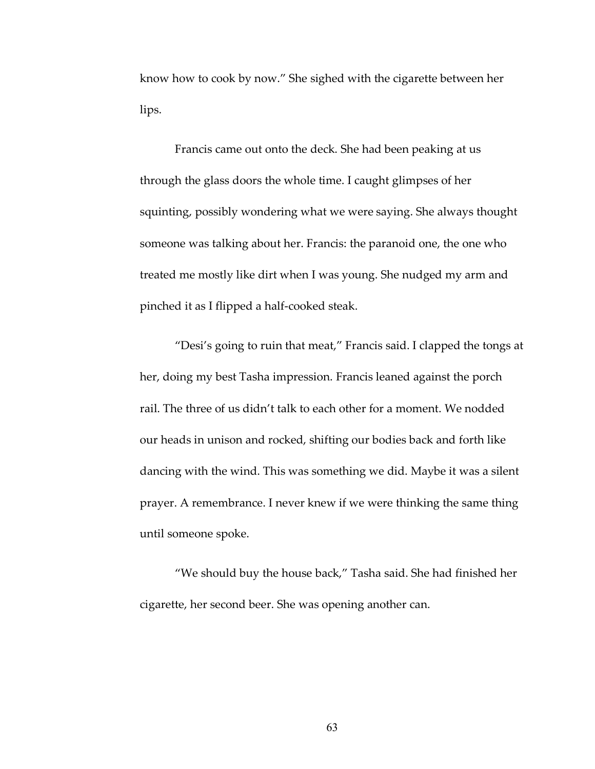know how to cook by now." She sighed with the cigarette between her lips.

Francis came out onto the deck. She had been peaking at us through the glass doors the whole time. I caught glimpses of her squinting, possibly wondering what we were saying. She always thought someone was talking about her. Francis: the paranoid one, the one who treated me mostly like dirt when I was young. She nudged my arm and pinched it as I flipped a half-cooked steak.

"Desi's going to ruin that meat," Francis said. I clapped the tongs at her, doing my best Tasha impression. Francis leaned against the porch rail. The three of us didn't talk to each other for a moment. We nodded our heads in unison and rocked, shifting our bodies back and forth like dancing with the wind. This was something we did. Maybe it was a silent prayer. A remembrance. I never knew if we were thinking the same thing until someone spoke.

"We should buy the house back," Tasha said. She had finished her cigarette, her second beer. She was opening another can.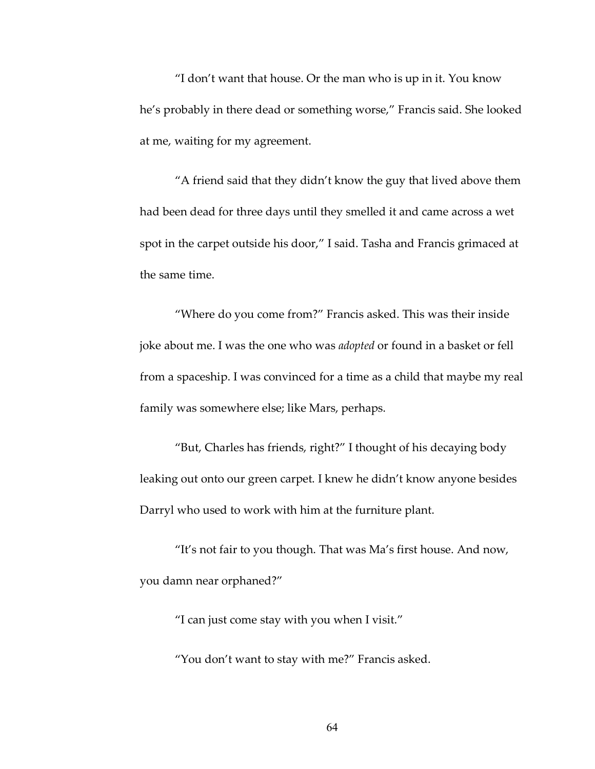"I don't want that house. Or the man who is up in it. You know he's probably in there dead or something worse," Francis said. She looked at me, waiting for my agreement.

"A friend said that they didn't know the guy that lived above them had been dead for three days until they smelled it and came across a wet spot in the carpet outside his door," I said. Tasha and Francis grimaced at the same time.

"Where do you come from?" Francis asked. This was their inside joke about me. I was the one who was *adopted* or found in a basket or fell from a spaceship. I was convinced for a time as a child that maybe my real family was somewhere else; like Mars, perhaps.

"But, Charles has friends, right?" I thought of his decaying body leaking out onto our green carpet. I knew he didn't know anyone besides Darryl who used to work with him at the furniture plant.

"It's not fair to you though. That was Ma's first house. And now, you damn near orphaned?"

"I can just come stay with you when I visit."

"You don't want to stay with me?" Francis asked.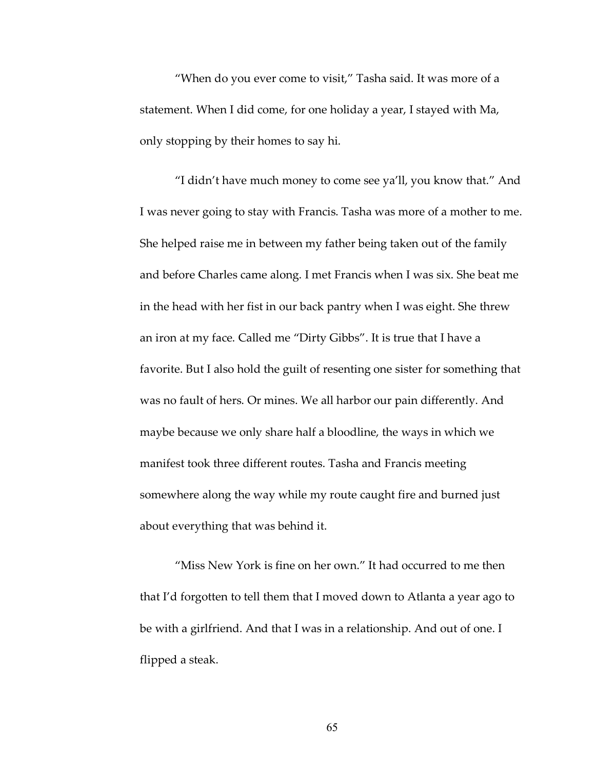"When do you ever come to visit," Tasha said. It was more of a statement. When I did come, for one holiday a year, I stayed with Ma, only stopping by their homes to say hi.

"I didn't have much money to come see ya'll, you know that." And I was never going to stay with Francis. Tasha was more of a mother to me. She helped raise me in between my father being taken out of the family and before Charles came along. I met Francis when I was six. She beat me in the head with her fist in our back pantry when I was eight. She threw an iron at my face. Called me "Dirty Gibbs". It is true that I have a favorite. But I also hold the guilt of resenting one sister for something that was no fault of hers. Or mines. We all harbor our pain differently. And maybe because we only share half a bloodline, the ways in which we manifest took three different routes. Tasha and Francis meeting somewhere along the way while my route caught fire and burned just about everything that was behind it.

"Miss New York is fine on her own." It had occurred to me then that I'd forgotten to tell them that I moved down to Atlanta a year ago to be with a girlfriend. And that I was in a relationship. And out of one. I flipped a steak.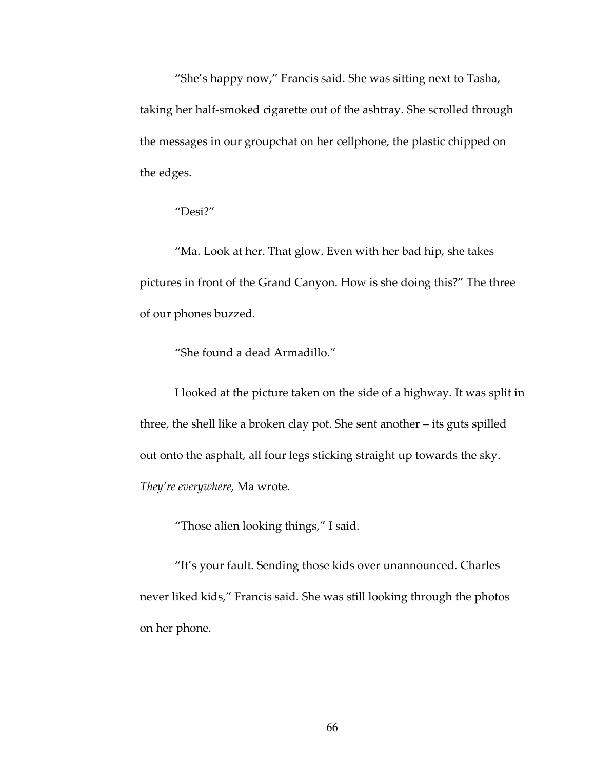"She's happy now," Francis said. She was sitting next to Tasha, taking her half-smoked cigarette out of the ashtray. She scrolled through the messages in our groupchat on her cellphone, the plastic chipped on the edges.

## "Desi?"

"Ma. Look at her. That glow. Even with her bad hip, she takes pictures in front of the Grand Canyon. How is she doing this?" The three of our phones buzzed.

"She found a dead Armadillo."

I looked at the picture taken on the side of a highway. It was split in three, the shell like a broken clay pot. She sent another – its guts spilled out onto the asphalt, all four legs sticking straight up towards the sky. *They're everywhere*, Ma wrote.

"Those alien looking things," I said.

"It's your fault. Sending those kids over unannounced. Charles never liked kids," Francis said. She was still looking through the photos on her phone.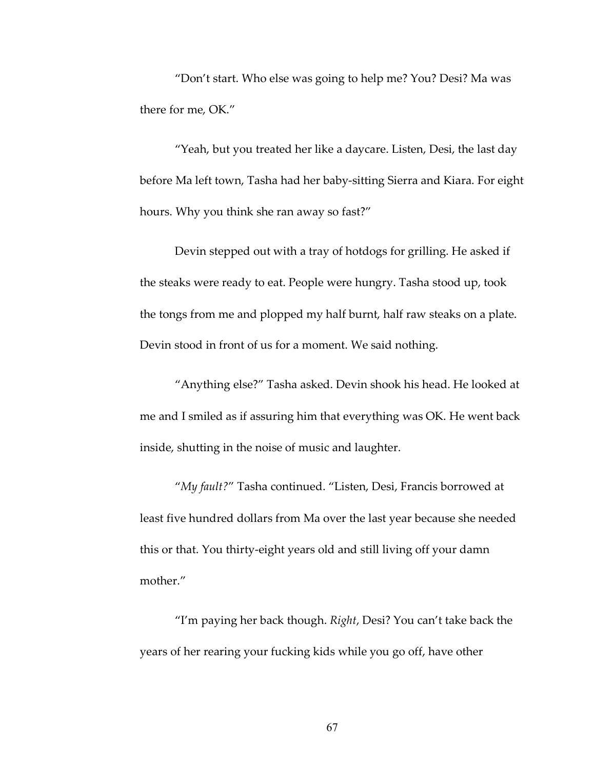"Don't start. Who else was going to help me? You? Desi? Ma was there for me, OK."

"Yeah, but you treated her like a daycare. Listen, Desi, the last day before Ma left town, Tasha had her baby-sitting Sierra and Kiara. For eight hours. Why you think she ran away so fast?"

Devin stepped out with a tray of hotdogs for grilling. He asked if the steaks were ready to eat. People were hungry. Tasha stood up, took the tongs from me and plopped my half burnt, half raw steaks on a plate. Devin stood in front of us for a moment. We said nothing.

"Anything else?" Tasha asked. Devin shook his head. He looked at me and I smiled as if assuring him that everything was OK. He went back inside, shutting in the noise of music and laughter.

"*My fault?*" Tasha continued. "Listen, Desi, Francis borrowed at least five hundred dollars from Ma over the last year because she needed this or that. You thirty-eight years old and still living off your damn mother."

"I'm paying her back though. *Right*, Desi? You can't take back the years of her rearing your fucking kids while you go off, have other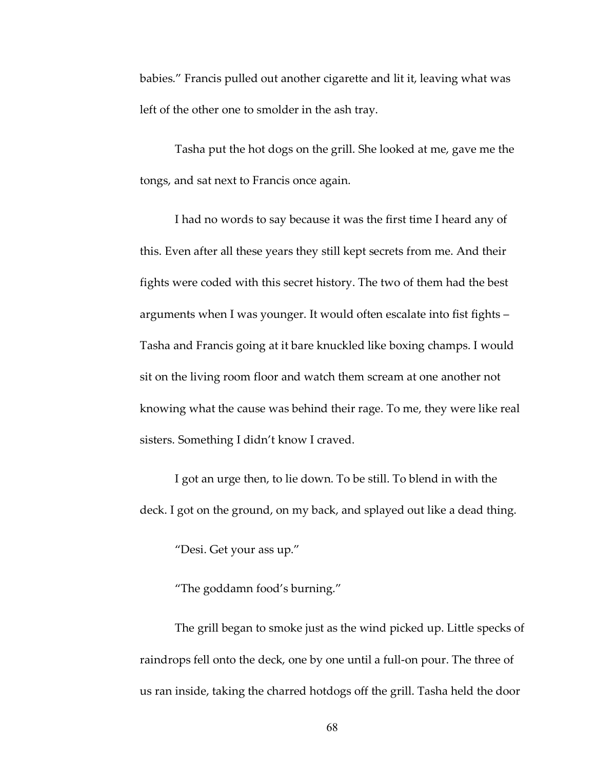babies." Francis pulled out another cigarette and lit it, leaving what was left of the other one to smolder in the ash tray.

Tasha put the hot dogs on the grill. She looked at me, gave me the tongs, and sat next to Francis once again.

I had no words to say because it was the first time I heard any of this. Even after all these years they still kept secrets from me. And their fights were coded with this secret history. The two of them had the best arguments when I was younger. It would often escalate into fist fights – Tasha and Francis going at it bare knuckled like boxing champs. I would sit on the living room floor and watch them scream at one another not knowing what the cause was behind their rage. To me, they were like real sisters. Something I didn't know I craved.

I got an urge then, to lie down. To be still. To blend in with the deck. I got on the ground, on my back, and splayed out like a dead thing.

"Desi. Get your ass up."

"The goddamn food's burning."

The grill began to smoke just as the wind picked up. Little specks of raindrops fell onto the deck, one by one until a full-on pour. The three of us ran inside, taking the charred hotdogs off the grill. Tasha held the door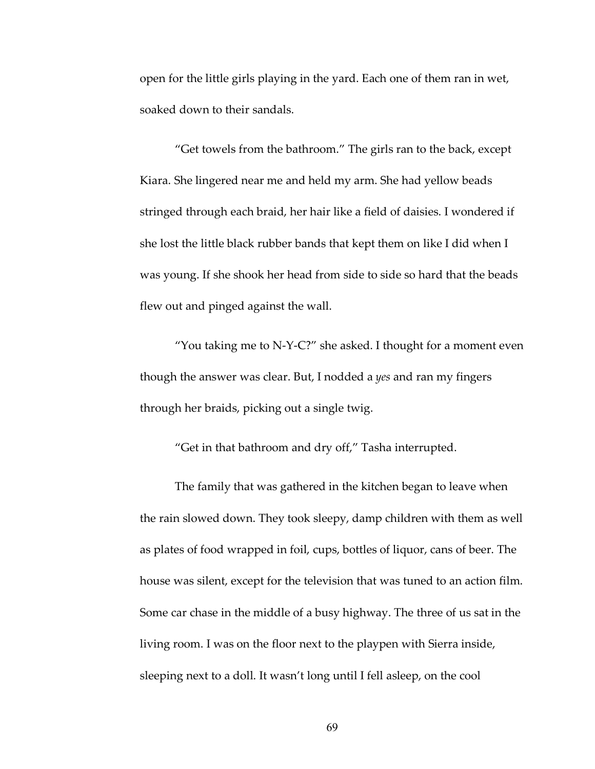open for the little girls playing in the yard. Each one of them ran in wet, soaked down to their sandals.

"Get towels from the bathroom." The girls ran to the back, except Kiara. She lingered near me and held my arm. She had yellow beads stringed through each braid, her hair like a field of daisies. I wondered if she lost the little black rubber bands that kept them on like I did when I was young. If she shook her head from side to side so hard that the beads flew out and pinged against the wall.

"You taking me to N-Y-C?" she asked. I thought for a moment even though the answer was clear. But, I nodded a *yes* and ran my fingers through her braids, picking out a single twig.

"Get in that bathroom and dry off," Tasha interrupted.

The family that was gathered in the kitchen began to leave when the rain slowed down. They took sleepy, damp children with them as well as plates of food wrapped in foil, cups, bottles of liquor, cans of beer. The house was silent, except for the television that was tuned to an action film. Some car chase in the middle of a busy highway. The three of us sat in the living room. I was on the floor next to the playpen with Sierra inside, sleeping next to a doll. It wasn't long until I fell asleep, on the cool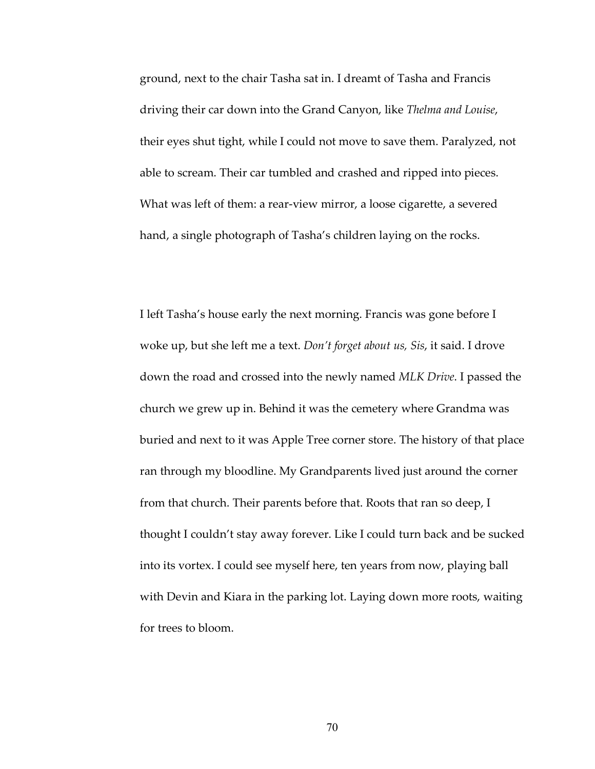ground, next to the chair Tasha sat in. I dreamt of Tasha and Francis driving their car down into the Grand Canyon, like *Thelma and Louise*, their eyes shut tight, while I could not move to save them. Paralyzed, not able to scream. Their car tumbled and crashed and ripped into pieces. What was left of them: a rear-view mirror, a loose cigarette, a severed hand, a single photograph of Tasha's children laying on the rocks.

I left Tasha's house early the next morning. Francis was gone before I woke up, but she left me a text. *Don't forget about us, Sis*, it said. I drove down the road and crossed into the newly named *MLK Drive*. I passed the church we grew up in. Behind it was the cemetery where Grandma was buried and next to it was Apple Tree corner store. The history of that place ran through my bloodline. My Grandparents lived just around the corner from that church. Their parents before that. Roots that ran so deep, I thought I couldn't stay away forever. Like I could turn back and be sucked into its vortex. I could see myself here, ten years from now, playing ball with Devin and Kiara in the parking lot. Laying down more roots, waiting for trees to bloom.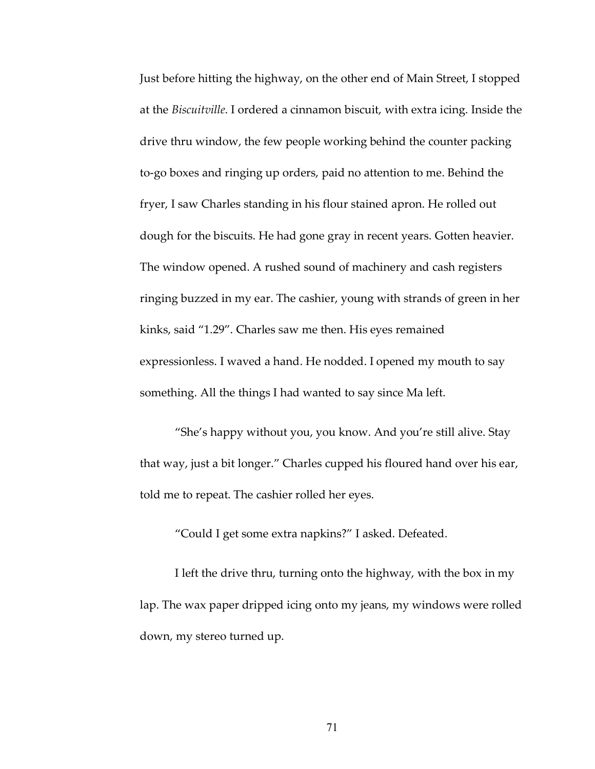Just before hitting the highway, on the other end of Main Street, I stopped at the *Biscuitville*. I ordered a cinnamon biscuit, with extra icing. Inside the drive thru window, the few people working behind the counter packing to-go boxes and ringing up orders, paid no attention to me. Behind the fryer, I saw Charles standing in his flour stained apron. He rolled out dough for the biscuits. He had gone gray in recent years. Gotten heavier. The window opened. A rushed sound of machinery and cash registers ringing buzzed in my ear. The cashier, young with strands of green in her kinks, said "1.29". Charles saw me then. His eyes remained expressionless. I waved a hand. He nodded. I opened my mouth to say something. All the things I had wanted to say since Ma left.

"She's happy without you, you know. And you're still alive. Stay that way, just a bit longer." Charles cupped his floured hand over his ear, told me to repeat. The cashier rolled her eyes.

"Could I get some extra napkins?" I asked. Defeated.

I left the drive thru, turning onto the highway, with the box in my lap. The wax paper dripped icing onto my jeans, my windows were rolled down, my stereo turned up.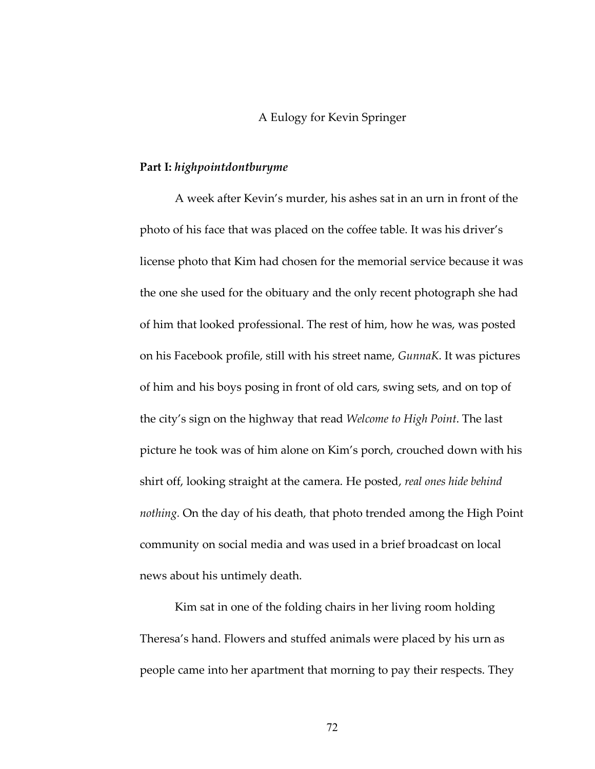# A Eulogy for Kevin Springer

#### **Part I:** *highpointdontburyme*

A week after Kevin's murder, his ashes sat in an urn in front of the photo of his face that was placed on the coffee table. It was his driver's license photo that Kim had chosen for the memorial service because it was the one she used for the obituary and the only recent photograph she had of him that looked professional. The rest of him, how he was, was posted on his Facebook profile, still with his street name, *GunnaK*. It was pictures of him and his boys posing in front of old cars, swing sets, and on top of the city's sign on the highway that read *Welcome to High Point*. The last picture he took was of him alone on Kim's porch, crouched down with his shirt off, looking straight at the camera. He posted, *real ones hide behind nothing.* On the day of his death, that photo trended among the High Point community on social media and was used in a brief broadcast on local news about his untimely death.

Kim sat in one of the folding chairs in her living room holding Theresa's hand. Flowers and stuffed animals were placed by his urn as people came into her apartment that morning to pay their respects. They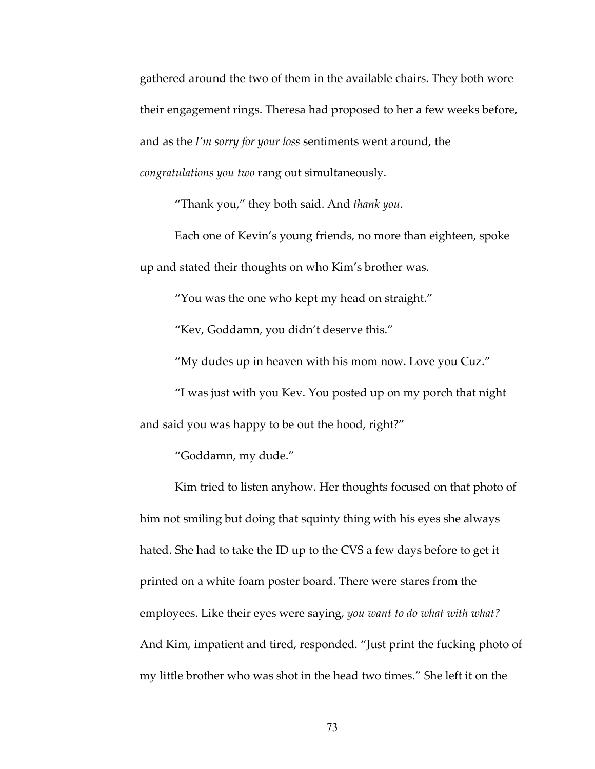gathered around the two of them in the available chairs. They both wore their engagement rings. Theresa had proposed to her a few weeks before, and as the *I'm sorry for your loss* sentiments went around, the *congratulations you two* rang out simultaneously.

"Thank you," they both said. And *thank you*.

Each one of Kevin's young friends, no more than eighteen, spoke up and stated their thoughts on who Kim's brother was.

"You was the one who kept my head on straight."

"Kev, Goddamn, you didn't deserve this."

"My dudes up in heaven with his mom now. Love you Cuz."

"I was just with you Kev. You posted up on my porch that night and said you was happy to be out the hood, right?"

"Goddamn, my dude."

Kim tried to listen anyhow. Her thoughts focused on that photo of him not smiling but doing that squinty thing with his eyes she always hated. She had to take the ID up to the CVS a few days before to get it printed on a white foam poster board. There were stares from the employees. Like their eyes were saying, *you want to do what with what?* And Kim, impatient and tired, responded. "Just print the fucking photo of my little brother who was shot in the head two times." She left it on the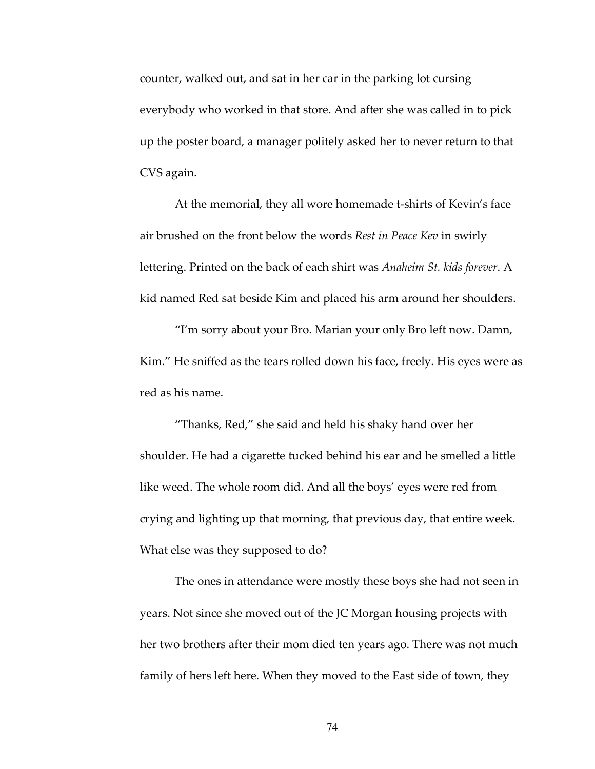counter, walked out, and sat in her car in the parking lot cursing everybody who worked in that store. And after she was called in to pick up the poster board, a manager politely asked her to never return to that CVS again.

At the memorial, they all wore homemade t-shirts of Kevin's face air brushed on the front below the words *Rest in Peace Kev* in swirly lettering. Printed on the back of each shirt was *Anaheim St. kids forever*. A kid named Red sat beside Kim and placed his arm around her shoulders.

"I'm sorry about your Bro. Marian your only Bro left now. Damn, Kim." He sniffed as the tears rolled down his face, freely. His eyes were as red as his name.

"Thanks, Red," she said and held his shaky hand over her shoulder. He had a cigarette tucked behind his ear and he smelled a little like weed. The whole room did. And all the boys' eyes were red from crying and lighting up that morning, that previous day, that entire week. What else was they supposed to do?

The ones in attendance were mostly these boys she had not seen in years. Not since she moved out of the JC Morgan housing projects with her two brothers after their mom died ten years ago. There was not much family of hers left here. When they moved to the East side of town, they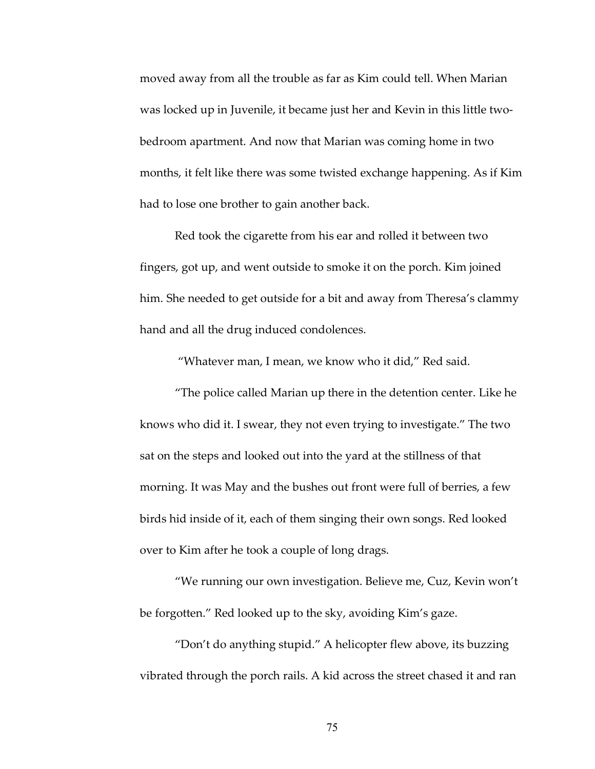moved away from all the trouble as far as Kim could tell. When Marian was locked up in Juvenile, it became just her and Kevin in this little twobedroom apartment. And now that Marian was coming home in two months, it felt like there was some twisted exchange happening. As if Kim had to lose one brother to gain another back.

Red took the cigarette from his ear and rolled it between two fingers, got up, and went outside to smoke it on the porch. Kim joined him. She needed to get outside for a bit and away from Theresa's clammy hand and all the drug induced condolences.

"Whatever man, I mean, we know who it did," Red said.

"The police called Marian up there in the detention center. Like he knows who did it. I swear, they not even trying to investigate." The two sat on the steps and looked out into the yard at the stillness of that morning. It was May and the bushes out front were full of berries, a few birds hid inside of it, each of them singing their own songs. Red looked over to Kim after he took a couple of long drags.

"We running our own investigation. Believe me, Cuz, Kevin won't be forgotten." Red looked up to the sky, avoiding Kim's gaze.

"Don't do anything stupid." A helicopter flew above, its buzzing vibrated through the porch rails. A kid across the street chased it and ran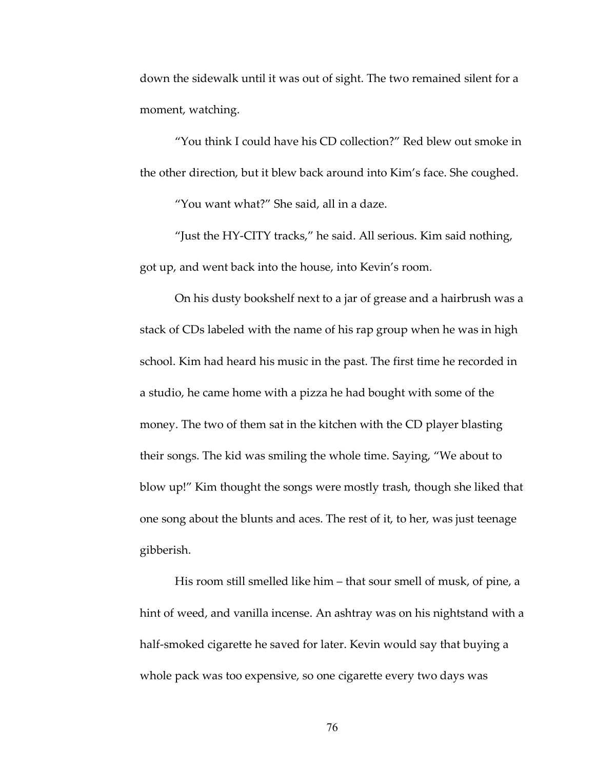down the sidewalk until it was out of sight. The two remained silent for a moment, watching.

"You think I could have his CD collection?" Red blew out smoke in the other direction, but it blew back around into Kim's face. She coughed.

"You want what?" She said, all in a daze.

"Just the HY-CITY tracks," he said. All serious. Kim said nothing, got up, and went back into the house, into Kevin's room.

On his dusty bookshelf next to a jar of grease and a hairbrush was a stack of CDs labeled with the name of his rap group when he was in high school. Kim had heard his music in the past. The first time he recorded in a studio, he came home with a pizza he had bought with some of the money. The two of them sat in the kitchen with the CD player blasting their songs. The kid was smiling the whole time. Saying, "We about to blow up!" Kim thought the songs were mostly trash, though she liked that one song about the blunts and aces. The rest of it, to her, was just teenage gibberish.

His room still smelled like him – that sour smell of musk, of pine, a hint of weed, and vanilla incense. An ashtray was on his nightstand with a half-smoked cigarette he saved for later. Kevin would say that buying a whole pack was too expensive, so one cigarette every two days was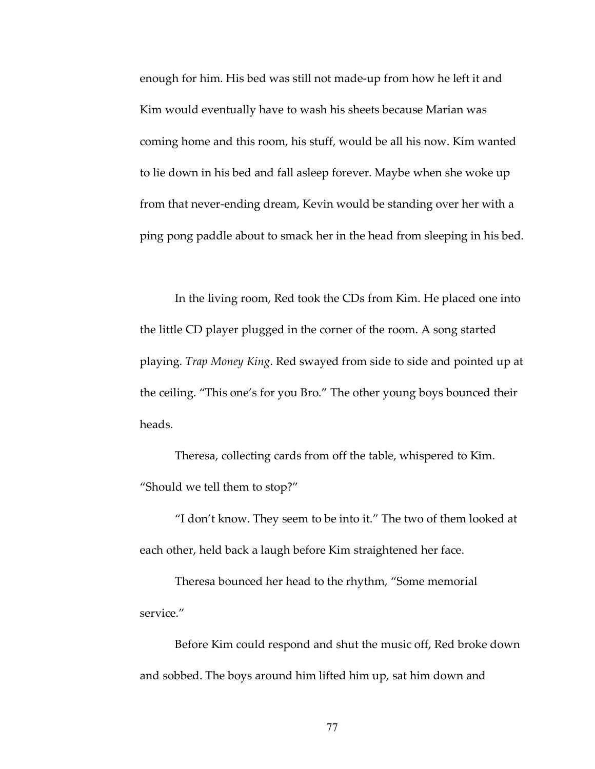enough for him. His bed was still not made-up from how he left it and Kim would eventually have to wash his sheets because Marian was coming home and this room, his stuff, would be all his now. Kim wanted to lie down in his bed and fall asleep forever. Maybe when she woke up from that never-ending dream, Kevin would be standing over her with a ping pong paddle about to smack her in the head from sleeping in his bed.

In the living room, Red took the CDs from Kim. He placed one into the little CD player plugged in the corner of the room. A song started playing. *Trap Money King*. Red swayed from side to side and pointed up at the ceiling. "This one's for you Bro." The other young boys bounced their heads.

Theresa, collecting cards from off the table, whispered to Kim. "Should we tell them to stop?"

"I don't know. They seem to be into it." The two of them looked at each other, held back a laugh before Kim straightened her face.

Theresa bounced her head to the rhythm, "Some memorial service."

Before Kim could respond and shut the music off, Red broke down and sobbed. The boys around him lifted him up, sat him down and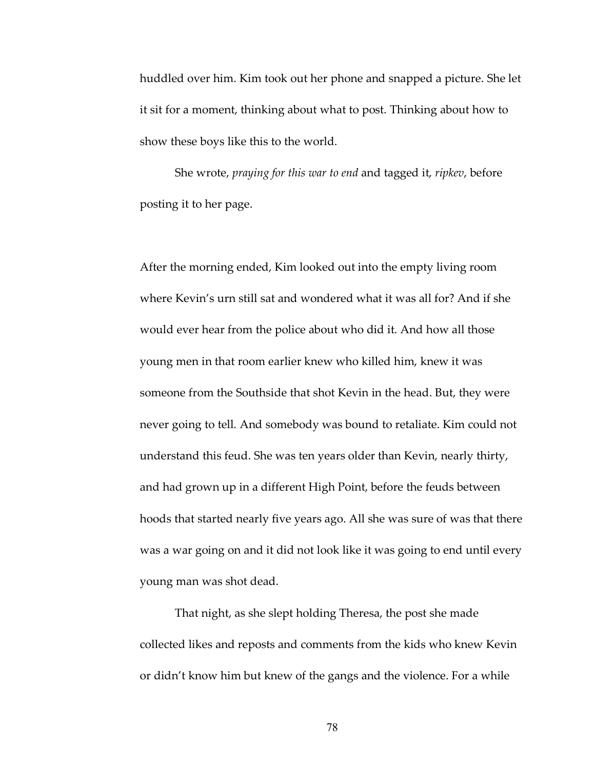huddled over him. Kim took out her phone and snapped a picture. She let it sit for a moment, thinking about what to post. Thinking about how to show these boys like this to the world.

She wrote, *praying for this war to end* and tagged it, *ripkev*, before posting it to her page.

After the morning ended, Kim looked out into the empty living room where Kevin's urn still sat and wondered what it was all for? And if she would ever hear from the police about who did it. And how all those young men in that room earlier knew who killed him, knew it was someone from the Southside that shot Kevin in the head. But, they were never going to tell. And somebody was bound to retaliate. Kim could not understand this feud. She was ten years older than Kevin, nearly thirty, and had grown up in a different High Point, before the feuds between hoods that started nearly five years ago. All she was sure of was that there was a war going on and it did not look like it was going to end until every young man was shot dead.

That night, as she slept holding Theresa, the post she made collected likes and reposts and comments from the kids who knew Kevin or didn't know him but knew of the gangs and the violence. For a while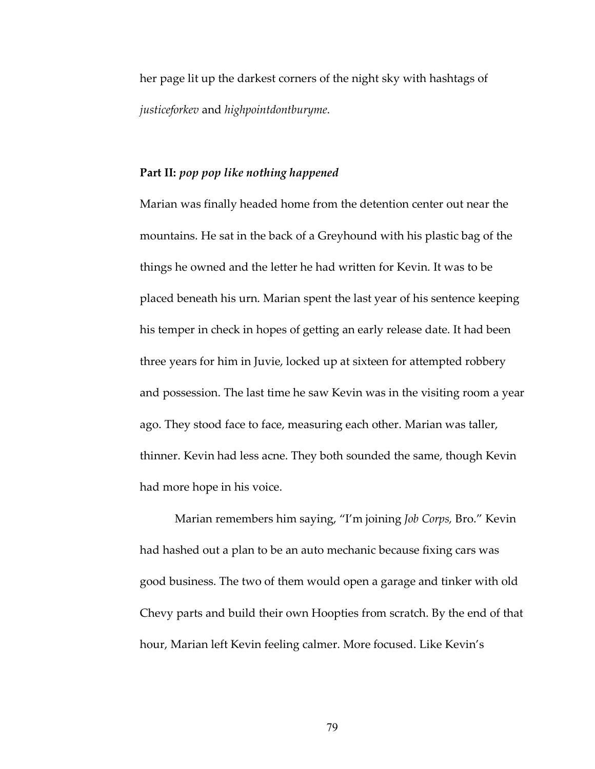her page lit up the darkest corners of the night sky with hashtags of *justiceforkev* and *highpointdontburyme*.

### **Part II:** *pop pop like nothing happened*

Marian was finally headed home from the detention center out near the mountains. He sat in the back of a Greyhound with his plastic bag of the things he owned and the letter he had written for Kevin. It was to be placed beneath his urn. Marian spent the last year of his sentence keeping his temper in check in hopes of getting an early release date. It had been three years for him in Juvie, locked up at sixteen for attempted robbery and possession. The last time he saw Kevin was in the visiting room a year ago. They stood face to face, measuring each other. Marian was taller, thinner. Kevin had less acne. They both sounded the same, though Kevin had more hope in his voice.

Marian remembers him saying, "I'm joining *Job Corps,* Bro." Kevin had hashed out a plan to be an auto mechanic because fixing cars was good business. The two of them would open a garage and tinker with old Chevy parts and build their own Hoopties from scratch. By the end of that hour, Marian left Kevin feeling calmer. More focused. Like Kevin's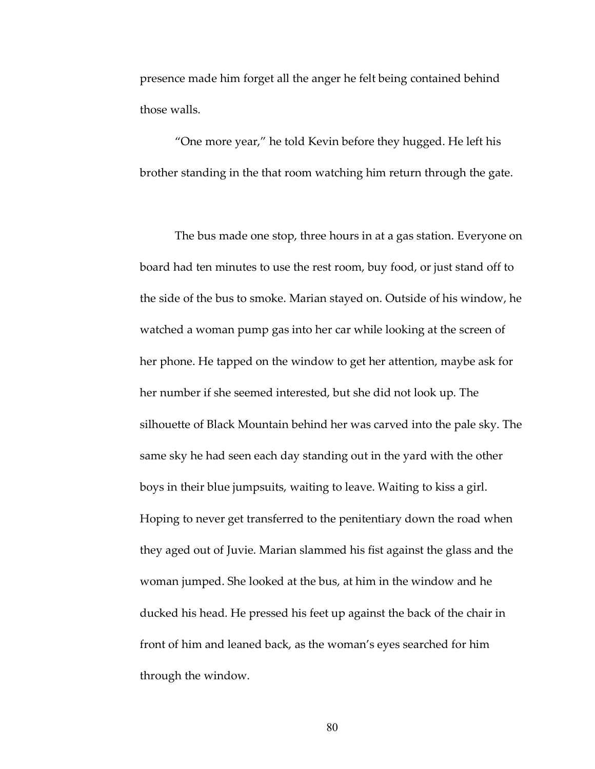presence made him forget all the anger he felt being contained behind those walls.

"One more year," he told Kevin before they hugged. He left his brother standing in the that room watching him return through the gate.

The bus made one stop, three hours in at a gas station. Everyone on board had ten minutes to use the rest room, buy food, or just stand off to the side of the bus to smoke. Marian stayed on. Outside of his window, he watched a woman pump gas into her car while looking at the screen of her phone. He tapped on the window to get her attention, maybe ask for her number if she seemed interested, but she did not look up. The silhouette of Black Mountain behind her was carved into the pale sky. The same sky he had seen each day standing out in the yard with the other boys in their blue jumpsuits, waiting to leave. Waiting to kiss a girl. Hoping to never get transferred to the penitentiary down the road when they aged out of Juvie. Marian slammed his fist against the glass and the woman jumped. She looked at the bus, at him in the window and he ducked his head. He pressed his feet up against the back of the chair in front of him and leaned back, as the woman's eyes searched for him through the window.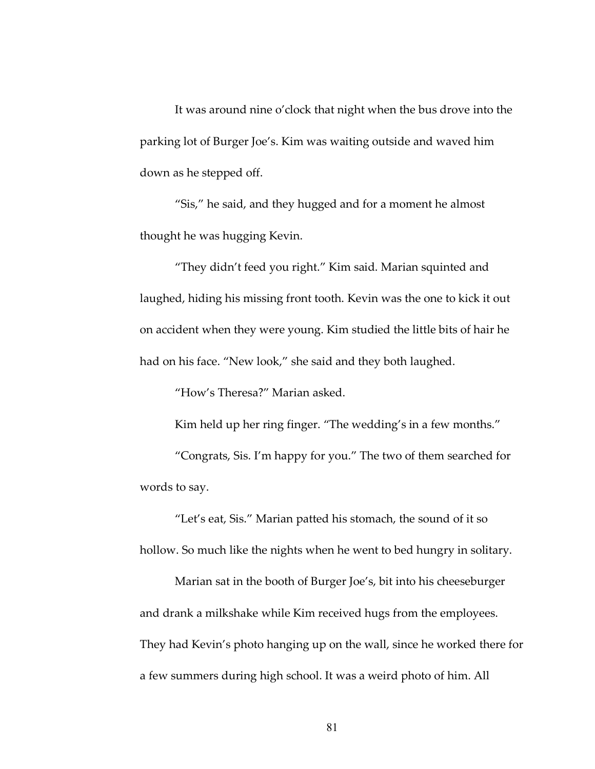It was around nine o'clock that night when the bus drove into the parking lot of Burger Joe's. Kim was waiting outside and waved him down as he stepped off.

"Sis," he said, and they hugged and for a moment he almost thought he was hugging Kevin.

"They didn't feed you right." Kim said. Marian squinted and laughed, hiding his missing front tooth. Kevin was the one to kick it out on accident when they were young. Kim studied the little bits of hair he had on his face. "New look," she said and they both laughed.

"How's Theresa?" Marian asked.

Kim held up her ring finger. "The wedding's in a few months."

"Congrats, Sis. I'm happy for you." The two of them searched for words to say.

"Let's eat, Sis." Marian patted his stomach, the sound of it so hollow. So much like the nights when he went to bed hungry in solitary.

Marian sat in the booth of Burger Joe's, bit into his cheeseburger and drank a milkshake while Kim received hugs from the employees. They had Kevin's photo hanging up on the wall, since he worked there for a few summers during high school. It was a weird photo of him. All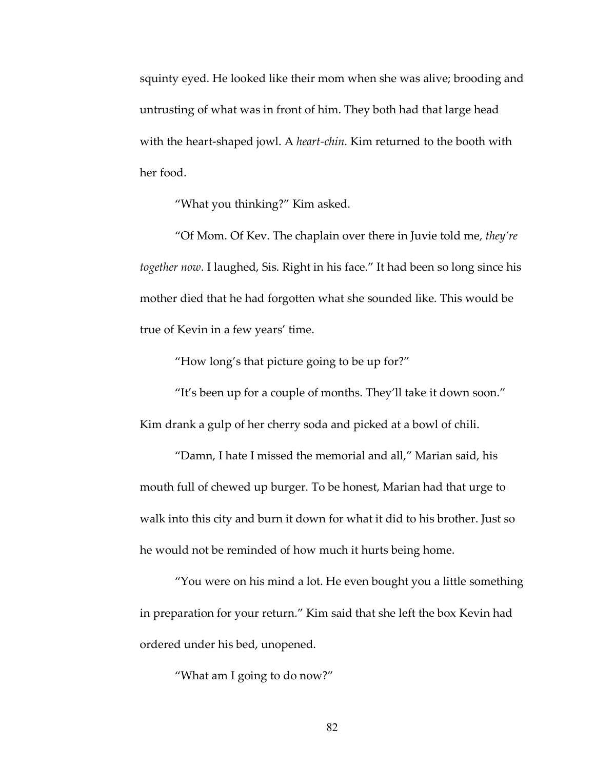squinty eyed. He looked like their mom when she was alive; brooding and untrusting of what was in front of him. They both had that large head with the heart-shaped jowl. A *heart-chin.* Kim returned to the booth with her food.

"What you thinking?" Kim asked.

"Of Mom. Of Kev. The chaplain over there in Juvie told me, *they're together now*. I laughed, Sis. Right in his face." It had been so long since his mother died that he had forgotten what she sounded like. This would be true of Kevin in a few years' time.

"How long's that picture going to be up for?"

"It's been up for a couple of months. They'll take it down soon." Kim drank a gulp of her cherry soda and picked at a bowl of chili.

"Damn, I hate I missed the memorial and all," Marian said, his mouth full of chewed up burger. To be honest, Marian had that urge to walk into this city and burn it down for what it did to his brother. Just so he would not be reminded of how much it hurts being home.

"You were on his mind a lot. He even bought you a little something in preparation for your return." Kim said that she left the box Kevin had ordered under his bed, unopened.

"What am I going to do now?"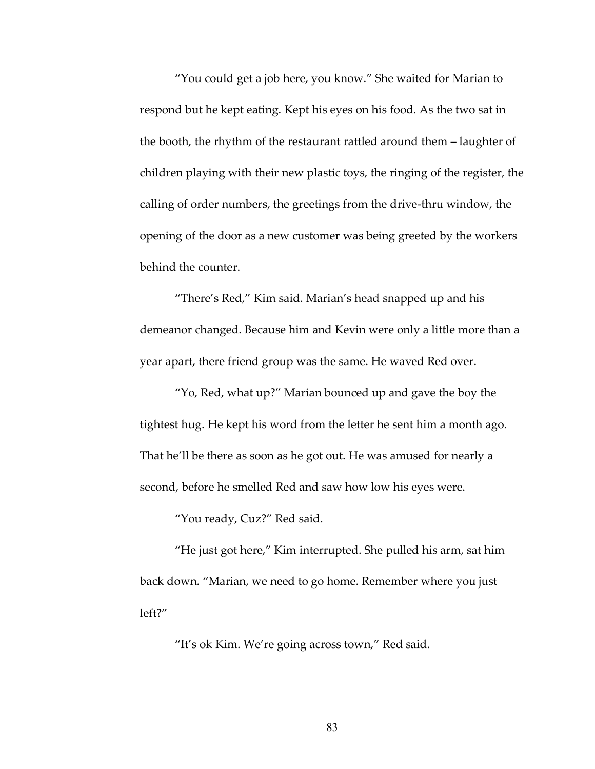"You could get a job here, you know." She waited for Marian to respond but he kept eating. Kept his eyes on his food. As the two sat in the booth, the rhythm of the restaurant rattled around them – laughter of children playing with their new plastic toys, the ringing of the register, the calling of order numbers, the greetings from the drive-thru window, the opening of the door as a new customer was being greeted by the workers behind the counter.

"There's Red," Kim said. Marian's head snapped up and his demeanor changed. Because him and Kevin were only a little more than a year apart, there friend group was the same. He waved Red over.

"Yo, Red, what up?" Marian bounced up and gave the boy the tightest hug. He kept his word from the letter he sent him a month ago. That he'll be there as soon as he got out. He was amused for nearly a second, before he smelled Red and saw how low his eyes were.

"You ready, Cuz?" Red said.

"He just got here," Kim interrupted. She pulled his arm, sat him back down. "Marian, we need to go home. Remember where you just left?"

"It's ok Kim. We're going across town," Red said.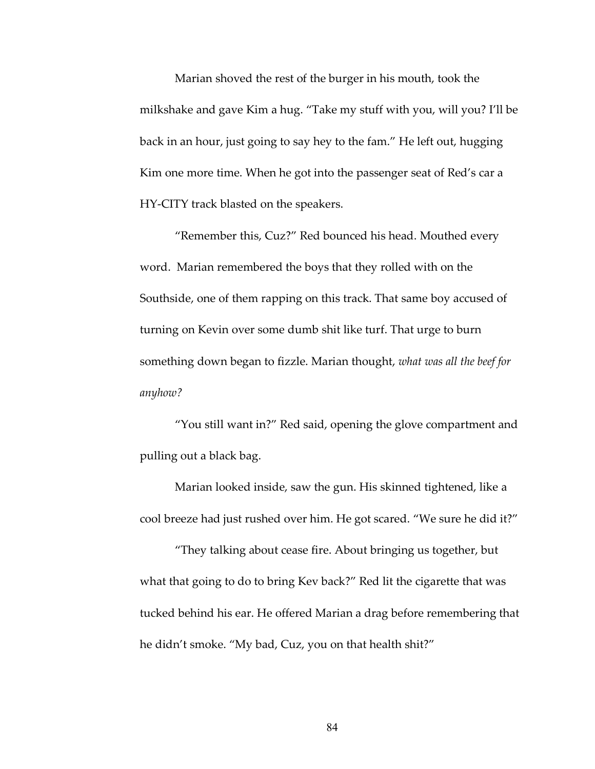Marian shoved the rest of the burger in his mouth, took the milkshake and gave Kim a hug. "Take my stuff with you, will you? I'll be back in an hour, just going to say hey to the fam." He left out, hugging Kim one more time. When he got into the passenger seat of Red's car a HY-CITY track blasted on the speakers.

"Remember this, Cuz?" Red bounced his head. Mouthed every word. Marian remembered the boys that they rolled with on the Southside, one of them rapping on this track. That same boy accused of turning on Kevin over some dumb shit like turf. That urge to burn something down began to fizzle. Marian thought, *what was all the beef for anyhow?*

"You still want in?" Red said, opening the glove compartment and pulling out a black bag.

Marian looked inside, saw the gun. His skinned tightened, like a cool breeze had just rushed over him. He got scared. "We sure he did it?"

"They talking about cease fire. About bringing us together, but what that going to do to bring Kev back?" Red lit the cigarette that was tucked behind his ear. He offered Marian a drag before remembering that he didn't smoke. "My bad, Cuz, you on that health shit?"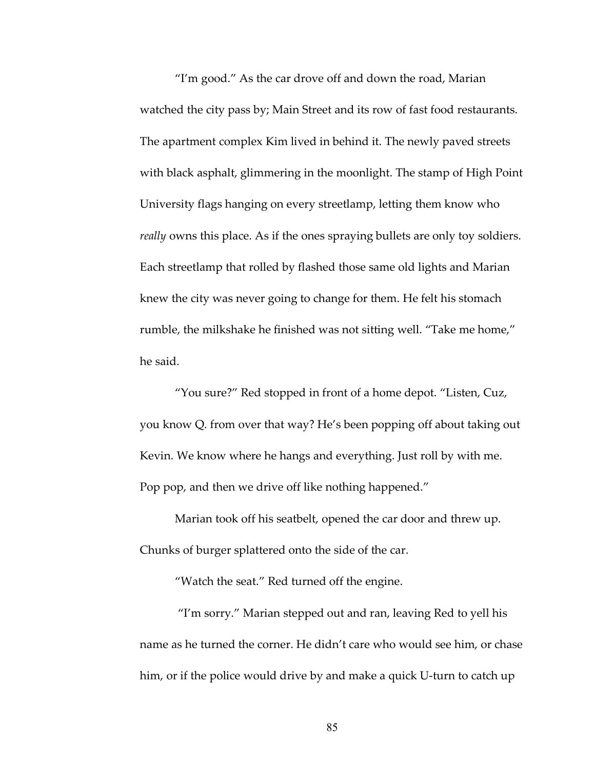"I'm good." As the car drove off and down the road, Marian watched the city pass by; Main Street and its row of fast food restaurants. The apartment complex Kim lived in behind it. The newly paved streets with black asphalt, glimmering in the moonlight. The stamp of High Point University flags hanging on every streetlamp, letting them know who *really* owns this place. As if the ones spraying bullets are only toy soldiers. Each streetlamp that rolled by flashed those same old lights and Marian knew the city was never going to change for them. He felt his stomach rumble, the milkshake he finished was not sitting well. "Take me home," he said.

"You sure?" Red stopped in front of a home depot. "Listen, Cuz, you know Q. from over that way? He's been popping off about taking out Kevin. We know where he hangs and everything. Just roll by with me. Pop pop, and then we drive off like nothing happened."

Marian took off his seatbelt, opened the car door and threw up. Chunks of burger splattered onto the side of the car.

"Watch the seat." Red turned off the engine.

"I'm sorry." Marian stepped out and ran, leaving Red to yell his name as he turned the corner. He didn't care who would see him, or chase him, or if the police would drive by and make a quick U-turn to catch up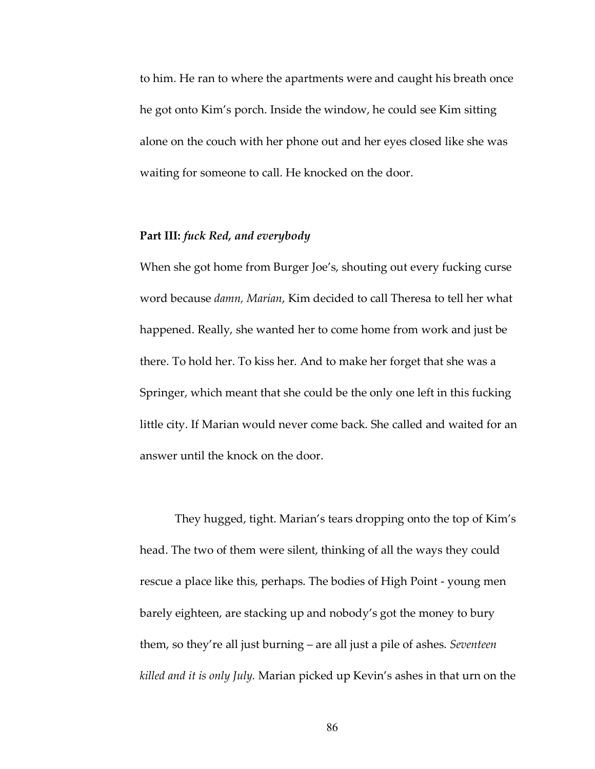to him. He ran to where the apartments were and caught his breath once he got onto Kim's porch. Inside the window, he could see Kim sitting alone on the couch with her phone out and her eyes closed like she was waiting for someone to call. He knocked on the door.

### **Part III:** *fuck Red, and everybody*

When she got home from Burger Joe's, shouting out every fucking curse word because *damn, Marian*, Kim decided to call Theresa to tell her what happened. Really, she wanted her to come home from work and just be there. To hold her. To kiss her. And to make her forget that she was a Springer, which meant that she could be the only one left in this fucking little city. If Marian would never come back. She called and waited for an answer until the knock on the door.

They hugged, tight. Marian's tears dropping onto the top of Kim's head. The two of them were silent, thinking of all the ways they could rescue a place like this, perhaps. The bodies of High Point - young men barely eighteen, are stacking up and nobody's got the money to bury them, so they're all just burning – are all just a pile of ashes. *Seventeen killed and it is only July.* Marian picked up Kevin's ashes in that urn on the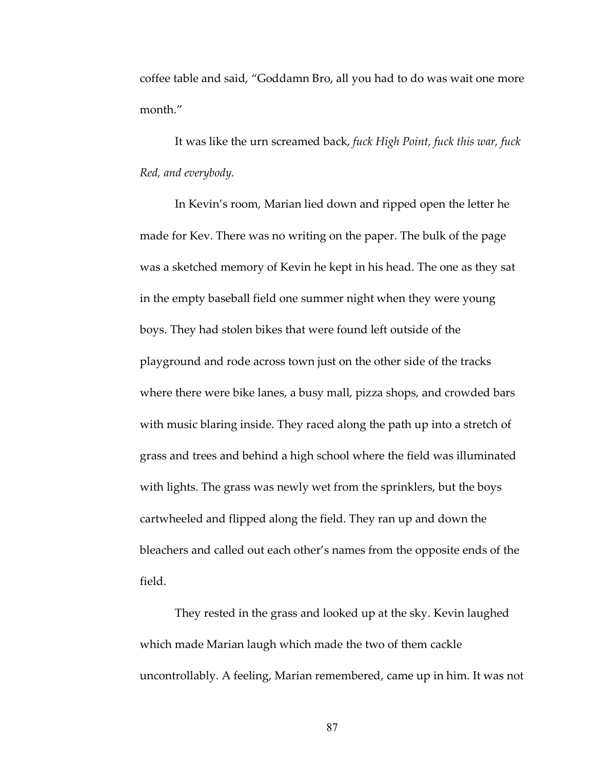coffee table and said, "Goddamn Bro, all you had to do was wait one more month."

It was like the urn screamed back, *fuck High Point, fuck this war, fuck Red, and everybody.*

In Kevin's room, Marian lied down and ripped open the letter he made for Kev. There was no writing on the paper. The bulk of the page was a sketched memory of Kevin he kept in his head. The one as they sat in the empty baseball field one summer night when they were young boys. They had stolen bikes that were found left outside of the playground and rode across town just on the other side of the tracks where there were bike lanes, a busy mall, pizza shops, and crowded bars with music blaring inside. They raced along the path up into a stretch of grass and trees and behind a high school where the field was illuminated with lights. The grass was newly wet from the sprinklers, but the boys cartwheeled and flipped along the field. They ran up and down the bleachers and called out each other's names from the opposite ends of the field.

They rested in the grass and looked up at the sky. Kevin laughed which made Marian laugh which made the two of them cackle uncontrollably. A feeling, Marian remembered, came up in him. It was not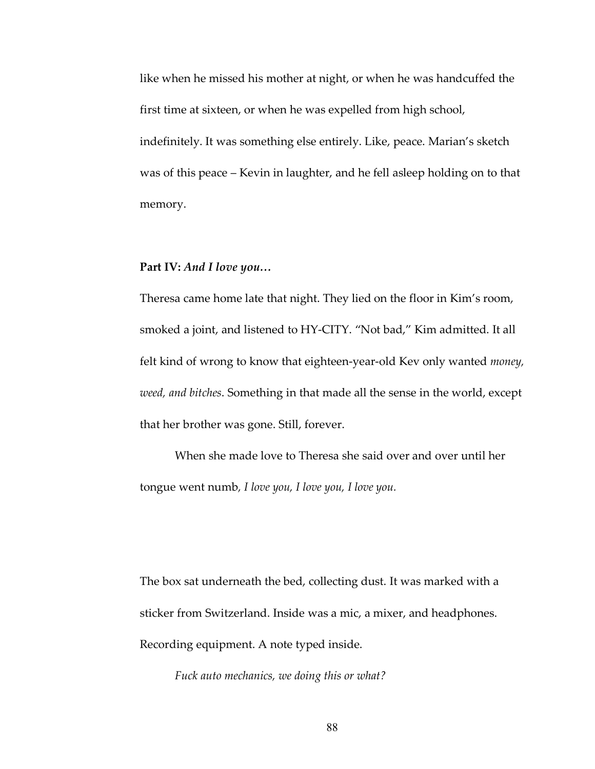like when he missed his mother at night, or when he was handcuffed the first time at sixteen, or when he was expelled from high school, indefinitely. It was something else entirely. Like, peace. Marian's sketch was of this peace – Kevin in laughter, and he fell asleep holding on to that memory.

## **Part IV:** *And I love you…*

Theresa came home late that night. They lied on the floor in Kim's room, smoked a joint, and listened to HY-CITY. "Not bad," Kim admitted. It all felt kind of wrong to know that eighteen-year-old Kev only wanted *money, weed, and bitches*. Something in that made all the sense in the world, except that her brother was gone. Still, forever.

When she made love to Theresa she said over and over until her tongue went numb*, I love you, I love you, I love you.*

The box sat underneath the bed, collecting dust. It was marked with a sticker from Switzerland. Inside was a mic, a mixer, and headphones. Recording equipment. A note typed inside.

*Fuck auto mechanics, we doing this or what?*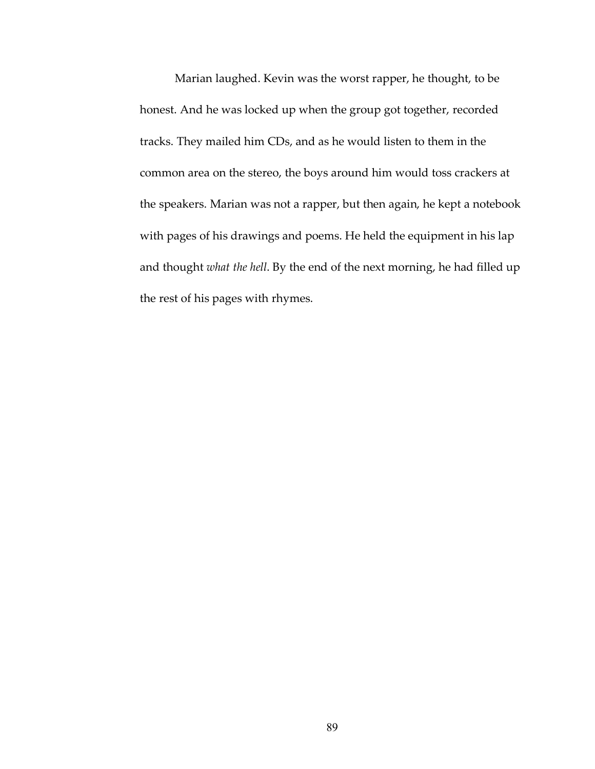Marian laughed. Kevin was the worst rapper, he thought, to be honest. And he was locked up when the group got together, recorded tracks. They mailed him CDs, and as he would listen to them in the common area on the stereo, the boys around him would toss crackers at the speakers. Marian was not a rapper, but then again, he kept a notebook with pages of his drawings and poems. He held the equipment in his lap and thought *what the hell*. By the end of the next morning, he had filled up the rest of his pages with rhymes.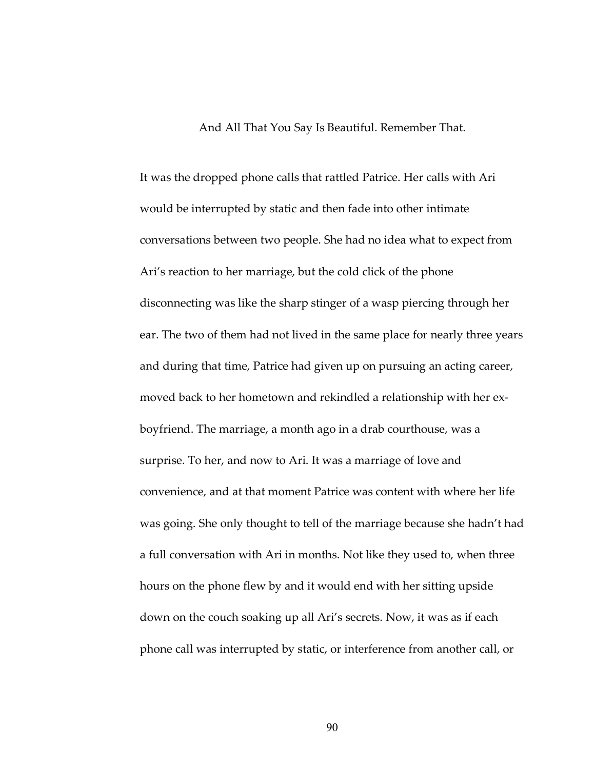And All That You Say Is Beautiful. Remember That.

It was the dropped phone calls that rattled Patrice. Her calls with Ari would be interrupted by static and then fade into other intimate conversations between two people. She had no idea what to expect from Ari's reaction to her marriage, but the cold click of the phone disconnecting was like the sharp stinger of a wasp piercing through her ear. The two of them had not lived in the same place for nearly three years and during that time, Patrice had given up on pursuing an acting career, moved back to her hometown and rekindled a relationship with her exboyfriend. The marriage, a month ago in a drab courthouse, was a surprise. To her, and now to Ari. It was a marriage of love and convenience, and at that moment Patrice was content with where her life was going. She only thought to tell of the marriage because she hadn't had a full conversation with Ari in months. Not like they used to, when three hours on the phone flew by and it would end with her sitting upside down on the couch soaking up all Ari's secrets. Now, it was as if each phone call was interrupted by static, or interference from another call, or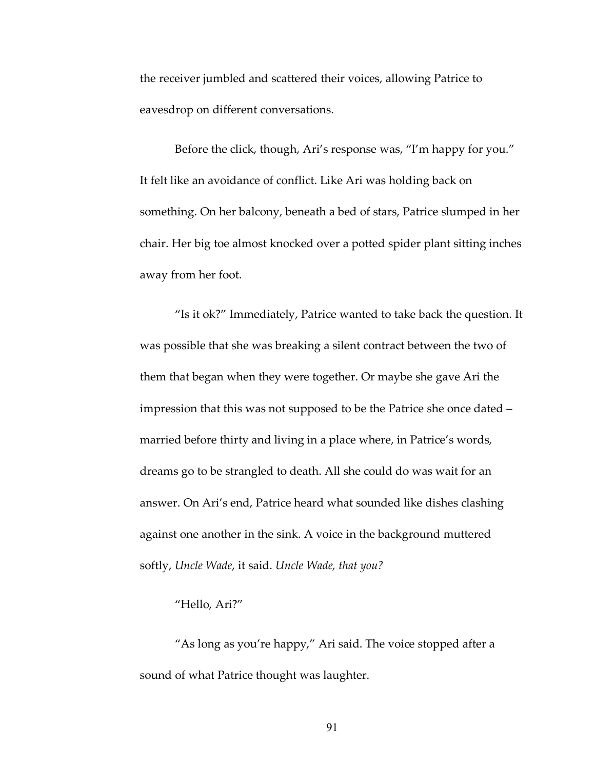the receiver jumbled and scattered their voices, allowing Patrice to eavesdrop on different conversations.

Before the click, though, Ari's response was, "I'm happy for you." It felt like an avoidance of conflict. Like Ari was holding back on something. On her balcony, beneath a bed of stars, Patrice slumped in her chair. Her big toe almost knocked over a potted spider plant sitting inches away from her foot.

"Is it ok?" Immediately, Patrice wanted to take back the question. It was possible that she was breaking a silent contract between the two of them that began when they were together. Or maybe she gave Ari the impression that this was not supposed to be the Patrice she once dated – married before thirty and living in a place where, in Patrice's words, dreams go to be strangled to death. All she could do was wait for an answer. On Ari's end, Patrice heard what sounded like dishes clashing against one another in the sink. A voice in the background muttered softly, *Uncle Wade*, it said. *Uncle Wade, that you?*

# "Hello, Ari?"

"As long as you're happy," Ari said. The voice stopped after a sound of what Patrice thought was laughter.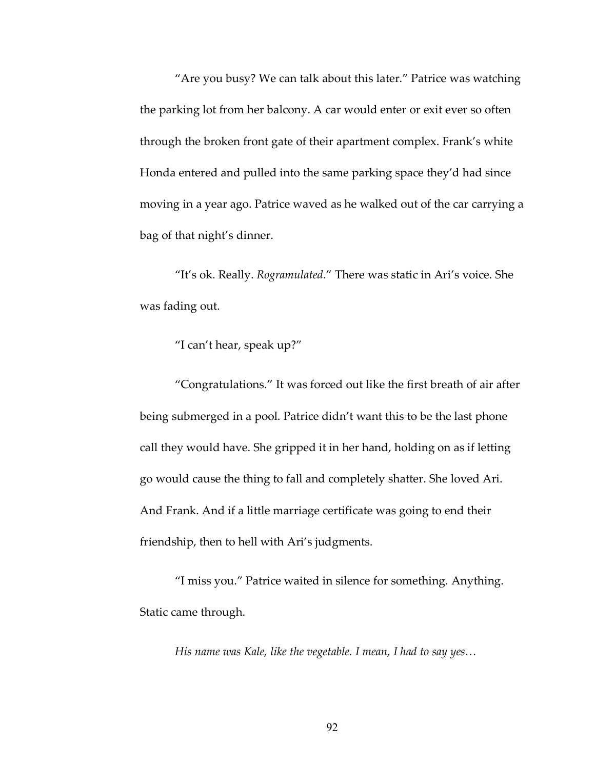"Are you busy? We can talk about this later." Patrice was watching the parking lot from her balcony. A car would enter or exit ever so often through the broken front gate of their apartment complex. Frank's white Honda entered and pulled into the same parking space they'd had since moving in a year ago. Patrice waved as he walked out of the car carrying a bag of that night's dinner.

"It's ok. Really. *Rogramulated*." There was static in Ari's voice. She was fading out.

"I can't hear, speak up?"

"Congratulations." It was forced out like the first breath of air after being submerged in a pool. Patrice didn't want this to be the last phone call they would have. She gripped it in her hand, holding on as if letting go would cause the thing to fall and completely shatter. She loved Ari. And Frank. And if a little marriage certificate was going to end their friendship, then to hell with Ari's judgments.

"I miss you." Patrice waited in silence for something. Anything. Static came through.

*His name was Kale, like the vegetable. I mean, I had to say yes…*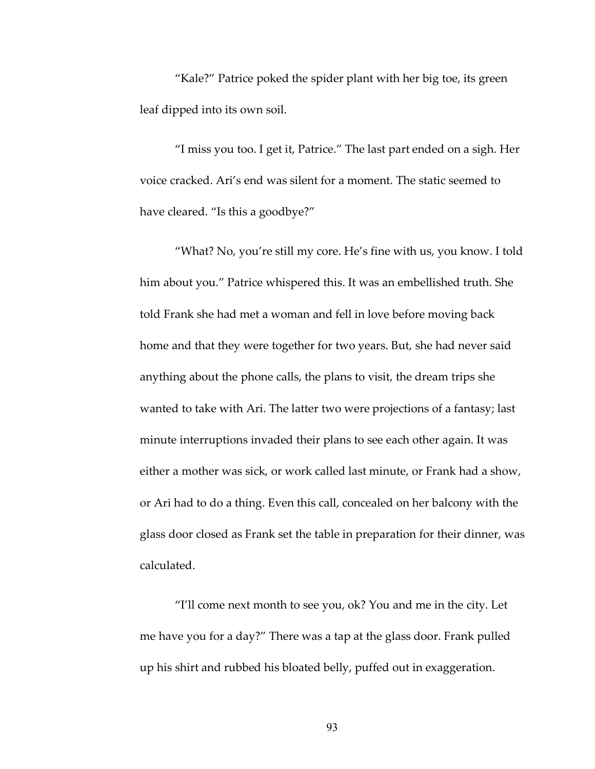"Kale?" Patrice poked the spider plant with her big toe, its green leaf dipped into its own soil.

"I miss you too. I get it, Patrice." The last part ended on a sigh. Her voice cracked. Ari's end was silent for a moment. The static seemed to have cleared. "Is this a goodbye?"

"What? No, you're still my core. He's fine with us, you know. I told him about you." Patrice whispered this. It was an embellished truth. She told Frank she had met a woman and fell in love before moving back home and that they were together for two years. But, she had never said anything about the phone calls, the plans to visit, the dream trips she wanted to take with Ari. The latter two were projections of a fantasy; last minute interruptions invaded their plans to see each other again. It was either a mother was sick, or work called last minute, or Frank had a show, or Ari had to do a thing. Even this call, concealed on her balcony with the glass door closed as Frank set the table in preparation for their dinner, was calculated.

"I'll come next month to see you, ok? You and me in the city. Let me have you for a day?" There was a tap at the glass door. Frank pulled up his shirt and rubbed his bloated belly, puffed out in exaggeration.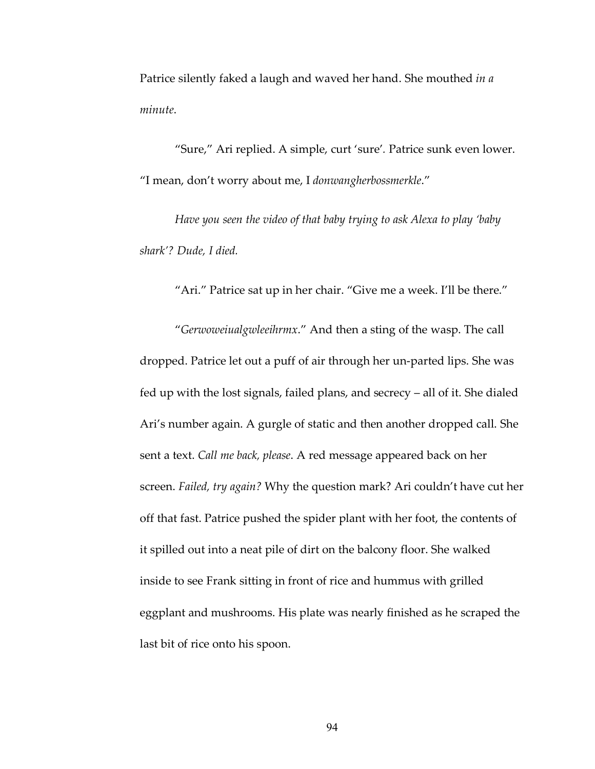Patrice silently faked a laugh and waved her hand. She mouthed *in a minute*.

"Sure," Ari replied. A simple, curt 'sure'*.* Patrice sunk even lower. "I mean, don't worry about me, I *donwangherbossmerkle*."

*Have you seen the video of that baby trying to ask Alexa to play 'baby shark'? Dude, I died.*

"Ari." Patrice sat up in her chair. "Give me a week. I'll be there."

"*Gerwoweiualgwleeihrmx*." And then a sting of the wasp. The call dropped. Patrice let out a puff of air through her un-parted lips. She was fed up with the lost signals, failed plans, and secrecy – all of it. She dialed Ari's number again. A gurgle of static and then another dropped call. She sent a text. *Call me back, please*. A red message appeared back on her screen. *Failed, try again?* Why the question mark? Ari couldn't have cut her off that fast. Patrice pushed the spider plant with her foot, the contents of it spilled out into a neat pile of dirt on the balcony floor. She walked inside to see Frank sitting in front of rice and hummus with grilled eggplant and mushrooms. His plate was nearly finished as he scraped the last bit of rice onto his spoon.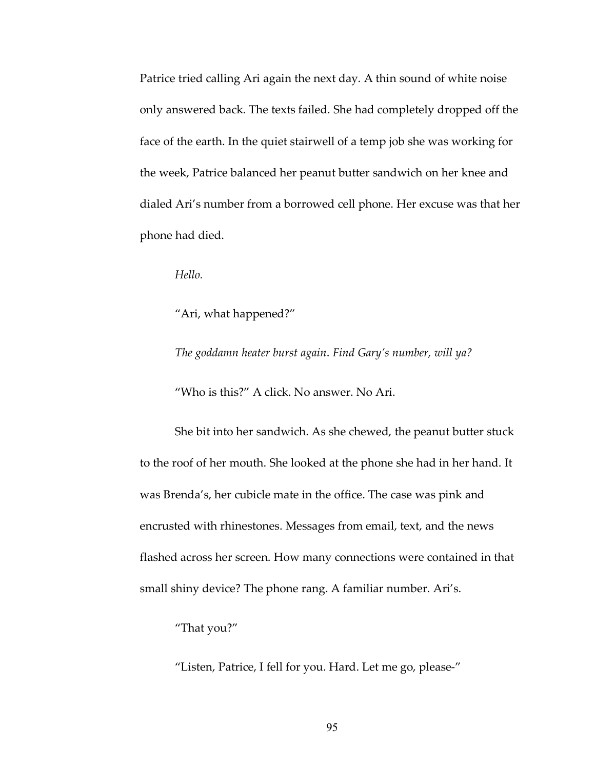Patrice tried calling Ari again the next day. A thin sound of white noise only answered back. The texts failed. She had completely dropped off the face of the earth. In the quiet stairwell of a temp job she was working for the week, Patrice balanced her peanut butter sandwich on her knee and dialed Ari's number from a borrowed cell phone. Her excuse was that her phone had died.

*Hello.*

"Ari, what happened?"

*The goddamn heater burst again*. *Find Gary's number, will ya?*

"Who is this?" A click. No answer. No Ari.

She bit into her sandwich. As she chewed, the peanut butter stuck to the roof of her mouth. She looked at the phone she had in her hand. It was Brenda's, her cubicle mate in the office. The case was pink and encrusted with rhinestones. Messages from email, text, and the news flashed across her screen. How many connections were contained in that small shiny device? The phone rang. A familiar number. Ari's.

"That you?"

"Listen, Patrice, I fell for you. Hard. Let me go, please-"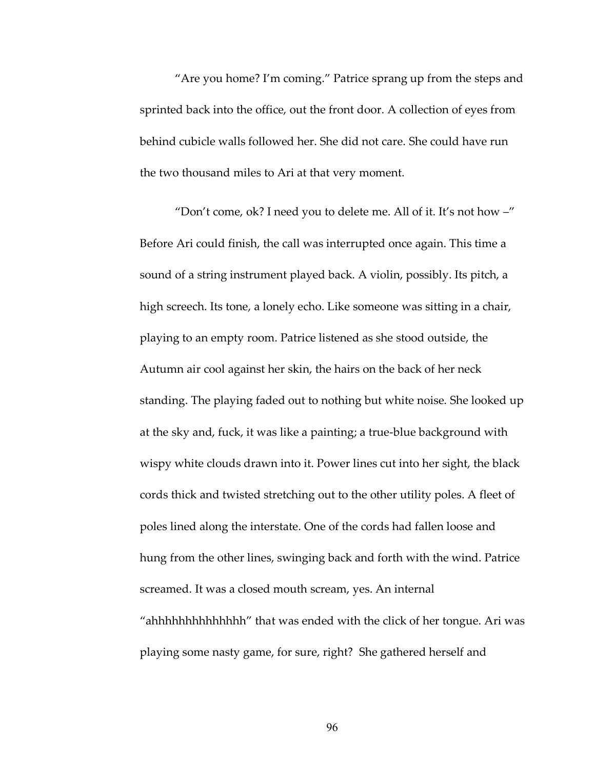"Are you home? I'm coming." Patrice sprang up from the steps and sprinted back into the office, out the front door. A collection of eyes from behind cubicle walls followed her. She did not care. She could have run the two thousand miles to Ari at that very moment.

"Don't come, ok? I need you to delete me. All of it. It's not how –" Before Ari could finish, the call was interrupted once again. This time a sound of a string instrument played back. A violin, possibly. Its pitch, a high screech. Its tone, a lonely echo. Like someone was sitting in a chair, playing to an empty room. Patrice listened as she stood outside, the Autumn air cool against her skin, the hairs on the back of her neck standing. The playing faded out to nothing but white noise. She looked up at the sky and, fuck, it was like a painting; a true-blue background with wispy white clouds drawn into it. Power lines cut into her sight, the black cords thick and twisted stretching out to the other utility poles. A fleet of poles lined along the interstate. One of the cords had fallen loose and hung from the other lines, swinging back and forth with the wind. Patrice screamed. It was a closed mouth scream, yes. An internal "ahhhhhhhhhhhhhh" that was ended with the click of her tongue. Ari was playing some nasty game, for sure, right? She gathered herself and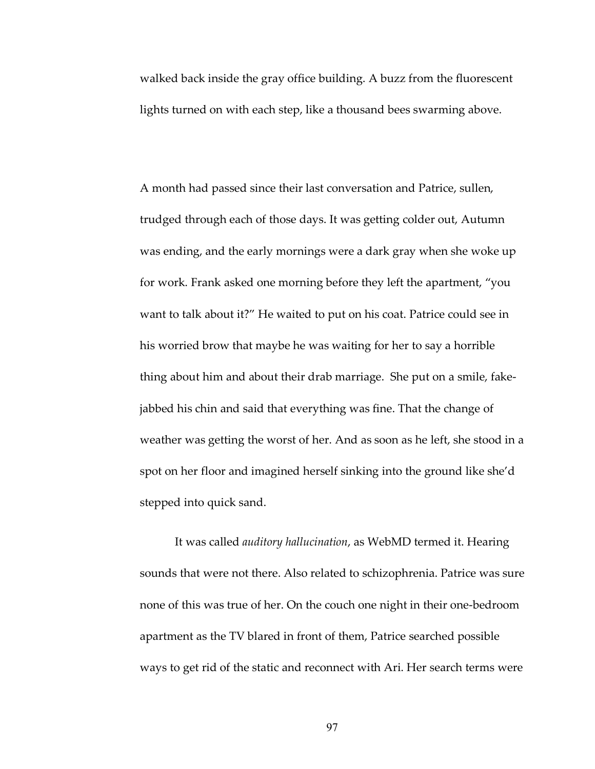walked back inside the gray office building. A buzz from the fluorescent lights turned on with each step, like a thousand bees swarming above.

A month had passed since their last conversation and Patrice, sullen, trudged through each of those days. It was getting colder out, Autumn was ending, and the early mornings were a dark gray when she woke up for work. Frank asked one morning before they left the apartment, "you want to talk about it?" He waited to put on his coat. Patrice could see in his worried brow that maybe he was waiting for her to say a horrible thing about him and about their drab marriage. She put on a smile, fakejabbed his chin and said that everything was fine. That the change of weather was getting the worst of her. And as soon as he left, she stood in a spot on her floor and imagined herself sinking into the ground like she'd stepped into quick sand.

It was called *auditory hallucination*, as WebMD termed it. Hearing sounds that were not there. Also related to schizophrenia. Patrice was sure none of this was true of her. On the couch one night in their one-bedroom apartment as the TV blared in front of them, Patrice searched possible ways to get rid of the static and reconnect with Ari. Her search terms were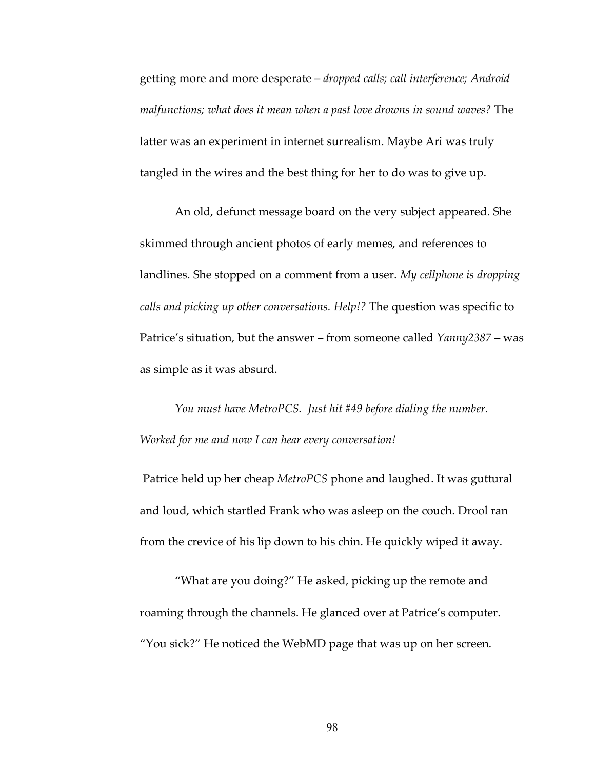getting more and more desperate – *dropped calls; call interference; Android malfunctions; what does it mean when a past love drowns in sound waves?* The latter was an experiment in internet surrealism. Maybe Ari was truly tangled in the wires and the best thing for her to do was to give up.

An old, defunct message board on the very subject appeared. She skimmed through ancient photos of early memes, and references to landlines. She stopped on a comment from a user. *My cellphone is dropping calls and picking up other conversations. Help!?* The question was specific to Patrice's situation, but the answer – from someone called *Yanny2387* – was as simple as it was absurd.

*You must have MetroPCS. Just hit #49 before dialing the number. Worked for me and now I can hear every conversation!*

Patrice held up her cheap *MetroPCS* phone and laughed. It was guttural and loud, which startled Frank who was asleep on the couch. Drool ran from the crevice of his lip down to his chin. He quickly wiped it away.

"What are you doing?" He asked, picking up the remote and roaming through the channels. He glanced over at Patrice's computer. "You sick?" He noticed the WebMD page that was up on her screen.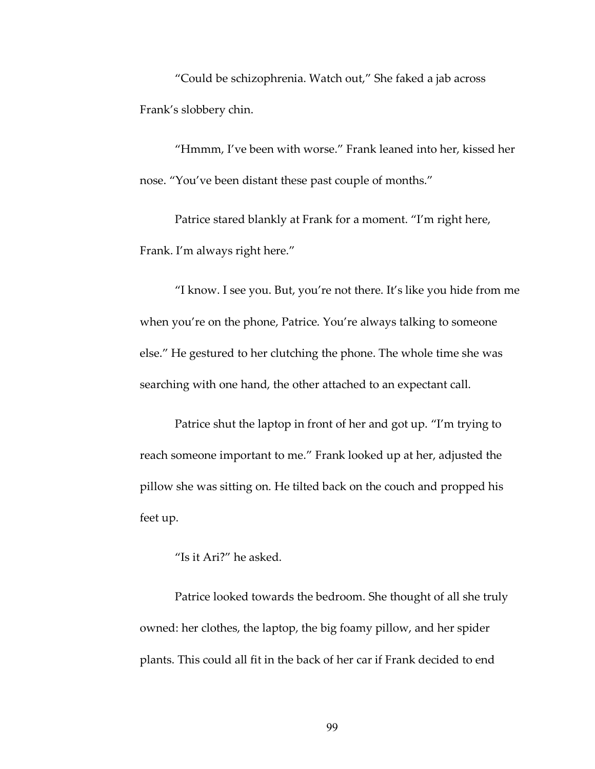"Could be schizophrenia. Watch out," She faked a jab across Frank's slobbery chin.

"Hmmm, I've been with worse." Frank leaned into her, kissed her nose. "You've been distant these past couple of months."

Patrice stared blankly at Frank for a moment. "I'm right here, Frank. I'm always right here."

"I know. I see you. But, you're not there. It's like you hide from me when you're on the phone, Patrice. You're always talking to someone else." He gestured to her clutching the phone. The whole time she was searching with one hand, the other attached to an expectant call.

Patrice shut the laptop in front of her and got up. "I'm trying to reach someone important to me." Frank looked up at her, adjusted the pillow she was sitting on. He tilted back on the couch and propped his feet up.

"Is it Ari?" he asked.

Patrice looked towards the bedroom. She thought of all she truly owned: her clothes, the laptop, the big foamy pillow, and her spider plants. This could all fit in the back of her car if Frank decided to end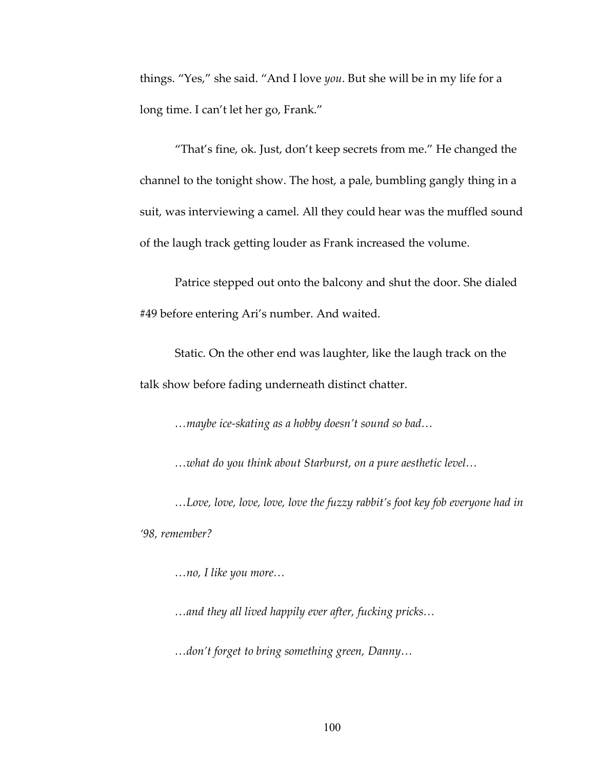things. "Yes," she said. "And I love *you*. But she will be in my life for a long time. I can't let her go, Frank."

"That's fine, ok. Just, don't keep secrets from me." He changed the channel to the tonight show. The host, a pale, bumbling gangly thing in a suit, was interviewing a camel. All they could hear was the muffled sound of the laugh track getting louder as Frank increased the volume.

Patrice stepped out onto the balcony and shut the door. She dialed #49 before entering Ari's number. And waited.

Static. On the other end was laughter, like the laugh track on the talk show before fading underneath distinct chatter.

*…maybe ice-skating as a hobby doesn't sound so bad…*

*…what do you think about Starburst, on a pure aesthetic level…*

*…Love, love, love, love, love the fuzzy rabbit's foot key fob everyone had in '98, remember?* 

*…no, I like you more…*

*…and they all lived happily ever after, fucking pricks…*

*…don't forget to bring something green, Danny…*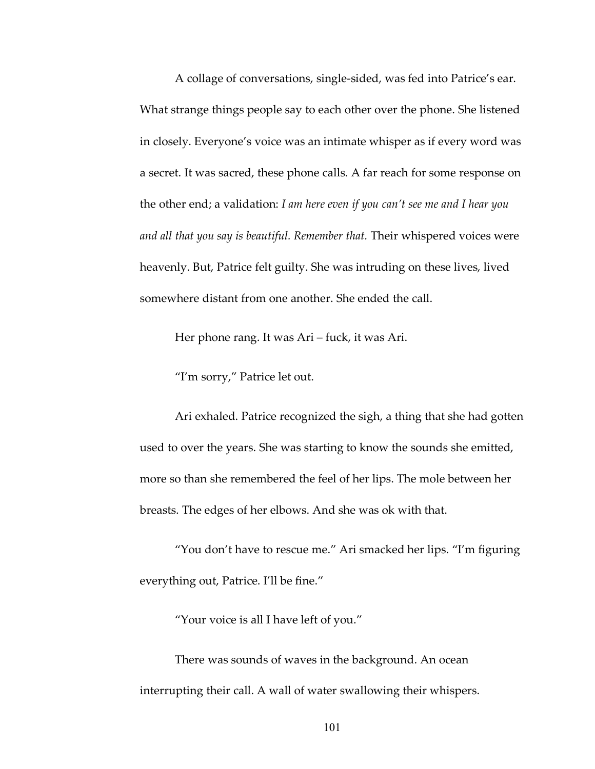A collage of conversations, single-sided, was fed into Patrice's ear. What strange things people say to each other over the phone. She listened in closely. Everyone's voice was an intimate whisper as if every word was a secret. It was sacred, these phone calls. A far reach for some response on the other end; a validation: *I am here even if you can't see me and I hear you and all that you say is beautiful. Remember that.* Their whispered voices were heavenly. But, Patrice felt guilty. She was intruding on these lives, lived somewhere distant from one another. She ended the call.

Her phone rang. It was Ari – fuck, it was Ari.

"I'm sorry," Patrice let out.

Ari exhaled. Patrice recognized the sigh, a thing that she had gotten used to over the years. She was starting to know the sounds she emitted, more so than she remembered the feel of her lips. The mole between her breasts. The edges of her elbows. And she was ok with that.

"You don't have to rescue me." Ari smacked her lips. "I'm figuring everything out, Patrice. I'll be fine."

"Your voice is all I have left of you."

There was sounds of waves in the background. An ocean interrupting their call. A wall of water swallowing their whispers.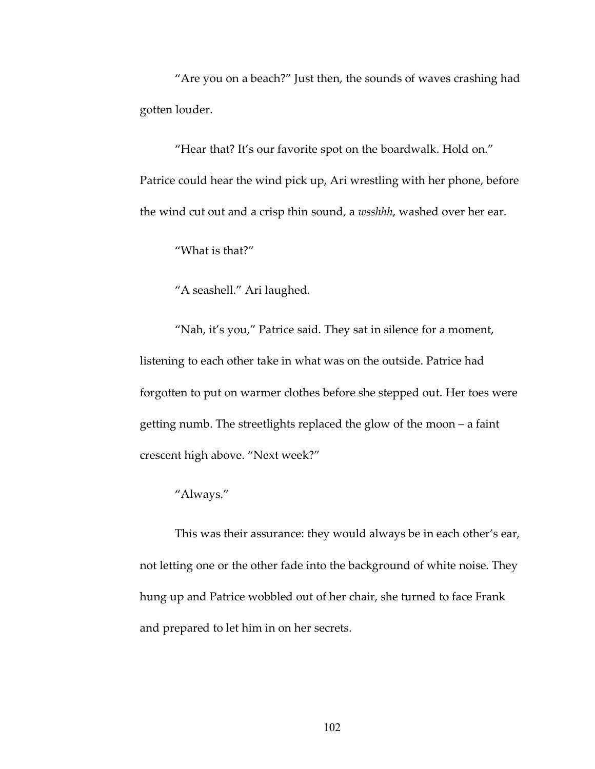"Are you on a beach?" Just then, the sounds of waves crashing had gotten louder.

"Hear that? It's our favorite spot on the boardwalk. Hold on." Patrice could hear the wind pick up, Ari wrestling with her phone, before the wind cut out and a crisp thin sound, a *wsshhh*, washed over her ear.

"What is that?"

"A seashell." Ari laughed.

"Nah, it's you," Patrice said. They sat in silence for a moment, listening to each other take in what was on the outside. Patrice had forgotten to put on warmer clothes before she stepped out. Her toes were getting numb. The streetlights replaced the glow of the moon – a faint crescent high above. "Next week?"

# "Always."

This was their assurance: they would always be in each other's ear, not letting one or the other fade into the background of white noise. They hung up and Patrice wobbled out of her chair, she turned to face Frank and prepared to let him in on her secrets.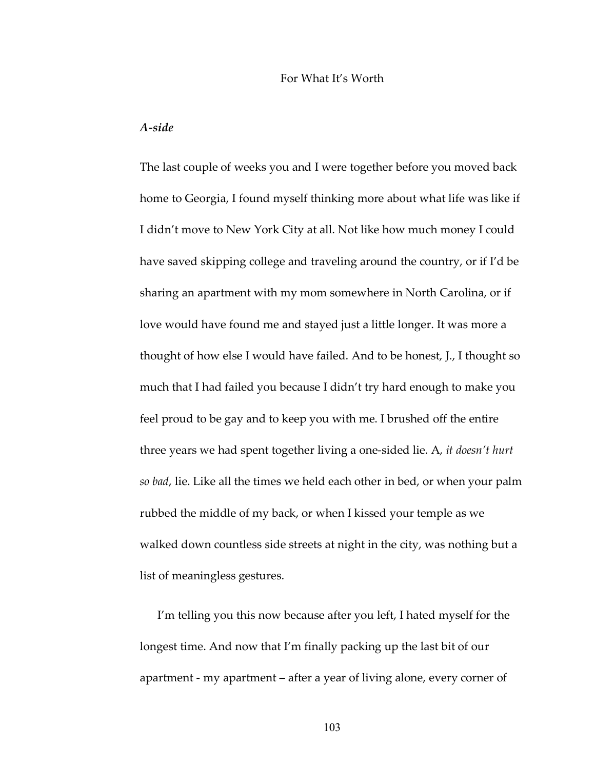#### For What It's Worth

### *A-side*

The last couple of weeks you and I were together before you moved back home to Georgia, I found myself thinking more about what life was like if I didn't move to New York City at all. Not like how much money I could have saved skipping college and traveling around the country, or if I'd be sharing an apartment with my mom somewhere in North Carolina, or if love would have found me and stayed just a little longer. It was more a thought of how else I would have failed. And to be honest, J., I thought so much that I had failed you because I didn't try hard enough to make you feel proud to be gay and to keep you with me. I brushed off the entire three years we had spent together living a one-sided lie. A, *it doesn't hurt so bad*, lie. Like all the times we held each other in bed, or when your palm rubbed the middle of my back, or when I kissed your temple as we walked down countless side streets at night in the city, was nothing but a list of meaningless gestures.

I'm telling you this now because after you left, I hated myself for the longest time. And now that I'm finally packing up the last bit of our apartment - my apartment – after a year of living alone, every corner of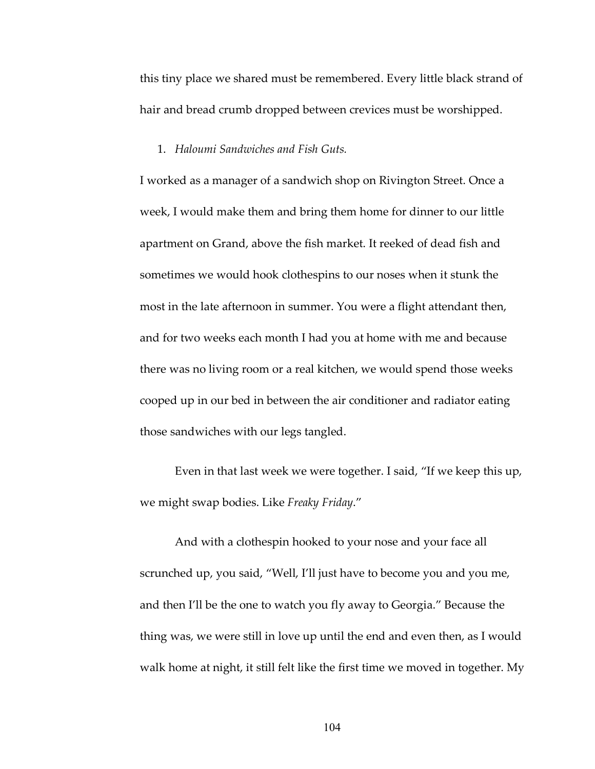this tiny place we shared must be remembered. Every little black strand of hair and bread crumb dropped between crevices must be worshipped.

### 1. *Haloumi Sandwiches and Fish Guts.*

I worked as a manager of a sandwich shop on Rivington Street. Once a week, I would make them and bring them home for dinner to our little apartment on Grand, above the fish market. It reeked of dead fish and sometimes we would hook clothespins to our noses when it stunk the most in the late afternoon in summer. You were a flight attendant then, and for two weeks each month I had you at home with me and because there was no living room or a real kitchen, we would spend those weeks cooped up in our bed in between the air conditioner and radiator eating those sandwiches with our legs tangled.

Even in that last week we were together. I said, "If we keep this up, we might swap bodies. Like *Freaky Friday*."

And with a clothespin hooked to your nose and your face all scrunched up, you said, "Well, I'll just have to become you and you me, and then I'll be the one to watch you fly away to Georgia." Because the thing was, we were still in love up until the end and even then, as I would walk home at night, it still felt like the first time we moved in together. My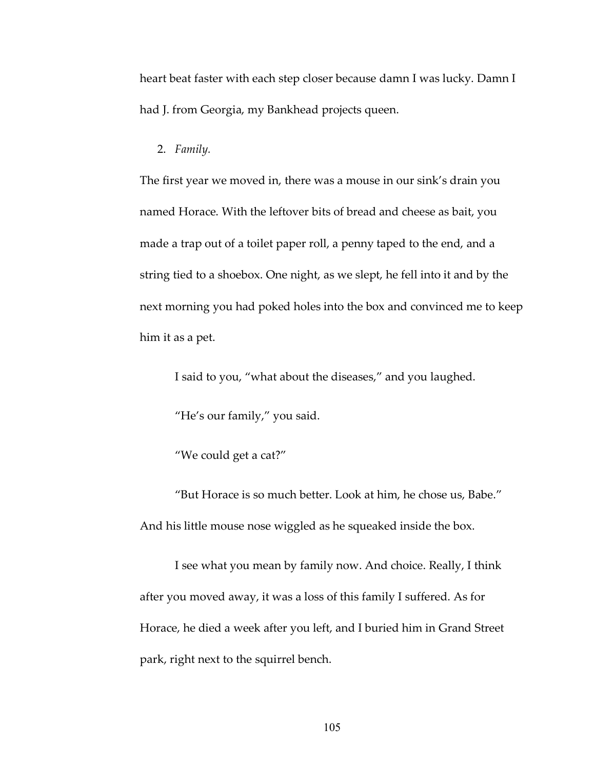heart beat faster with each step closer because damn I was lucky. Damn I had J. from Georgia, my Bankhead projects queen.

### 2. *Family.*

The first year we moved in, there was a mouse in our sink's drain you named Horace. With the leftover bits of bread and cheese as bait, you made a trap out of a toilet paper roll, a penny taped to the end, and a string tied to a shoebox. One night, as we slept, he fell into it and by the next morning you had poked holes into the box and convinced me to keep him it as a pet.

I said to you, "what about the diseases," and you laughed.

"He's our family," you said.

"We could get a cat?"

"But Horace is so much better. Look at him, he chose us, Babe." And his little mouse nose wiggled as he squeaked inside the box.

I see what you mean by family now. And choice. Really, I think after you moved away, it was a loss of this family I suffered. As for Horace, he died a week after you left, and I buried him in Grand Street park, right next to the squirrel bench.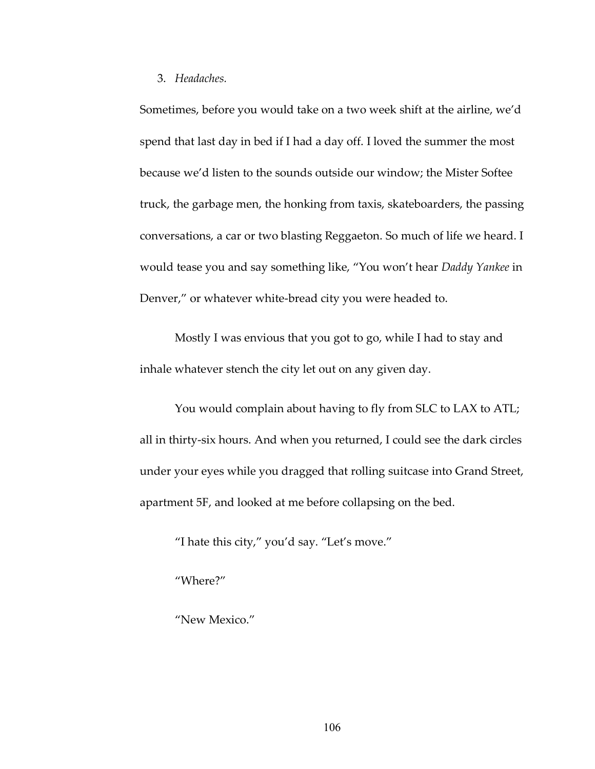### 3. *Headaches.*

Sometimes, before you would take on a two week shift at the airline, we'd spend that last day in bed if I had a day off. I loved the summer the most because we'd listen to the sounds outside our window; the Mister Softee truck, the garbage men, the honking from taxis, skateboarders, the passing conversations, a car or two blasting Reggaeton. So much of life we heard. I would tease you and say something like, "You won't hear *Daddy Yankee* in Denver," or whatever white-bread city you were headed to.

Mostly I was envious that you got to go, while I had to stay and inhale whatever stench the city let out on any given day.

You would complain about having to fly from SLC to LAX to ATL; all in thirty-six hours. And when you returned, I could see the dark circles under your eyes while you dragged that rolling suitcase into Grand Street, apartment 5F, and looked at me before collapsing on the bed.

"I hate this city," you'd say. "Let's move."

"Where?"

"New Mexico."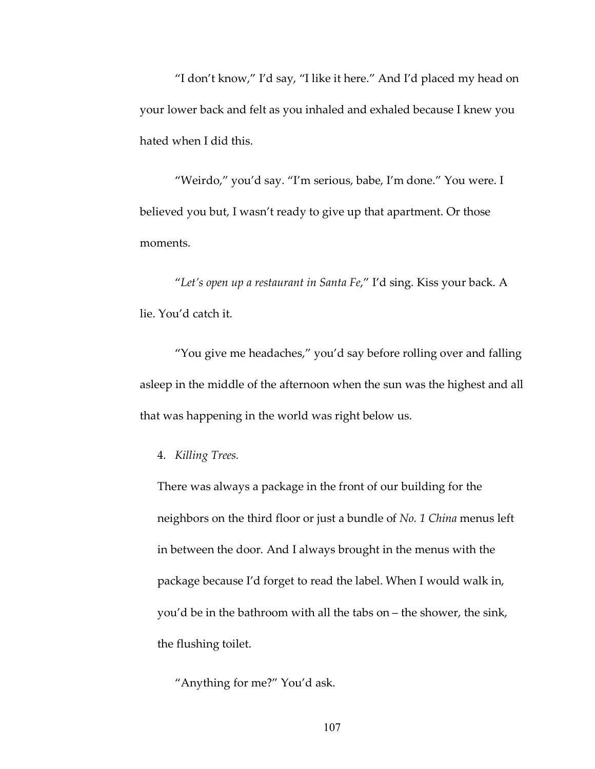"I don't know," I'd say, "I like it here." And I'd placed my head on your lower back and felt as you inhaled and exhaled because I knew you hated when I did this.

"Weirdo," you'd say. "I'm serious, babe, I'm done." You were. I believed you but, I wasn't ready to give up that apartment. Or those moments.

"*Let's open up a restaurant in Santa Fe*," I'd sing. Kiss your back. A lie. You'd catch it.

"You give me headaches," you'd say before rolling over and falling asleep in the middle of the afternoon when the sun was the highest and all that was happening in the world was right below us.

4. *Killing Trees.*

There was always a package in the front of our building for the neighbors on the third floor or just a bundle of *No. 1 China* menus left in between the door. And I always brought in the menus with the package because I'd forget to read the label. When I would walk in, you'd be in the bathroom with all the tabs on – the shower, the sink, the flushing toilet.

"Anything for me?" You'd ask.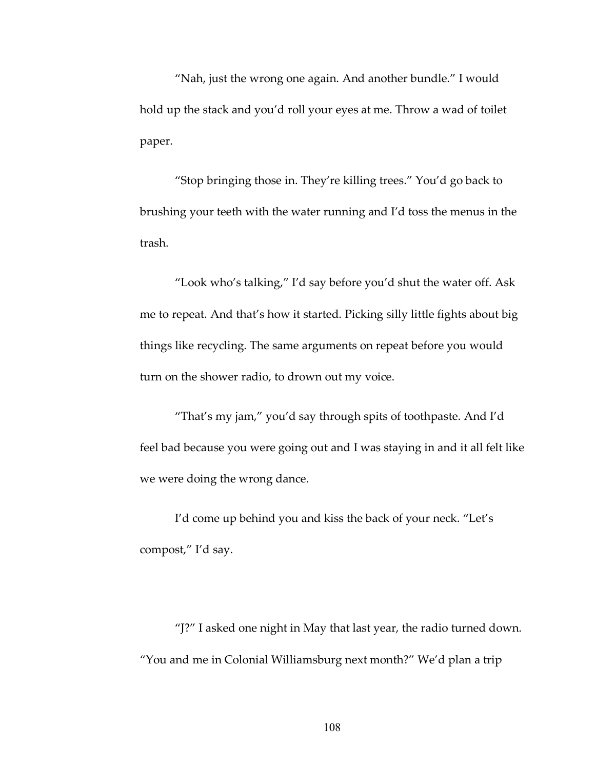"Nah, just the wrong one again. And another bundle." I would hold up the stack and you'd roll your eyes at me. Throw a wad of toilet paper.

"Stop bringing those in. They're killing trees." You'd go back to brushing your teeth with the water running and I'd toss the menus in the trash.

"Look who's talking," I'd say before you'd shut the water off. Ask me to repeat. And that's how it started. Picking silly little fights about big things like recycling. The same arguments on repeat before you would turn on the shower radio, to drown out my voice.

"That's my jam," you'd say through spits of toothpaste. And I'd feel bad because you were going out and I was staying in and it all felt like we were doing the wrong dance.

I'd come up behind you and kiss the back of your neck. "Let's compost," I'd say.

"J?" I asked one night in May that last year, the radio turned down. "You and me in Colonial Williamsburg next month?" We'd plan a trip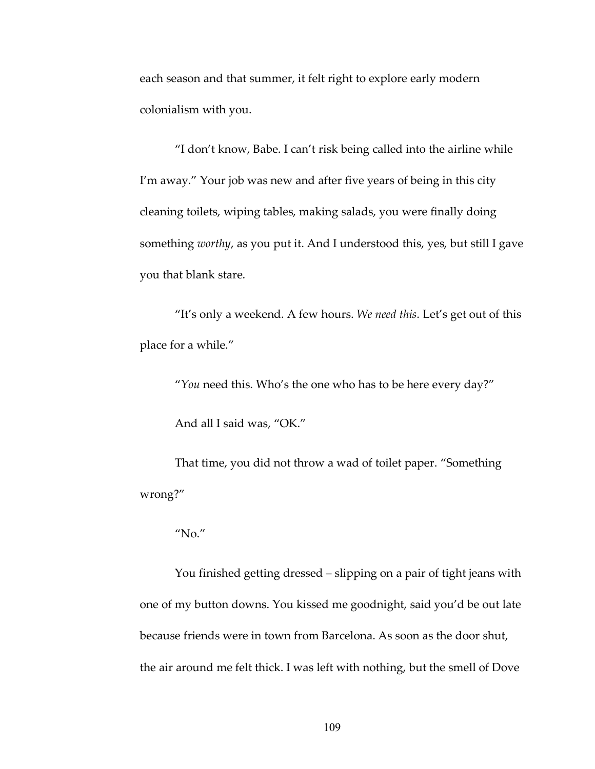each season and that summer, it felt right to explore early modern colonialism with you.

"I don't know, Babe. I can't risk being called into the airline while I'm away." Your job was new and after five years of being in this city cleaning toilets, wiping tables, making salads, you were finally doing something *worthy*, as you put it. And I understood this, yes, but still I gave you that blank stare.

"It's only a weekend. A few hours. *We need this*. Let's get out of this place for a while."

"*You* need this. Who's the one who has to be here every day?"

And all I said was, "OK."

That time, you did not throw a wad of toilet paper. "Something wrong?"

#### "No."

You finished getting dressed – slipping on a pair of tight jeans with one of my button downs. You kissed me goodnight, said you'd be out late because friends were in town from Barcelona. As soon as the door shut, the air around me felt thick. I was left with nothing, but the smell of Dove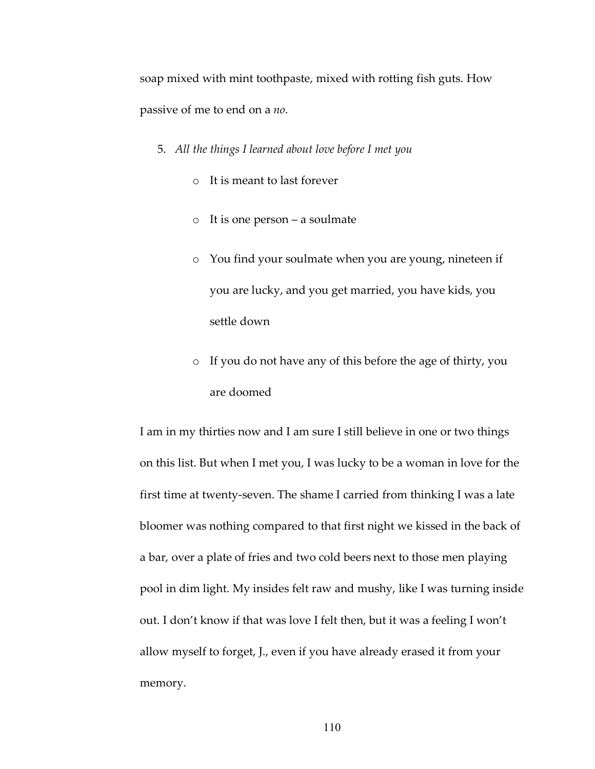soap mixed with mint toothpaste, mixed with rotting fish guts. How passive of me to end on a *no*.

- 5. *All the things I learned about love before I met you*
	- o It is meant to last forever
	- o It is one person a soulmate
	- o You find your soulmate when you are young, nineteen if you are lucky, and you get married, you have kids, you settle down
	- o If you do not have any of this before the age of thirty, you are doomed

I am in my thirties now and I am sure I still believe in one or two things on this list. But when I met you, I was lucky to be a woman in love for the first time at twenty-seven. The shame I carried from thinking I was a late bloomer was nothing compared to that first night we kissed in the back of a bar, over a plate of fries and two cold beers next to those men playing pool in dim light. My insides felt raw and mushy, like I was turning inside out. I don't know if that was love I felt then, but it was a feeling I won't allow myself to forget, J., even if you have already erased it from your memory.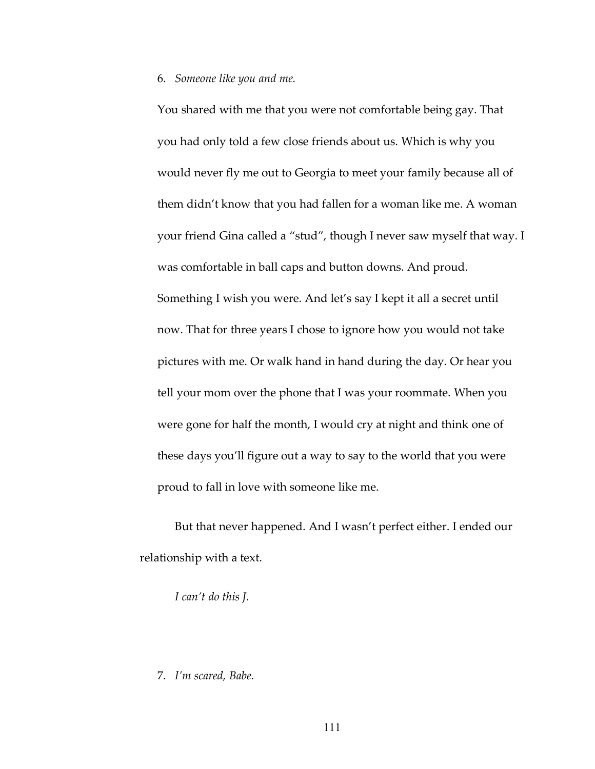#### 6. *Someone like you and me.*

You shared with me that you were not comfortable being gay. That you had only told a few close friends about us. Which is why you would never fly me out to Georgia to meet your family because all of them didn't know that you had fallen for a woman like me. A woman your friend Gina called a "stud", though I never saw myself that way. I was comfortable in ball caps and button downs. And proud. Something I wish you were. And let's say I kept it all a secret until now. That for three years I chose to ignore how you would not take pictures with me. Or walk hand in hand during the day. Or hear you tell your mom over the phone that I was your roommate. When you were gone for half the month, I would cry at night and think one of these days you'll figure out a way to say to the world that you were proud to fall in love with someone like me.

But that never happened. And I wasn't perfect either. I ended our relationship with a text.

*I can't do this J.*

# 7. *I'm scared, Babe.*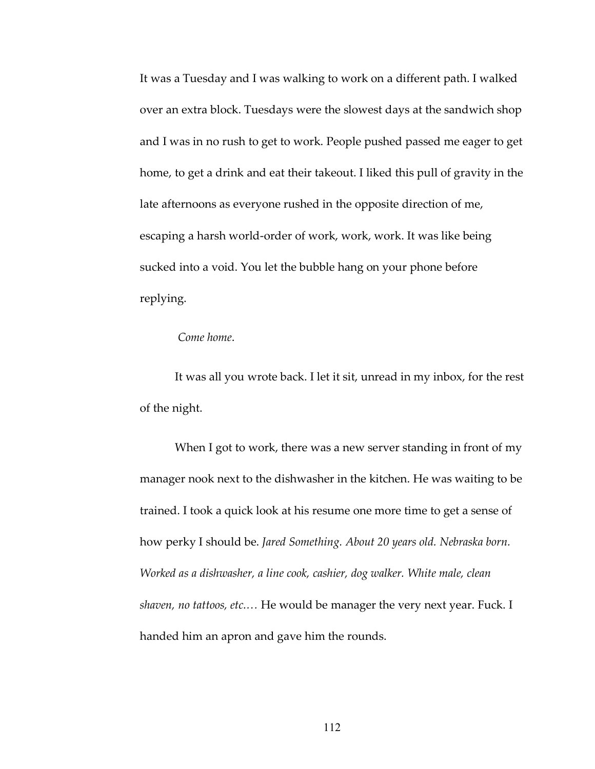It was a Tuesday and I was walking to work on a different path. I walked over an extra block. Tuesdays were the slowest days at the sandwich shop and I was in no rush to get to work. People pushed passed me eager to get home, to get a drink and eat their takeout. I liked this pull of gravity in the late afternoons as everyone rushed in the opposite direction of me, escaping a harsh world-order of work, work, work. It was like being sucked into a void. You let the bubble hang on your phone before replying.

# *Come home*.

It was all you wrote back. I let it sit, unread in my inbox, for the rest of the night.

When I got to work, there was a new server standing in front of my manager nook next to the dishwasher in the kitchen. He was waiting to be trained. I took a quick look at his resume one more time to get a sense of how perky I should be. *Jared Something. About 20 years old. Nebraska born. Worked as a dishwasher, a line cook, cashier, dog walker. White male, clean shaven, no tattoos, etc.…* He would be manager the very next year. Fuck. I handed him an apron and gave him the rounds.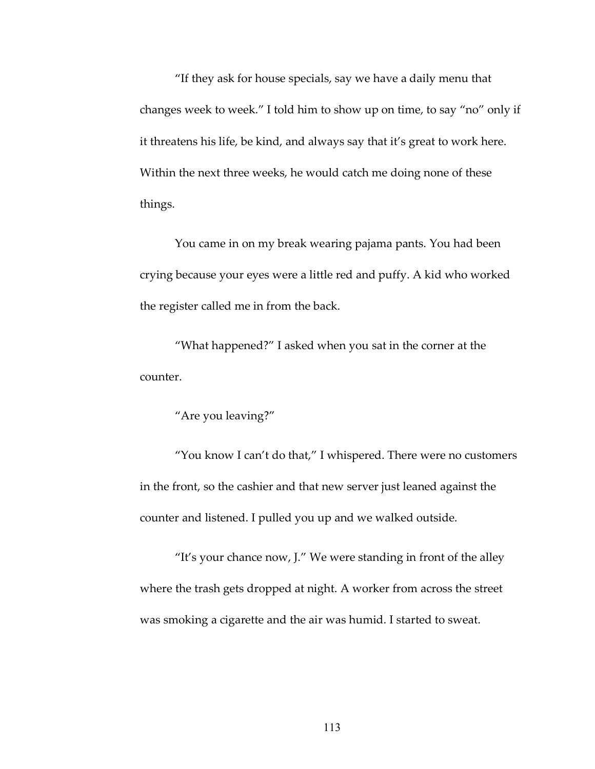"If they ask for house specials, say we have a daily menu that changes week to week." I told him to show up on time, to say "no" only if it threatens his life, be kind, and always say that it's great to work here. Within the next three weeks, he would catch me doing none of these things.

You came in on my break wearing pajama pants. You had been crying because your eyes were a little red and puffy. A kid who worked the register called me in from the back.

"What happened?" I asked when you sat in the corner at the counter.

"Are you leaving?"

"You know I can't do that," I whispered. There were no customers in the front, so the cashier and that new server just leaned against the counter and listened. I pulled you up and we walked outside.

"It's your chance now, J." We were standing in front of the alley where the trash gets dropped at night. A worker from across the street was smoking a cigarette and the air was humid. I started to sweat.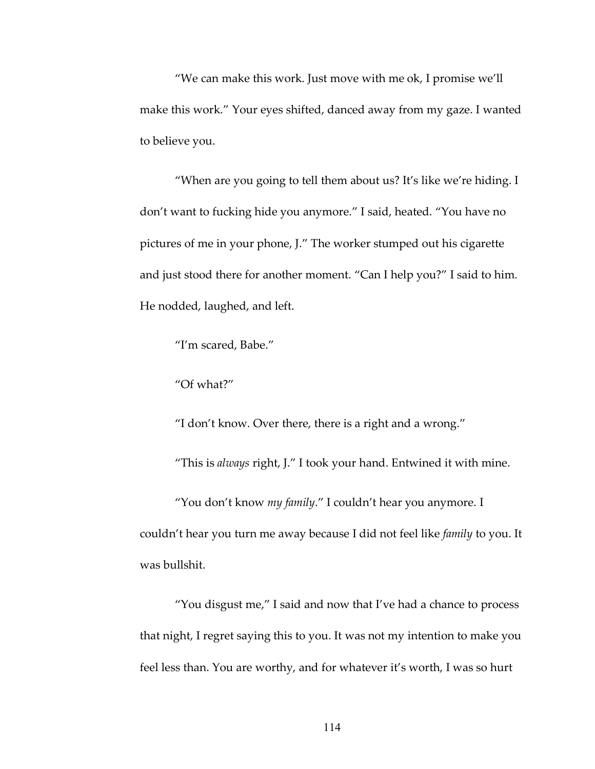"We can make this work. Just move with me ok, I promise we'll make this work." Your eyes shifted, danced away from my gaze. I wanted to believe you.

"When are you going to tell them about us? It's like we're hiding. I don't want to fucking hide you anymore." I said, heated. "You have no pictures of me in your phone, J." The worker stumped out his cigarette and just stood there for another moment. "Can I help you?" I said to him. He nodded, laughed, and left.

"I'm scared, Babe."

"Of what?"

"I don't know. Over there, there is a right and a wrong."

"This is *always* right, J." I took your hand. Entwined it with mine.

"You don't know *my family*." I couldn't hear you anymore. I couldn't hear you turn me away because I did not feel like *family* to you. It was bullshit.

"You disgust me," I said and now that I've had a chance to process that night, I regret saying this to you. It was not my intention to make you feel less than. You are worthy, and for whatever it's worth, I was so hurt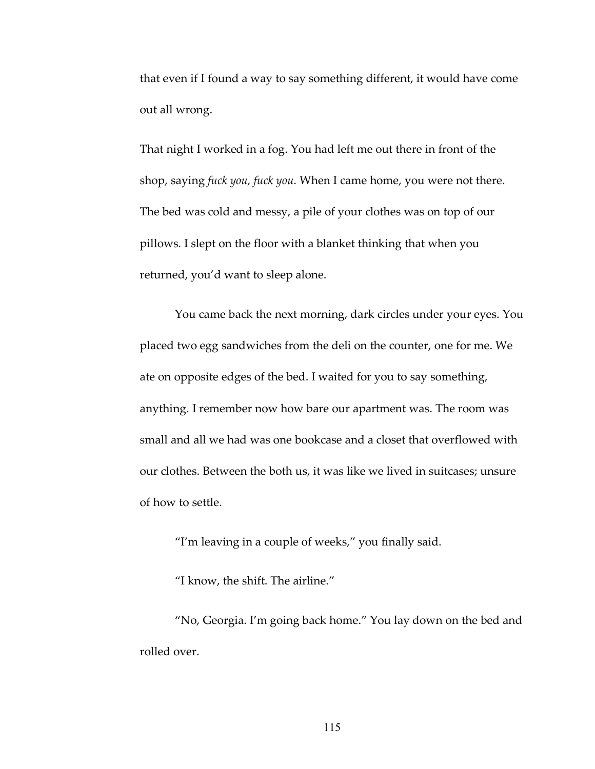that even if I found a way to say something different, it would have come out all wrong.

That night I worked in a fog. You had left me out there in front of the shop, saying *fuck you, fuck you*. When I came home, you were not there. The bed was cold and messy, a pile of your clothes was on top of our pillows. I slept on the floor with a blanket thinking that when you returned, you'd want to sleep alone.

You came back the next morning, dark circles under your eyes. You placed two egg sandwiches from the deli on the counter, one for me. We ate on opposite edges of the bed. I waited for you to say something, anything. I remember now how bare our apartment was. The room was small and all we had was one bookcase and a closet that overflowed with our clothes. Between the both us, it was like we lived in suitcases; unsure of how to settle.

"I'm leaving in a couple of weeks," you finally said.

"I know, the shift. The airline."

"No, Georgia. I'm going back home." You lay down on the bed and rolled over.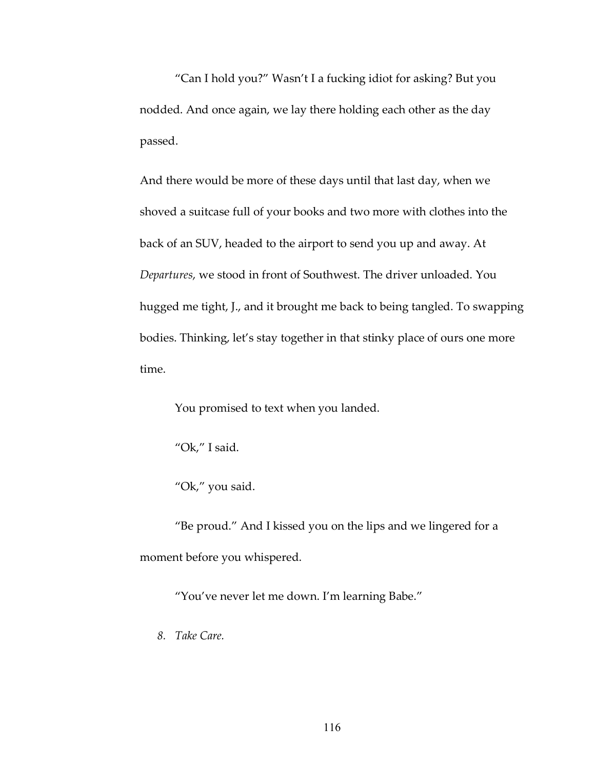"Can I hold you?" Wasn't I a fucking idiot for asking? But you nodded. And once again, we lay there holding each other as the day passed.

And there would be more of these days until that last day, when we shoved a suitcase full of your books and two more with clothes into the back of an SUV, headed to the airport to send you up and away. At *Departures*, we stood in front of Southwest. The driver unloaded. You hugged me tight, J., and it brought me back to being tangled. To swapping bodies. Thinking, let's stay together in that stinky place of ours one more time.

You promised to text when you landed.

"Ok," I said.

"Ok," you said.

"Be proud." And I kissed you on the lips and we lingered for a moment before you whispered.

"You've never let me down. I'm learning Babe."

*8. Take Care.*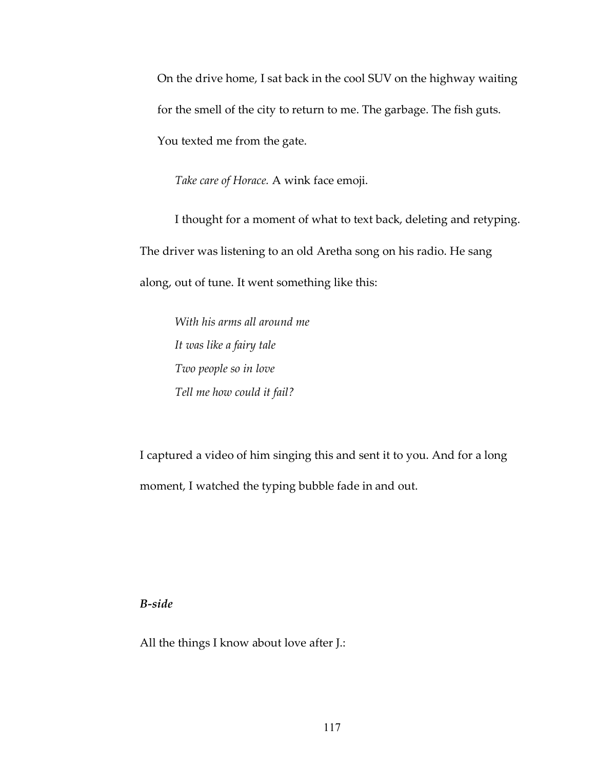On the drive home, I sat back in the cool SUV on the highway waiting for the smell of the city to return to me. The garbage. The fish guts. You texted me from the gate.

*Take care of Horace.* A wink face emoji.

I thought for a moment of what to text back, deleting and retyping. The driver was listening to an old Aretha song on his radio. He sang along, out of tune. It went something like this:

*With his arms all around me It was like a fairy tale Two people so in love Tell me how could it fail?*

I captured a video of him singing this and sent it to you. And for a long moment, I watched the typing bubble fade in and out.

*B-side*

All the things I know about love after J.: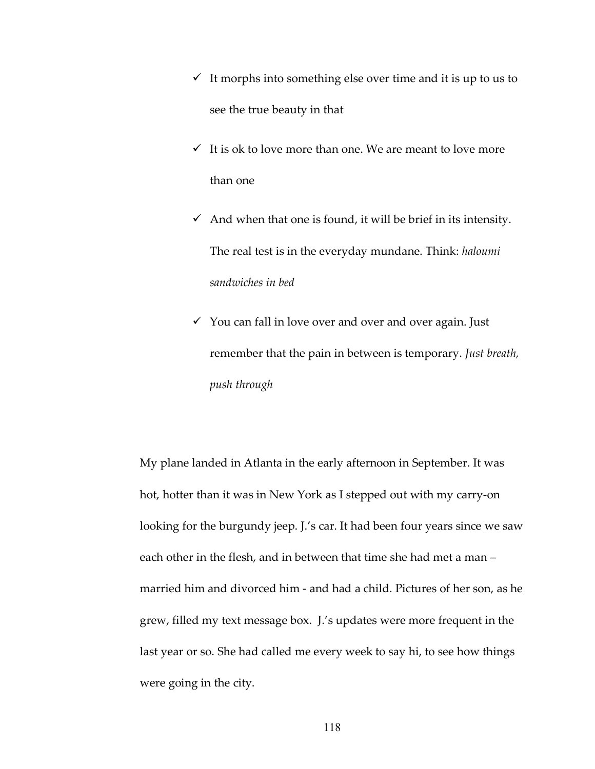- $\checkmark$  It morphs into something else over time and it is up to us to see the true beauty in that
- $\checkmark$  It is ok to love more than one. We are meant to love more than one
- $\checkmark$  And when that one is found, it will be brief in its intensity. The real test is in the everyday mundane. Think: *haloumi sandwiches in bed*
- $\checkmark$  You can fall in love over and over and over again. Just remember that the pain in between is temporary. *Just breath, push through*

My plane landed in Atlanta in the early afternoon in September. It was hot, hotter than it was in New York as I stepped out with my carry-on looking for the burgundy jeep. J.'s car. It had been four years since we saw each other in the flesh, and in between that time she had met a man – married him and divorced him - and had a child. Pictures of her son, as he grew, filled my text message box. J.'s updates were more frequent in the last year or so. She had called me every week to say hi, to see how things were going in the city.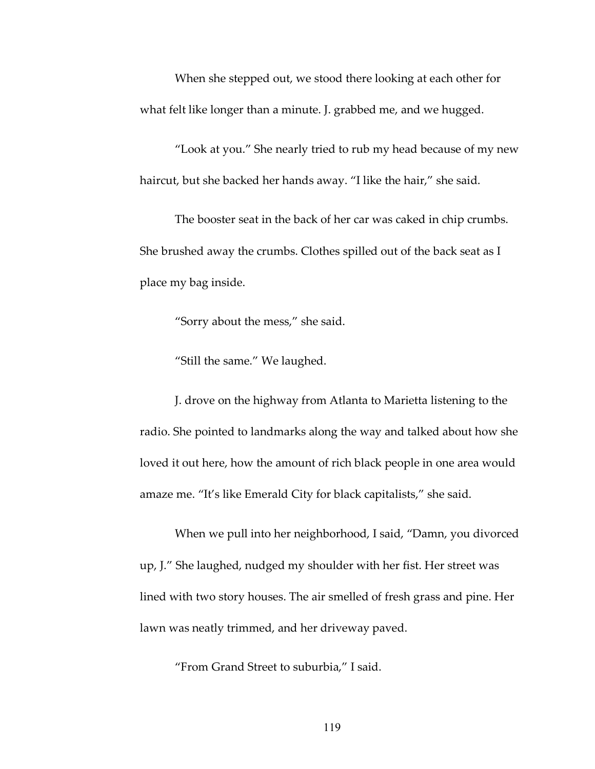When she stepped out, we stood there looking at each other for what felt like longer than a minute. J. grabbed me, and we hugged.

"Look at you." She nearly tried to rub my head because of my new haircut, but she backed her hands away. "I like the hair," she said.

The booster seat in the back of her car was caked in chip crumbs. She brushed away the crumbs. Clothes spilled out of the back seat as I place my bag inside.

"Sorry about the mess," she said.

"Still the same." We laughed.

J. drove on the highway from Atlanta to Marietta listening to the radio. She pointed to landmarks along the way and talked about how she loved it out here, how the amount of rich black people in one area would amaze me. "It's like Emerald City for black capitalists," she said.

When we pull into her neighborhood, I said, "Damn, you divorced up, J." She laughed, nudged my shoulder with her fist. Her street was lined with two story houses. The air smelled of fresh grass and pine. Her lawn was neatly trimmed, and her driveway paved.

"From Grand Street to suburbia," I said.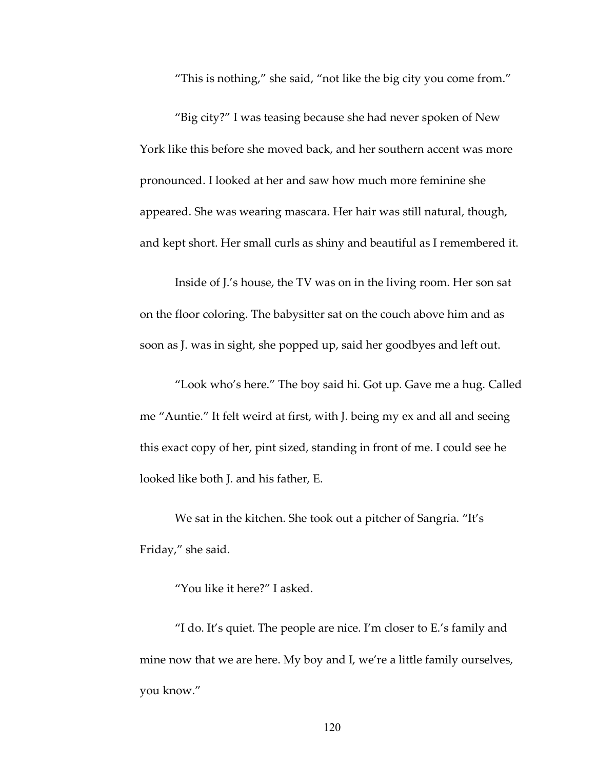"This is nothing," she said, "not like the big city you come from."

"Big city?" I was teasing because she had never spoken of New York like this before she moved back, and her southern accent was more pronounced. I looked at her and saw how much more feminine she appeared. She was wearing mascara. Her hair was still natural, though, and kept short. Her small curls as shiny and beautiful as I remembered it.

Inside of J.'s house, the TV was on in the living room. Her son sat on the floor coloring. The babysitter sat on the couch above him and as soon as J. was in sight, she popped up, said her goodbyes and left out.

"Look who's here." The boy said hi. Got up. Gave me a hug. Called me "Auntie." It felt weird at first, with J. being my ex and all and seeing this exact copy of her, pint sized, standing in front of me. I could see he looked like both J. and his father, E.

We sat in the kitchen. She took out a pitcher of Sangria. "It's Friday," she said.

"You like it here?" I asked.

"I do. It's quiet. The people are nice. I'm closer to E.'s family and mine now that we are here. My boy and I, we're a little family ourselves, you know."

120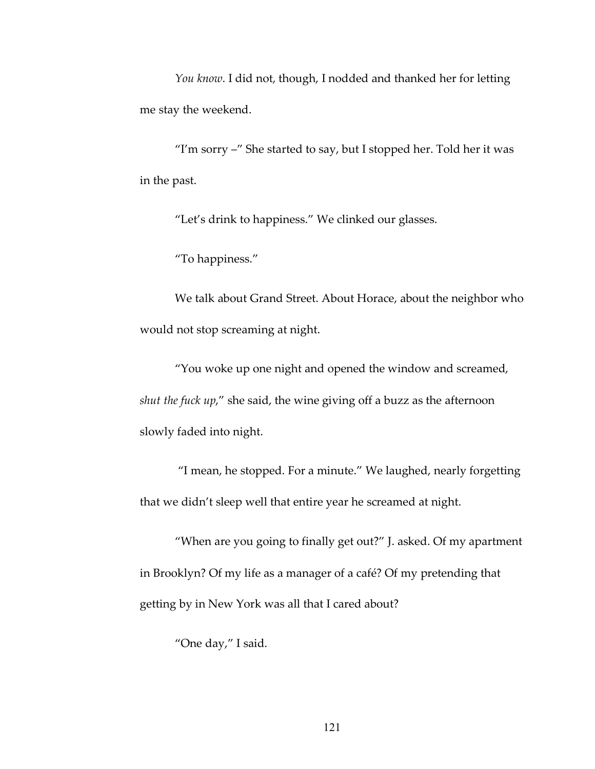*You know*. I did not, though, I nodded and thanked her for letting me stay the weekend.

"I'm sorry  $-$ " She started to say, but I stopped her. Told her it was in the past.

"Let's drink to happiness." We clinked our glasses.

"To happiness."

We talk about Grand Street. About Horace, about the neighbor who would not stop screaming at night.

"You woke up one night and opened the window and screamed, *shut the fuck up*," she said, the wine giving off a buzz as the afternoon slowly faded into night.

"I mean, he stopped. For a minute." We laughed, nearly forgetting that we didn't sleep well that entire year he screamed at night.

"When are you going to finally get out?" J. asked. Of my apartment in Brooklyn? Of my life as a manager of a café? Of my pretending that getting by in New York was all that I cared about?

"One day," I said.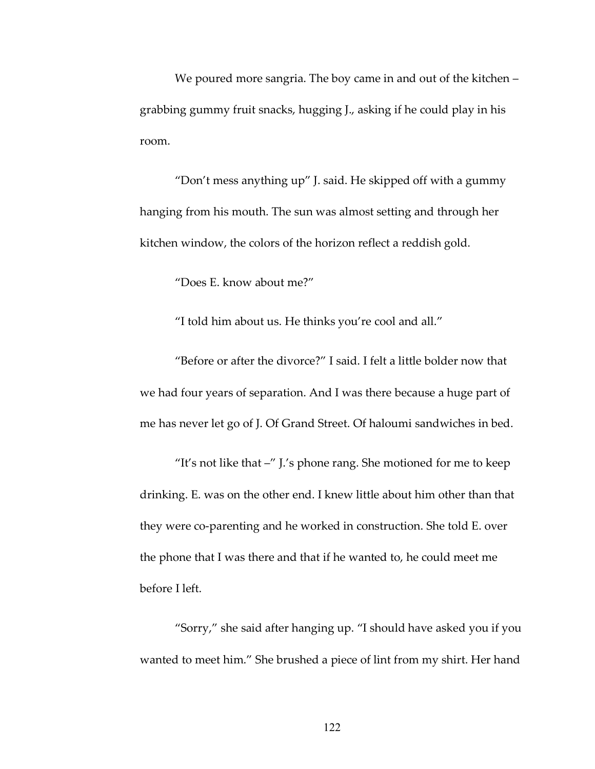We poured more sangria. The boy came in and out of the kitchen – grabbing gummy fruit snacks, hugging J., asking if he could play in his room.

"Don't mess anything up" J. said. He skipped off with a gummy hanging from his mouth. The sun was almost setting and through her kitchen window, the colors of the horizon reflect a reddish gold.

"Does E. know about me?"

"I told him about us. He thinks you're cool and all."

"Before or after the divorce?" I said. I felt a little bolder now that we had four years of separation. And I was there because a huge part of me has never let go of J. Of Grand Street. Of haloumi sandwiches in bed.

"It's not like that –" J.'s phone rang. She motioned for me to keep drinking. E. was on the other end. I knew little about him other than that they were co-parenting and he worked in construction. She told E. over the phone that I was there and that if he wanted to, he could meet me before I left.

"Sorry," she said after hanging up. "I should have asked you if you wanted to meet him." She brushed a piece of lint from my shirt. Her hand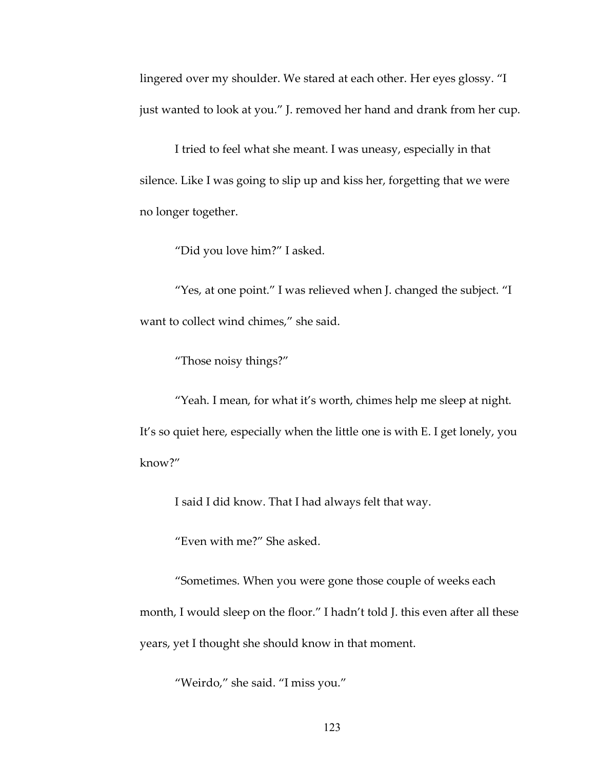lingered over my shoulder. We stared at each other. Her eyes glossy. "I just wanted to look at you." J. removed her hand and drank from her cup.

I tried to feel what she meant. I was uneasy, especially in that silence. Like I was going to slip up and kiss her, forgetting that we were no longer together.

"Did you love him?" I asked.

"Yes, at one point." I was relieved when J. changed the subject. "I want to collect wind chimes," she said.

"Those noisy things?"

"Yeah. I mean, for what it's worth, chimes help me sleep at night. It's so quiet here, especially when the little one is with E. I get lonely, you know?"

I said I did know. That I had always felt that way.

"Even with me?" She asked.

"Sometimes. When you were gone those couple of weeks each month, I would sleep on the floor." I hadn't told J. this even after all these years, yet I thought she should know in that moment.

"Weirdo," she said. "I miss you."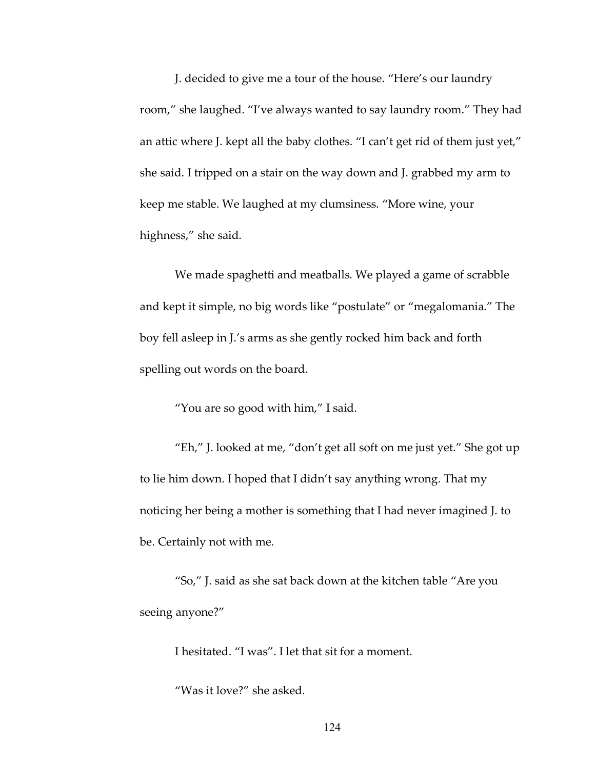J. decided to give me a tour of the house. "Here's our laundry room," she laughed. "I've always wanted to say laundry room." They had an attic where J. kept all the baby clothes. "I can't get rid of them just yet," she said. I tripped on a stair on the way down and J. grabbed my arm to keep me stable. We laughed at my clumsiness. "More wine, your highness," she said.

We made spaghetti and meatballs. We played a game of scrabble and kept it simple, no big words like "postulate" or "megalomania." The boy fell asleep in J.'s arms as she gently rocked him back and forth spelling out words on the board.

"You are so good with him," I said.

"Eh," J. looked at me, "don't get all soft on me just yet." She got up to lie him down. I hoped that I didn't say anything wrong. That my noticing her being a mother is something that I had never imagined J. to be. Certainly not with me.

"So," J. said as she sat back down at the kitchen table "Are you seeing anyone?"

I hesitated. "I was". I let that sit for a moment.

"Was it love?" she asked.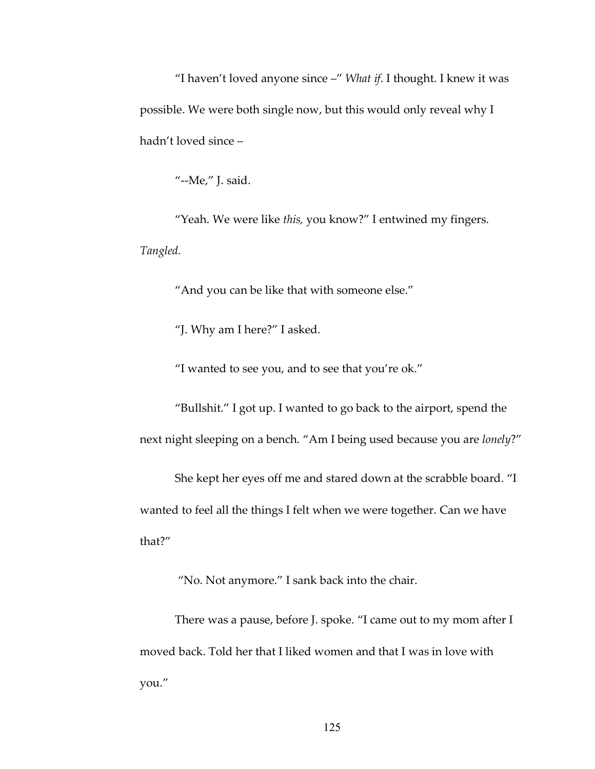"I haven't loved anyone since –" *What if*. I thought. I knew it was possible. We were both single now, but this would only reveal why I hadn't loved since –

"--Me," J. said.

"Yeah. We were like *this,* you know?" I entwined my fingers. *Tangled.*

"And you can be like that with someone else."

"J. Why am I here?" I asked.

"I wanted to see you, and to see that you're ok."

"Bullshit." I got up. I wanted to go back to the airport, spend the next night sleeping on a bench. "Am I being used because you are *lonely*?"

She kept her eyes off me and stared down at the scrabble board. "I wanted to feel all the things I felt when we were together. Can we have that?"

"No. Not anymore." I sank back into the chair.

There was a pause, before J. spoke. "I came out to my mom after I moved back. Told her that I liked women and that I was in love with you."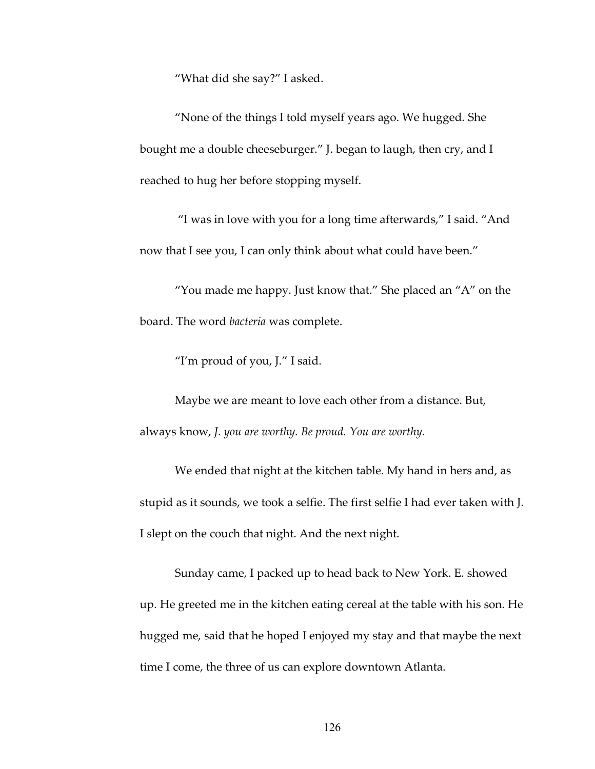"What did she say?" I asked.

"None of the things I told myself years ago. We hugged. She bought me a double cheeseburger." J. began to laugh, then cry, and I reached to hug her before stopping myself.

"I was in love with you for a long time afterwards," I said. "And now that I see you, I can only think about what could have been."

"You made me happy. Just know that." She placed an "A" on the board. The word *bacteria* was complete.

"I'm proud of you, J." I said.

Maybe we are meant to love each other from a distance. But, always know, *J. you are worthy. Be proud. You are worthy.*

We ended that night at the kitchen table. My hand in hers and, as stupid as it sounds, we took a selfie. The first selfie I had ever taken with J. I slept on the couch that night. And the next night.

Sunday came, I packed up to head back to New York. E. showed up. He greeted me in the kitchen eating cereal at the table with his son. He hugged me, said that he hoped I enjoyed my stay and that maybe the next time I come, the three of us can explore downtown Atlanta.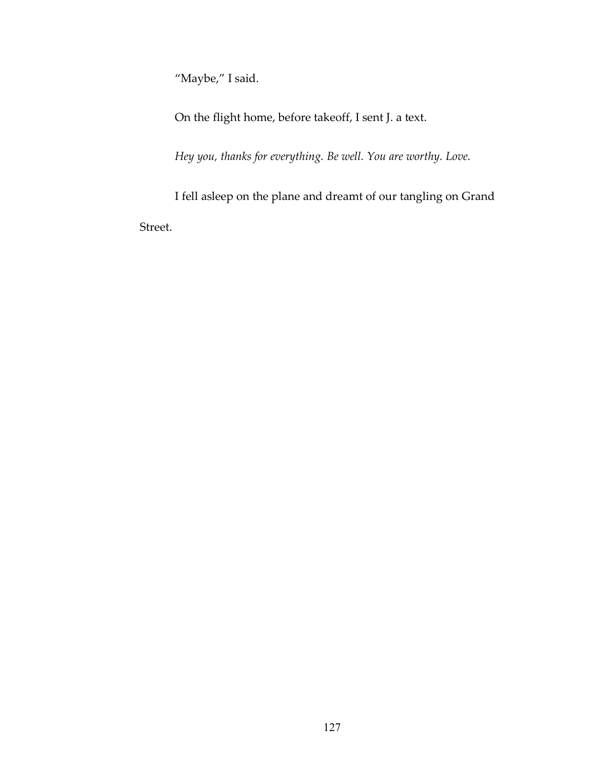"Maybe," I said.

On the flight home, before takeoff, I sent J. a text.

*Hey you, thanks for everything. Be well. You are worthy. Love.*

I fell asleep on the plane and dreamt of our tangling on Grand Street.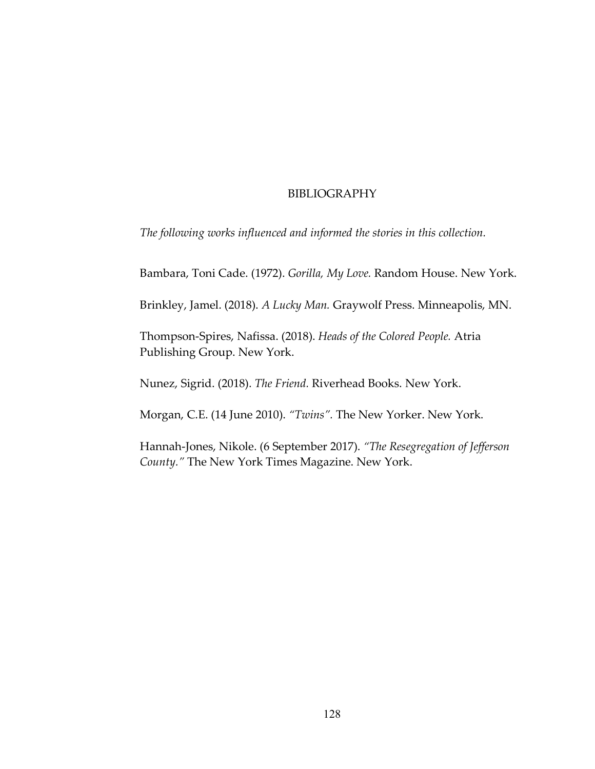# BIBLIOGRAPHY

*The following works influenced and informed the stories in this collection.*

Bambara, Toni Cade. (1972). *Gorilla, My Love.* Random House. New York.

Brinkley, Jamel. (2018). *A Lucky Man.* Graywolf Press. Minneapolis, MN.

Thompson-Spires, Nafissa. (2018). *Heads of the Colored People.* Atria Publishing Group. New York.

Nunez, Sigrid. (2018). *The Friend.* Riverhead Books. New York.

Morgan, C.E. (14 June 2010). *"Twins".* The New Yorker. New York.

Hannah-Jones, Nikole. (6 September 2017). *"The Resegregation of Jefferson County."* The New York Times Magazine. New York.